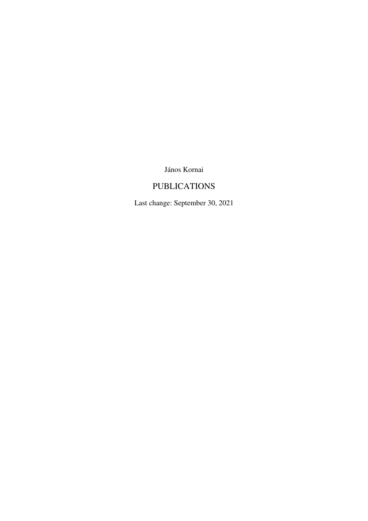János Kornai

# PUBLICATIONS

Last change: September 30, 2021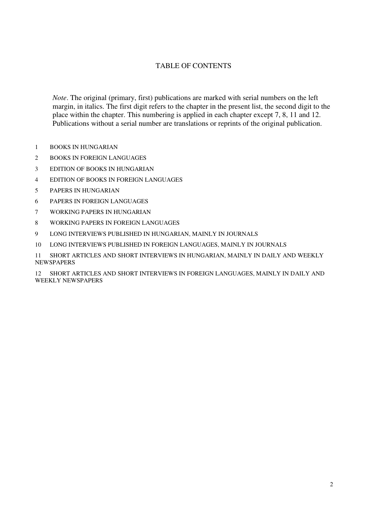# TABLE OF CONTENTS

*Note*. The original (primary, first) publications are marked with serial numbers on the left margin, in italics. The first digit refers to the chapter in the present list, the second digit to the place within the chapter. This numbering is applied in each chapter except 7, 8, 11 and 12. Publications without a serial number are translations or reprints of the original publication.

- BOOKS IN HUNGARIAN
- BOOKS IN FOREIGN LANGUAGES
- EDITION OF BOOKS IN HUNGARIAN
- EDITION OF BOOKS IN FOREIGN LANGUAGES
- PAPERS IN HUNGARIAN
- PAPERS IN FOREIGN LANGUAGES
- WORKING PAPERS IN HUNGARIAN
- WORKING PAPERS IN FOREIGN LANGUAGES
- LONG INTERVIEWS PUBLISHED IN HUNGARIAN, MAINLY IN JOURNALS
- LONG INTERVIEWS PUBLISHED IN FOREIGN LANGUAGES, MAINLY IN JOURNALS

 SHORT ARTICLES AND SHORT INTERVIEWS IN HUNGARIAN, MAINLY IN DAILY AND WEEKLY **NEWSPAPERS** 

 SHORT ARTICLES AND SHORT INTERVIEWS IN FOREIGN LANGUAGES, MAINLY IN DAILY AND WEEKLY NEWSPAPERS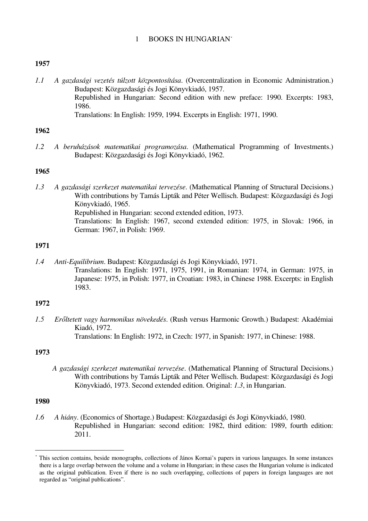## 1 BOOKS IN HUNGARIAN\*

## **1957**

*1.1 A gazdasági vezetés túlzott központosítása*. (Overcentralization in Economic Administration.) Budapest: Közgazdasági és Jogi Könyvkiadó, 1957. Republished in Hungarian: Second edition with new preface: 1990. Excerpts: 1983, 1986. Translations: In English: 1959, 1994. Excerpts in English: 1971, 1990.

## **1962**

*1.2 A beruházások matematikai programozása*. (Mathematical Programming of Investments.) Budapest: Közgazdasági és Jogi Könyvkiadó, 1962.

## **1965**

*1.3 A gazdasági szerkezet matematikai tervezése*. (Mathematical Planning of Structural Decisions.) With contributions by Tamás Lipták and Péter Wellisch. Budapest: Közgazdasági és Jogi Könyvkiadó, 1965. Republished in Hungarian: second extended edition, 1973. Translations: In English: 1967, second extended edition: 1975, in Slovak: 1966, in German: 1967, in Polish: 1969.

## **1971**

*1.4 Anti-Equilibrium*. Budapest: Közgazdasági és Jogi Könyvkiadó, 1971. Translations: In English: 1971, 1975, 1991, in Romanian: 1974, in German: 1975, in Japanese: 1975, in Polish: 1977, in Croatian: 1983, in Chinese 1988. Excerpts: in English 1983.

# **1972**

*1.5 Erőltetett vagy harmonikus növekedés*. (Rush versus Harmonic Growth.) Budapest: Akadémiai Kiadó, 1972. Translations: In English: 1972, in Czech: 1977, in Spanish: 1977, in Chinese: 1988.

## **1973**

*A gazdasági szerkezet matematikai tervezése*. (Mathematical Planning of Structural Decisions.) With contributions by Tamás Lipták and Péter Wellisch. Budapest: Közgazdasági és Jogi Könyvkiadó, 1973. Second extended edition. Original: *1.3*, in Hungarian.

## **1980**

 $\overline{\phantom{0}}$ 

*1.6 A hiány*. (Economics of Shortage.) Budapest: Közgazdasági és Jogi Könyvkiadó, 1980. Republished in Hungarian: second edition: 1982, third edition: 1989, fourth edition: 2011.

<sup>\*</sup> This section contains, beside monographs, collections of János Kornai's papers in various languages. In some instances there is a large overlap between the volume and a volume in Hungarian; in these cases the Hungarian volume is indicated as the original publication. Even if there is no such overlapping, collections of papers in foreign languages are not regarded as "original publications".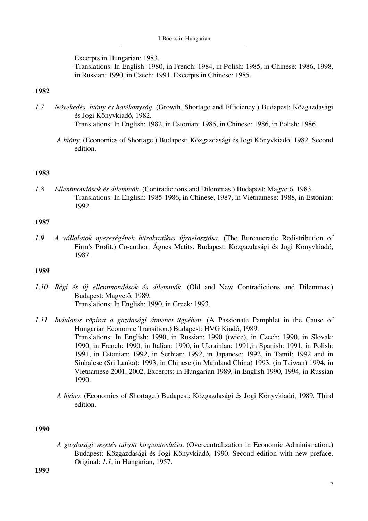Excerpts in Hungarian: 1983. Translations: In English: 1980, in French: 1984, in Polish: 1985, in Chinese: 1986, 1998, in Russian: 1990, in Czech: 1991. Excerpts in Chinese: 1985.

## **1982**

*1.7 Növekedés, hiány és hatékonyság*. (Growth, Shortage and Efficiency.) Budapest: Közgazdasági és Jogi Könyvkiadó, 1982.

Translations: In English: 1982, in Estonian: 1985, in Chinese: 1986, in Polish: 1986.

*A hiány*. (Economics of Shortage.) Budapest: Közgazdasági és Jogi Könyvkiadó, 1982. Second edition.

## **1983**

*1.8 Ellentmondások és dilemmák*. (Contradictions and Dilemmas.) Budapest: Magvető, 1983. Translations: In English: 1985-1986, in Chinese, 1987, in Vietnamese: 1988, in Estonian: 1992.

## **1987**

*1.9 A vállalatok nyereségének bürokratikus újraelosztása*. (The Bureaucratic Redistribution of Firm's Profit.) Co-author: Ágnes Matits. Budapest: Közgazdasági és Jogi Könyvkiadó, 1987.

### **1989**

- *1.10 Régi és új ellentmondások és dilemmák*. (Old and New Contradictions and Dilemmas.) Budapest: Magvető, 1989. Translations: In English: 1990, in Greek: 1993.
- *1.11 Indulatos röpirat a gazdasági átmenet ügyében*. (A Passionate Pamphlet in the Cause of Hungarian Economic Transition.) Budapest: HVG Kiadó, 1989. Translations: In English: 1990, in Russian: 1990 (twice), in Czech: 1990, in Slovak: 1990, in French: 1990, in Italian: 1990, in Ukrainian: 1991,in Spanish: 1991, in Polish: 1991, in Estonian: 1992, in Serbian: 1992, in Japanese: 1992, in Tamil: 1992 and in Sinhalese (Sri Lanka): 1993, in Chinese (in Mainland China) 1993, (in Taiwan) 1994, in Vietnamese 2001, 2002. Excerpts: in Hungarian 1989, in English 1990, 1994, in Russian 1990.
	- *A hiány*. (Economics of Shortage.) Budapest: Közgazdasági és Jogi Könyvkiadó, 1989. Third edition.

#### **1990**

*A gazdasági vezetés túlzott központosítása*. (Overcentralization in Economic Administration.) Budapest: Közgazdasági és Jogi Könyvkiadó, 1990. Second edition with new preface. Original: *1.1*, in Hungarian, 1957.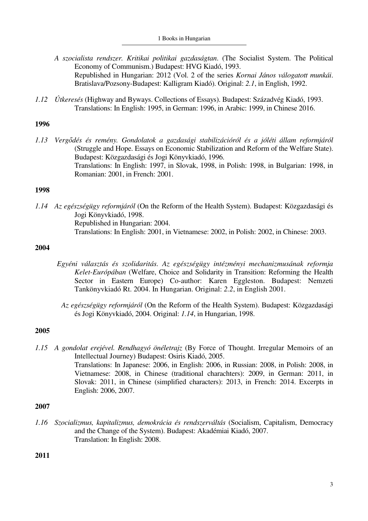- *A szocialista rendszer. Kritikai politikai gazdaságtan*. (The Socialist System. The Political Economy of Communism.) Budapest: HVG Kiadó, 1993. Republished in Hungarian: 2012 (Vol. 2 of the series *Kornai János válogatott munkái*. Bratislava/Pozsony-Budapest: Kalligram Kiadó). Original: *2.1*, in English, 1992.
- *1.12 Útkeresés* (Highway and Byways. Collections of Essays). Budapest: Századvég Kiadó, 1993. Translations: In English: 1995, in German: 1996, in Arabic: 1999, in Chinese 2016.

*1.13 Vergődés és remény. Gondolatok a gazdasági stabilizációról és a jóléti állam reformjáról* (Struggle and Hope. Essays on Economic Stabilization and Reform of the Welfare State). Budapest: Közgazdasági és Jogi Könyvkiadó, 1996. Translations: In English: 1997, in Slovak, 1998, in Polish: 1998, in Bulgarian: 1998, in Romanian: 2001, in French: 2001.

## **1998**

*1.14 Az egészségügy reformjáról* (On the Reform of the Health System). Budapest: Közgazdasági és Jogi Könyvkiadó, 1998. Republished in Hungarian: 2004. Translations: In English: 2001, in Vietnamese: 2002, in Polish: 2002, in Chinese: 2003.

# **2004**

- *Egyéni választás és szolidaritás. Az egészségügy intézményi mechanizmusának reformja Kelet-Európában* (Welfare, Choice and Solidarity in Transition: Reforming the Health Sector in Eastern Europe) Co-author: Karen Eggleston. Budapest: Nemzeti Tankönyvkiadó Rt. 2004. In Hungarian. Original: *2.2*, in English 2001.
	- *Az egészségügy reformjáról* (On the Reform of the Health System). Budapest: Közgazdasági és Jogi Könyvkiadó, 2004. Original: *1.14*, in Hungarian, 1998.

# **2005**

*1.15 A gondolat erejével. Rendhagyó önéletrajz* (By Force of Thought. Irregular Memoirs of an Intellectual Journey) Budapest: Osiris Kiadó, 2005. Translations: In Japanese: 2006, in English: 2006, in Russian: 2008, in Polish: 2008, in Vietnamese: 2008, in Chinese (traditional charachters): 2009, in German: 2011, in Slovak: 2011, in Chinese (simplified characters): 2013, in French: 2014. Excerpts in English: 2006, 2007.

## **2007**

*1.16 Szocializmus, kapitalizmus, demokrácia és rendszerváltás* (Socialism, Capitalism, Democracy and the Change of the System). Budapest: Akadémiai Kiadó, 2007. Translation: In English: 2008.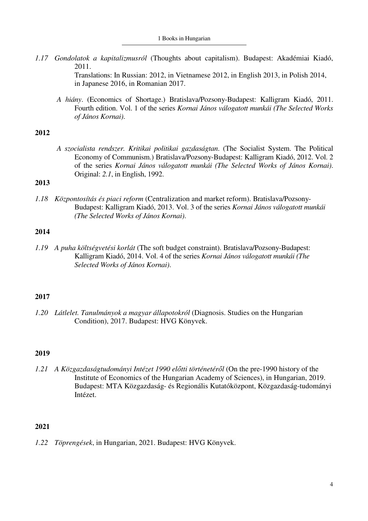*1.17 Gondolatok a kapitalizmusról* (Thoughts about capitalism). Budapest: Akadémiai Kiadó, 2011.

> Translations: In Russian: 2012, in Vietnamese 2012, in English 2013, in Polish 2014, in Japanese 2016, in Romanian 2017.

*A hiány*. (Economics of Shortage.) Bratislava/Pozsony-Budapest: Kalligram Kiadó, 2011. Fourth edition. Vol. 1 of the series *Kornai János válogatott munkái (The Selected Works of János Kornai)*.

# **2012**

*A szocialista rendszer. Kritikai politikai gazdaságtan*. (The Socialist System. The Political Economy of Communism.) Bratislava/Pozsony-Budapest: Kalligram Kiadó, 2012. Vol. 2 of the series *Kornai János válogatott munkái (The Selected Works of János Kornai)*. Original: *2.1*, in English, 1992.

# **2013**

*1.18 Központosítás és piaci reform* (Centralization and market reform). Bratislava/Pozsony-Budapest: Kalligram Kiadó, 2013. Vol. 3 of the series *Kornai János válogatott munkái (The Selected Works of János Kornai)*.

## **2014**

*1.19 A puha költségvetési korlát* (The soft budget constraint). Bratislava/Pozsony-Budapest: Kalligram Kiadó, 2014. Vol. 4 of the series *Kornai János válogatott munkái (The Selected Works of János Kornai)*.

# **2017**

*1.20 Látlelet. Tanulmányok a magyar állapotokról* (Diagnosis. Studies on the Hungarian Condition), 2017. Budapest: HVG Könyvek.

## **2019**

*1.21 A Közgazdaságtudományi Intézet 1990 előtti történetéről* (On the pre-1990 history of the Institute of Economics of the Hungarian Academy of Sciences), in Hungarian, 2019. Budapest: MTA Közgazdaság- és Regionális Kutatóközpont, Közgazdaság-tudományi Intézet.

## **2021**

*1.22 Töprengések*, in Hungarian, 2021. Budapest: HVG Könyvek.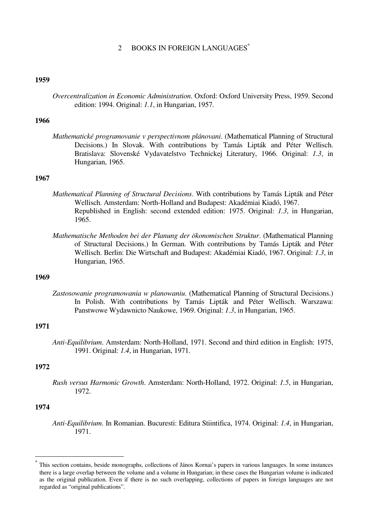# 2 BOOKS IN FOREIGN LANGUAGES<sup>\*</sup>

### **1959**

*Overcentralization in Economic Administration*. Oxford: Oxford University Press, 1959. Second edition: 1994. Original: *1.1*, in Hungarian, 1957.

## **1966**

*Mathematické programovanie v perspectivnom plánovani*. (Mathematical Planning of Structural Decisions.) In Slovak. With contributions by Tamás Lipták and Péter Wellisch. Bratislava: Slovenské Vydavatelstvo Technickej Literatury, 1966. Original: *1.3*, in Hungarian, 1965.

## **1967**

- *Mathematical Planning of Structural Decisions*. With contributions by Tamás Lipták and Péter Wellisch. Amsterdam: North-Holland and Budapest: Akadémiai Kiadó, 1967. Republished in English: second extended edition: 1975. Original: *1.3*, in Hungarian, 1965.
- *Mathematische Methoden bei der Planung der ökonomischen Struktur*. (Mathematical Planning of Structural Decisions.) In German. With contributions by Tamás Lipták and Péter Wellisch. Berlin: Die Wirtschaft and Budapest: Akadémiai Kiadó, 1967. Original: *1.3*, in Hungarian, 1965.

## **1969**

*Zastosowanie programowania w planowaniu*. (Mathematical Planning of Structural Decisions.) In Polish. With contributions by Tamás Lipták and Péter Wellisch. Warszawa: Panstwowe Wydawnicto Naukowe, 1969. Original: *1.3*, in Hungarian, 1965.

#### **1971**

*Anti-Equilibrium*. Amsterdam: North-Holland, 1971. Second and third edition in English: 1975, 1991. Original: *1.4*, in Hungarian, 1971.

### **1972**

*Rush versus Harmonic Growth*. Amsterdam: North-Holland, 1972. Original: *1.5*, in Hungarian, 1972.

## **1974**

 $\overline{\phantom{0}}$ 

*Anti-Equilibrium*. In Romanian. Bucuresti: Editura Stiintifica, 1974. Original: *1.4*, in Hungarian, 1971.

<sup>\*</sup> This section contains, beside monographs, collections of János Kornai's papers in various languages. In some instances there is a large overlap between the volume and a volume in Hungarian; in these cases the Hungarian volume is indicated as the original publication. Even if there is no such overlapping, collections of papers in foreign languages are not regarded as "original publications".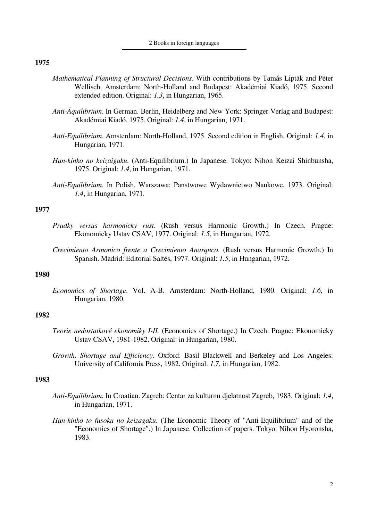- *Mathematical Planning of Structural Decisions*. With contributions by Tamás Lipták and Péter Wellisch. Amsterdam: North-Holland and Budapest: Akadémiai Kiadó, 1975. Second extended edition. Original: *1.3*, in Hungarian, 1965.
- *Anti-Äquilibrium*. In German. Berlin, Heidelberg and New York: Springer Verlag and Budapest: Akadémiai Kiadó, 1975. Original: *1.4*, in Hungarian, 1971.
- *Anti-Equilibrium*. Amsterdam: North-Holland, 1975. Second edition in English. Original: *1.4*, in Hungarian, 1971.
- *Han-kinko no keizaigaku*. (Anti-Equilibrium.) In Japanese. Tokyo: Nihon Keizai Shinbunsha, 1975. Original: *1.4*, in Hungarian, 1971.
- *Anti-Equilibrium*. In Polish. Warszawa: Panstwowe Wydawnictwo Naukowe, 1973. Original: *1.4*, in Hungarian, 1971.

## **1977**

- *Prudky versus harmonicky rust*. (Rush versus Harmonic Growth.) In Czech. Prague: Ekonomicky Ustav CSAV, 1977. Original: *1.5*, in Hungarian, 1972.
- *Crecimiento Armonico frente a Crecimiento Anarquco*. (Rush versus Harmonic Growth.) In Spanish. Madrid: Editorial Saltés, 1977. Original: *1.5*, in Hungarian, 1972.

## **1980**

*Economics of Shortage*. Vol. A-B. Amsterdam: North-Holland, 1980. Original: *1.6*, in Hungarian, 1980.

## **1982**

- *Teorie nedostatkové ekonomiky I-II.* (Economics of Shortage.) In Czech. Prague: Ekonomicky Ustav CSAV, 1981-1982. Original: in Hungarian, 1980.
- *Growth, Shortage and Efficiency*. Oxford: Basil Blackwell and Berkeley and Los Angeles: University of California Press, 1982. Original: *1.7*, in Hungarian, 1982.

- *Anti-Equilibrium*. In Croatian. Zagreb: Centar za kulturnu djelatnost Zagreb, 1983. Original: *1.4*, in Hungarian, 1971.
- *Han-kinko to fusoku no keizagaku*. (The Economic Theory of "Anti-Equilibrium" and of the "Economics of Shortage".) In Japanese. Collection of papers. Tokyo: Nihon Hyoronsha, 1983.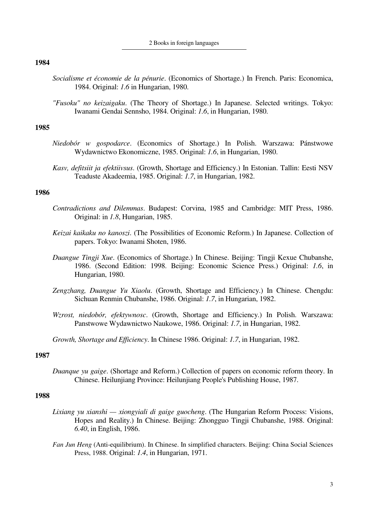- *Socialisme et économie de la pénurie*. (Economics of Shortage.) In French. Paris: Economica, 1984. Original: *1.6* in Hungarian, 1980.
- *"Fusoku" no keizaigaku*. (The Theory of Shortage.) In Japanese. Selected writings. Tokyo: Iwanami Gendai Sennsho, 1984. Original: *1.6*, in Hungarian, 1980.

### **1985**

- *Niedobór w gospodarce*. (Economics of Shortage.) In Polish. Warszawa: Pánstwowe Wydawnictwo Ekonomiczne, 1985. Original: *1.6*, in Hungarian, 1980.
- *Kasv, defitsiit ja efektiivsus*. (Growth, Shortage and Efficiency.) In Estonian. Tallin: Eesti NSV Teaduste Akadeemia, 1985. Original: *1.7*, in Hungarian, 1982.

### **1986**

- *Contradictions and Dilemmas*. Budapest: Corvina, 1985 and Cambridge: MIT Press, 1986. Original: in *1.8*, Hungarian, 1985.
- *Keizai kaikaku no kanoszi*. (The Possibilities of Economic Reform.) In Japanese. Collection of papers. Tokyo: Iwanami Shoten, 1986.
- *Duangue Tingji Xue*. (Economics of Shortage.) In Chinese. Beijing: Tingji Kexue Chubanshe, 1986. (Second Edition: 1998. Beijing: Economic Science Press.) Original: *1.6*, in Hungarian, 1980.
- *Zengzhang, Duangue Yu Xiaolu*. (Growth, Shortage and Efficiency.) In Chinese. Chengdu: Sichuan Renmin Chubanshe, 1986. Original: *1.7*, in Hungarian, 1982.
- *Wzrost, niedobór, efektywnosc*. (Growth, Shortage and Efficiency.) In Polish. Warszawa: Panstwowe Wydawnictwo Naukowe, 1986. Original: *1.7*, in Hungarian, 1982.
- *Growth, Shortage and Efficiency*. In Chinese 1986. Original: *1.7*, in Hungarian, 1982.

### **1987**

*Duanque yu gaige*. (Shortage and Reform.) Collection of papers on economic reform theory. In Chinese. Heilunjiang Province: Heilunjiang People's Publishing House, 1987.

- *Lixiang yu xianshi xiongyiali di gaige guocheng*. (The Hungarian Reform Process: Visions, Hopes and Reality.) In Chinese. Beijing: Zhongguo Tingji Chubanshe, 1988. Original: *6.40*, in English, 1986.
- *Fan Jun Heng* (Anti-equilibrium). In Chinese. In simplified characters. Beijing: China Social Sciences Press, 1988. Original: *1.4*, in Hungarian, 1971.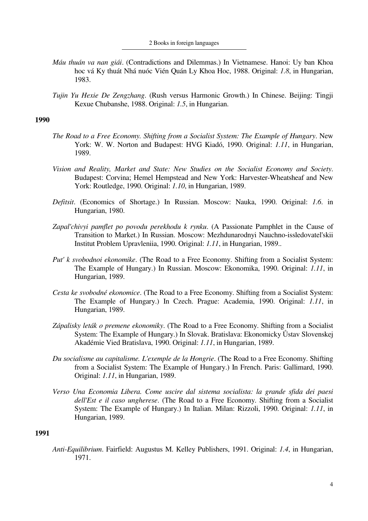- *Máu thuán va nan giái*. (Contradictions and Dilemmas.) In Vietnamese. Hanoi: Uy ban Khoa hoc vá Ky thuát Nhá nuóc Vién Quán Ly Khoa Hoc, 1988. Original: *1.8*, in Hungarian, 1983.
- *Tujin Yu Hexie De Zengzhang*. (Rush versus Harmonic Growth.) In Chinese. Beijing: Tingji Kexue Chubanshe, 1988. Original: *1.5*, in Hungarian.

- *The Road to a Free Economy. Shifting from a Socialist System: The Example of Hungary*. New York: W. W. Norton and Budapest: HVG Kiadó, 1990. Original: *1.11*, in Hungarian, 1989.
- *Vision and Reality, Market and State: New Studies on the Socialist Economy and Society*. Budapest: Corvina; Hemel Hempstead and New York: Harvester-Wheatsheaf and New York: Routledge, 1990. Original: *1.10*, in Hungarian, 1989.
- *Defitsit*. (Economics of Shortage.) In Russian. Moscow: Nauka, 1990. Original: *1.6*. in Hungarian, 1980.
- *Zapal'chivyi pamflet po povodu perekhodu k rynku*. (A Passionate Pamphlet in the Cause of Transition to Market.) In Russian. Moscow: Mezhdunarodnyi Nauchno-issledovatel'skii Institut Problem Upravleniia, 1990. Original: *1.11*, in Hungarian, 1989..
- *Put' k svobodnoi ekonomike*. (The Road to a Free Economy. Shifting from a Socialist System: The Example of Hungary.) In Russian. Moscow: Ekonomika, 1990. Original: *1.11*, in Hungarian, 1989.
- *Cesta ke svobodné ekonomice*. (The Road to a Free Economy. Shifting from a Socialist System: The Example of Hungary.) In Czech. Prague: Academia, 1990. Original: *1.11*, in Hungarian, 1989.
- *Zápalisky leták o premene ekonomiky*. (The Road to a Free Economy. Shifting from a Socialist System: The Example of Hungary.) In Slovak. Bratislava: Ekonomicky Ůstav Slovenskej Akadémie Vied Bratislava, 1990. Original: *1.11*, in Hungarian, 1989.
- *Du socialisme au capitalisme. L'exemple de la Hongrie*. (The Road to a Free Economy. Shifting from a Socialist System: The Example of Hungary.) In French. Paris: Gallimard, 1990. Original: *1.11*, in Hungarian, 1989.
- *Verso Una Economia Libera. Come uscire dal sistema socialista: la grande sfida dei paesi dell'Est e il caso ungherese*. (The Road to a Free Economy. Shifting from a Socialist System: The Example of Hungary.) In Italian. Milan: Rizzoli, 1990. Original: *1.11*, in Hungarian, 1989.

### **1991**

*Anti-Equilibrium*. Fairfield: Augustus M. Kelley Publishers, 1991. Original: *1.4*, in Hungarian, 1971.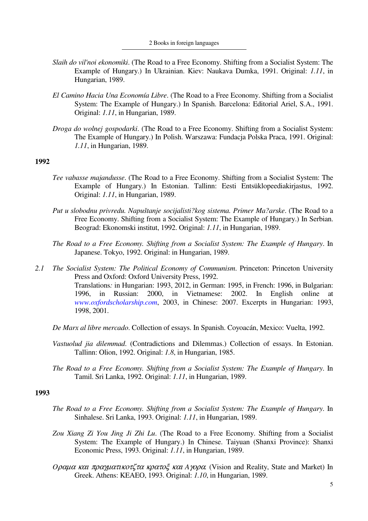- *Slaih do vil'noi ekonomiki*. (The Road to a Free Economy. Shifting from a Socialist System: The Example of Hungary.) In Ukrainian. Kiev: Naukava Dumka, 1991. Original: *1.11*, in Hungarian, 1989.
- *El Camino Hacia Una Economía Libre*. (The Road to a Free Economy. Shifting from a Socialist System: The Example of Hungary.) In Spanish. Barcelona: Editorial Ariel, S.A., 1991. Original: *1.11*, in Hungarian, 1989.
- *Droga do wolnej gospodarki*. (The Road to a Free Economy. Shifting from a Socialist System: The Example of Hungary.) In Polish. Warszawa: Fundacja Polska Praca, 1991. Original: *1.11*, in Hungarian, 1989.

- *Tee vabasse majandusse*. (The Road to a Free Economy. Shifting from a Socialist System: The Example of Hungary.) In Estonian. Tallinn: Eesti Entsüklopeediakirjastus, 1992. Original: *1.11*, in Hungarian, 1989.
- *Put u slobodnu privredu. Napuštanje socijalisti?kog sistema. Primer Ma?arske*. (The Road to a Free Economy. Shifting from a Socialist System: The Example of Hungary.) In Serbian. Beograd: Ekonomski institut, 1992. Original: *1.11*, in Hungarian, 1989.
- *The Road to a Free Economy. Shifting from a Socialist System: The Example of Hungary*. In Japanese. Tokyo, 1992. Original: in Hungarian, 1989.
- *2.1 The Socialist System: The Political Economy of Communism*. Princeton: Princeton University Press and Oxford: Oxford University Press, 1992. Translations*:* in Hungarian: 1993, 2012, in German: 1995, in French: 1996, in Bulgarian: 1996, in Russian: 2000, in Vietnamese: 2002. In English online at *www.oxfordscholarship.com*, 2003, in Chinese: 2007. Excerpts in Hungarian: 1993, 1998, 2001.
	- *De Marx al libre mercado*. Collection of essays. In Spanish. Coyoacán, Mexico: Vuelta, 1992.
	- *Vastuolud jia dilemmad*. (Contradictions and Dilemmas.) Collection of essays. In Estonian. Tallinn: Olion, 1992. Original: *1.8*, in Hungarian, 1985.
	- *The Road to a Free Economy. Shifting from a Socialist System: The Example of Hungary*. In Tamil. Sri Lanka, 1992. Original: *1.11*, in Hungarian, 1989.

- *The Road to a Free Economy. Shifting from a Socialist System: The Example of Hungary*. In Sinhalese. Sri Lanka, 1993. Original: *1.11*, in Hungarian, 1989.
- *Zou Xiang Zi You Jing Ji Zhi Lu*. (The Road to a Free Economy. Shifting from a Socialist System: The Example of Hungary.) In Chinese. Taiyuan (Shanxi Province): Shanxi Economic Press, 1993. Original: *1.11*, in Hungarian, 1989.
- *O*ραµα και πραγµατικοτζτα κρατοξ και *A*γορα*.* (Vision and Reality, State and Market) In Greek. Athens: KEAEO, 1993. Original: *1.10*, in Hungarian, 1989.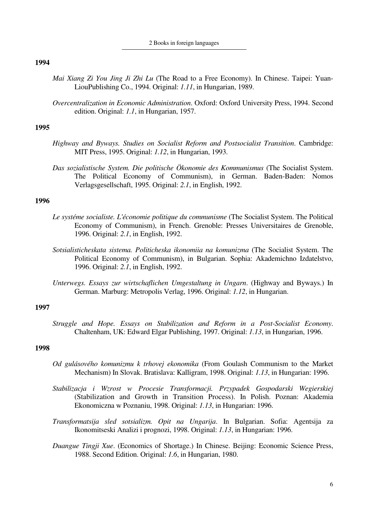- *Mai Xiang Zi You Jing Ji Zhi Lu* (The Road to a Free Economy). In Chinese. Taipei: Yuan-LiouPublishing Co., 1994. Original: *1.11*, in Hungarian, 1989.
- *Overcentralization in Economic Administration*. Oxford: Oxford University Press, 1994. Second edition. Original: *1.1*, in Hungarian, 1957.

### **1995**

- *Highway and Byways. Studies on Socialist Reform and Postsocialist Transition*. Cambridge: MIT Press, 1995. Original: *1.12*, in Hungarian, 1993.
- *Das sozialistische System. Die politische Ökonomie des Kommunismus* (The Socialist System. The Political Economy of Communism), in German. Baden-Baden: Nomos Verlagsgesellschaft, 1995. Original: *2.1*, in English, 1992.

### **1996**

- *Le systéme socialiste. L'économie politique du communisme* (The Socialist System. The Political Economy of Communism), in French. Grenoble: Presses Universitaires de Grenoble, 1996. Original: *2.1*, in English, 1992.
- *Sotsialisticheskata sistema. Politicheska ikonomiia na komunizma* (The Socialist System. The Political Economy of Communism), in Bulgarian. Sophia: Akademichno Izdatelstvo, 1996. Original: *2.1*, in English, 1992.
- *Unterwegs. Essays zur wirtschaflichen Umgestaltung in Ungarn*. (Highway and Byways.) In German. Marburg: Metropolis Verlag, 1996. Original: *1.12*, in Hungarian.

### **1997**

*Struggle and Hope. Essays on Stabilization and Reform in a Post-Socialist Economy*. Chaltenham, UK: Edward Elgar Publishing, 1997. Original: *1.13*, in Hungarian, 1996.

- *Od gulásového komunizmu k trhovej ekonomika* (From Goulash Communism to the Market Mechanism) In Slovak. Bratislava: Kalligram, 1998. Original: *1.13*, in Hungarian: 1996.
- *Stabilizacja i Wzrost w Procesie Transformacji. Przypadek Gospodarski Wegierskiej* (Stabilization and Growth in Transition Process). In Polish. Poznan: Akademia Ekonomiczna w Poznaniu, 1998. Original: *1.13*, in Hungarian: 1996.
- *Transformatsija sled sotsializm. Opit na Ungarija*. In Bulgarian. Sofia: Agentsija za Ikonomitseski Analizi i prognozi, 1998. Original: *1.13*, in Hungarian: 1996.
- *Duangue Tingji Xue*. (Economics of Shortage.) In Chinese. Beijing: Economic Science Press, 1988. Second Edition. Original: *1.6*, in Hungarian, 1980.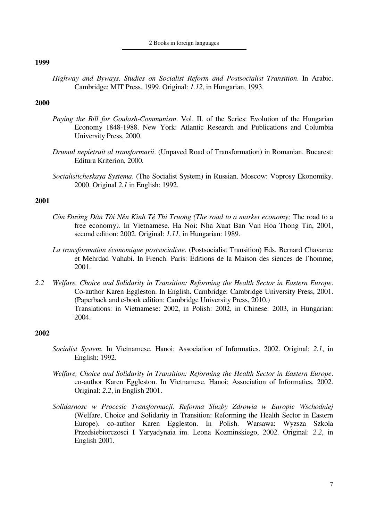2 Books in foreign languages

#### **1999**

*Highway and Byways. Studies on Socialist Reform and Postsocialist Transition*. In Arabic. Cambridge: MIT Press, 1999. Original: *1.12*, in Hungarian, 1993.

## **2000**

- *Paying the Bill for Goulash-Communism*. Vol. II. of the Series: Evolution of the Hungarian Economy 1848-1988. New York: Atlantic Research and Publications and Columbia University Press, 2000.
- *Drumul nepietruit al transformarii*. (Unpaved Road of Transformation) in Romanian. Bucarest: Editura Kriterion, 2000.
- *Socialisticheskaya Systema*. (The Socialist System) in Russian. Moscow: Voprosy Ekonomiky. 2000. Original *2.1* in English: 1992.

# **2001**

- *Còn Đường Dân Tôi Nên Kinh Tệ Thi Truong (The road to a market economy;* The road to a free economy*).* In Vietnamese. Ha Noi: Nha Xuat Ban Van Hoa Thong Tin, 2001, second edition: 2002. Original: *1.11*, in Hungarian: 1989.
- *La transformation économique postsocialiste*. (Postsocialist Transition) Eds. Bernard Chavance et Mehrdad Vahabi. In French. Paris: Éditions de la Maison des siences de l'homme, 2001.
- *2.2 Welfare, Choice and Solidarity in Transition: Reforming the Health Sector in Eastern Europe*. Co-author Karen Eggleston. In English. Cambridge: Cambridge University Press, 2001. (Paperback and e-book edition: Cambridge University Press, 2010.) Translations: in Vietnamese: 2002, in Polish: 2002, in Chinese: 2003, in Hungarian: 2004.

- *Socialist System*. In Vietnamese. Hanoi: Association of Informatics. 2002. Original: *2.1*, in English: 1992.
- *Welfare, Choice and Solidarity in Transition: Reforming the Health Sector in Eastern Europe*. co-author Karen Eggleston. In Vietnamese. Hanoi: Association of Informatics. 2002. Original: *2.2*, in English 2001.
- *Solidarnosc w Procesie Transformacji. Reforma Sluzby Zdrowia w Europie Wschodniej*  (Welfare, Choice and Solidarity in Transition: Reforming the Health Sector in Eastern Europe). co-author Karen Eggleston. In Polish. Warsawa: Wyzsza Szkola Przedsiebiorczosci I Yaryadynaia im. Leona Kozminskiego, 2002. Original: *2.2*, in English 2001.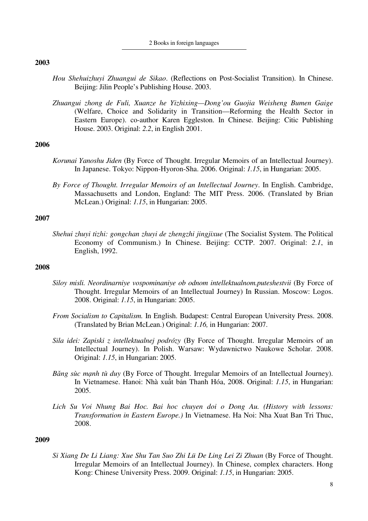- *Hou Shehuizhuyi Zhuangui de Sikao*. (Reflections on Post-Socialist Transition). In Chinese. Beijing: Jilin People's Publishing House. 2003.
- *Zhuangui zhong de Fuli, Xuanze he Yizhixing—Dong'ou Guojia Weisheng Bumen Gaige* (Welfare, Choice and Solidarity in Transition—Reforming the Health Sector in Eastern Europe). co-author Karen Eggleston. In Chinese. Beijing: Citic Publishing House. 2003. Original: *2.2*, in English 2001.

### **2006**

- *Korunai Yanoshu Jiden* (By Force of Thought. Irregular Memoirs of an Intellectual Journey). In Japanese. Tokyo: Nippon-Hyoron-Sha. 2006. Original: *1.15*, in Hungarian: 2005.
- *By Force of Thought. Irregular Memoirs of an Intellectual Journey*. In English. Cambridge, Massachusetts and London, England: The MIT Press. 2006. (Translated by Brian McLean.) Original: *1.15*, in Hungarian: 2005.

## **2007**

*Shehui zhuyi tizhi: gongchan zhuyi de zhengzhi jingjixue* (The Socialist System. The Political Economy of Communism.) In Chinese. Beijing: CCTP. 2007. Original: *2.1*, in English, 1992.

## **2008**

- *Siloy misli. Neordinarniye vospominaniye ob odnom intellektualnom.puteshestvii* (By Force of Thought. Irregular Memoirs of an Intellectual Journey) In Russian. Moscow: Logos. 2008. Original: *1.15*, in Hungarian: 2005.
- *From Socialism to Capitalism.* In English. Budapest: Central European University Press. 2008. (Translated by Brian McLean.) Original: *1.16,* in Hungarian: 2007.
- *Sila idei: Zapiski z intellektualnej podrózy* (By Force of Thought. Irregular Memoirs of an Intellectual Journey). In Polish. Warsaw: Wydawnictwo Naukowe Scholar. 2008. Original: *1.15*, in Hungarian: 2005.
- *Băng sùc mạnh tù duy* (By Force of Thought. Irregular Memoirs of an Intellectual Journey). In Vietnamese. Hanoi: Nhà xuất bản Thanh Hóa, 2008. Original: *1.15*, in Hungarian: 2005.
- *Lich Su Voi Nhung Bai Hoc. Bai hoc chuyen doi o Dong Au. (History with lessons: Transformation in Eastern Europe.)* In Vietnamese. Ha Noi: Nha Xuat Ban Tri Thuc, 2008.

### **2009**

*Si Xiang De Li Liang: Xue Shu Tan Suo Zhi Lü De Ling Lei Zi Zhuan* (By Force of Thought. Irregular Memoirs of an Intellectual Journey). In Chinese, complex characters. Hong Kong: Chinese University Press. 2009. Original: *1.15*, in Hungarian: 2005.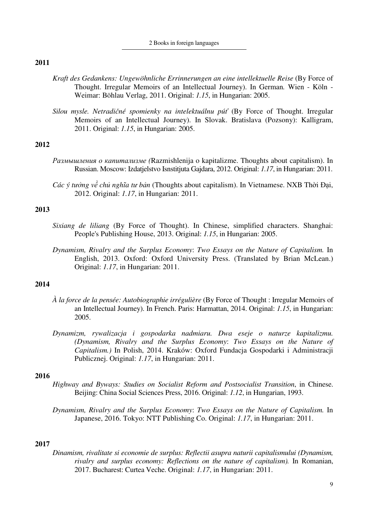- *Kraft des Gedankens: Ungewöhnliche Errinnerungen an eine intellektuelle Reise* (By Force of Thought. Irregular Memoirs of an Intellectual Journey). In German*.* Wien - Köln - Weimar: Böhlau Verlag, 2011. Original: *1.15*, in Hungarian: 2005.
- *Silou mysle. Netradičné spomienky na intelektuálnu púť* (By Force of Thought. Irregular Memoirs of an Intellectual Journey). In Slovak. Bratislava (Pozsony): Kalligram, 2011. Original: *1.15*, in Hungarian: 2005.

## **2012**

- *Размышления о капитализме (*Razmishlenija o kapitalizme. Thoughts about capitalism). In Russian. Moscow: Izdatjelstvo Isnstitjuta Gajdara, 2012. Original: *1.17*, in Hungarian: 2011.
- *Các ý tưởng về chủ nghĩa tư bản* (Thoughts about capitalism). In Vietnamese. NXB Thời Đại, 2012. Original: *1.17*, in Hungarian: 2011.

# **2013**

- *Sixiang de liliang* (By Force of Thought). In Chinese, simplified characters. Shanghai: People's Publishing House, 2013. Original: *1.15*, in Hungarian: 2005.
- *Dynamism, Rivalry and the Surplus Economy*: *Two Essays on the Nature of Capitalism.* In English, 2013. Oxford: Oxford University Press. (Translated by Brian McLean.) Original: *1.17*, in Hungarian: 2011.

## **2014**

- *À la force de la pensée: Autobiographie irrégulière* (By Force of Thought : Irregular Memoirs of an Intellectual Journey). In French. Paris: Harmattan, 2014. Original: *1.15*, in Hungarian: 2005.
- *Dynamizm, rywalizacja i gospodarka nadmiaru. Dwa eseje o naturze kapitalizmu. (Dynamism, Rivalry and the Surplus Economy*: *Two Essays on the Nature of Capitalism.)* In Polish, 2014. Kraków: Oxford Fundacja Gospodarki i Administracji Publicznej. Original: *1.17*, in Hungarian: 2011.

## **2016**

*Highway and Byways: Studies on Socialist Reform and Postsocialist Transition*, in Chinese. Beijing: China Social Sciences Press, 2016. Original: *1.12*, in Hungarian, 1993.

*Dynamism, Rivalry and the Surplus Economy*: *Two Essays on the Nature of Capitalism.* In Japanese, 2016. Tokyo: NTT Publishing Co. Original: *1.17*, in Hungarian: 2011.

## **2017**

*Dinamism, rivalitate si economie de surplus: Reflectii asupra naturii capitalismului (Dynamism, rivalry and surplus economy: Reflections on the nature of capitalism).* In Romanian, 2017. Bucharest: Curtea Veche. Original: *1.17*, in Hungarian: 2011.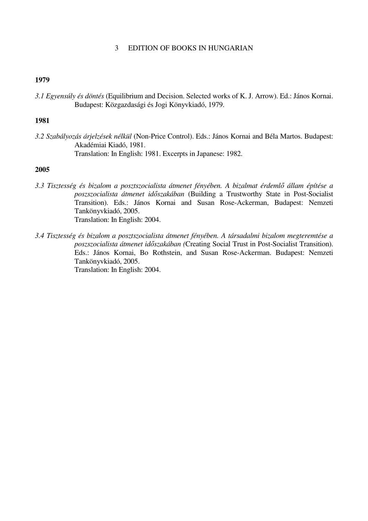## 3 EDITION OF BOOKS IN HUNGARIAN

## **1979**

*3.1 Egyensúly és döntés* (Equilibrium and Decision. Selected works of K. J. Arrow). Ed.: János Kornai. Budapest: Közgazdasági és Jogi Könyvkiadó, 1979.

## **1981**

*3.2 Szabályozás árjelzések nélkül* (Non-Price Control). Eds.: János Kornai and Béla Martos. Budapest: Akadémiai Kiadó, 1981. Translation: In English: 1981. Excerpts in Japanese: 1982.

- *3.3 Tisztesség és bizalom a posztszocialista átmenet fényében. A bizalmat érdemlő állam építése a poszszocialista átmenet időszakában* (Building a Trustworthy State in Post-Socialist Transition). Eds.: János Kornai and Susan Rose-Ackerman, Budapest: Nemzeti Tankönyvkiadó, 2005. Translation: In English: 2004.
- *3.4 Tisztesség és bizalom a posztszocialista átmenet fényében. A társadalmi bizalom megteremtése a poszszocialista átmenet időszakában (*Creating Social Trust in Post-Socialist Transition). Eds.: János Kornai, Bo Rothstein, and Susan Rose-Ackerman. Budapest: Nemzeti Tankönyvkiadó, 2005. Translation: In English: 2004.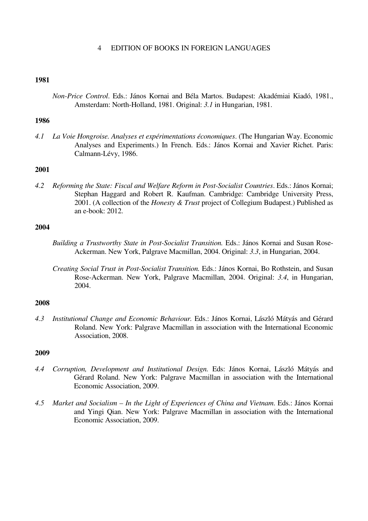## 4 EDITION OF BOOKS IN FOREIGN LANGUAGES

### **1981**

*Non-Price Control*. Eds.: János Kornai and Béla Martos. Budapest: Akadémiai Kiadó, 1981., Amsterdam: North-Holland, 1981. Original: *3.1* in Hungarian, 1981.

## **1986**

*4.1 La Voie Hongroise. Analyses et expérimentations économiques*. (The Hungarian Way. Economic Analyses and Experiments.) In French. Eds.: János Kornai and Xavier Richet. Paris: Calmann-Lévy, 1986.

## **2001**

*4.2 Reforming the State: Fiscal and Welfare Reform in Post-Socialist Countries*. Eds.: János Kornai; Stephan Haggard and Robert R. Kaufman. Cambridge: Cambridge University Press, 2001. (A collection of the *Honesty & Trust* project of Collegium Budapest.) Published as an e-book: 2012.

# **2004**

- *Building a Trustworthy State in Post-Socialist Transition.* Eds.: János Kornai and Susan Rose-Ackerman. New York, Palgrave Macmillan, 2004. Original: *3.3*, in Hungarian, 2004.
- *Creating Social Trust in Post-Socialist Transition.* Eds.: János Kornai, Bo Rothstein, and Susan Rose-Ackerman. New York, Palgrave Macmillan, 2004. Original: *3.4*, in Hungarian, 2004.

### **2008**

*4.3 Institutional Change and Economic Behaviour.* Eds.: János Kornai, László Mátyás and Gérard Roland. New York: Palgrave Macmillan in association with the International Economic Association, 2008.

- *4.4 Corruption, Development and Institutional Design.* Eds: János Kornai, László Mátyás and Gérard Roland. New York: Palgrave Macmillan in association with the International Economic Association, 2009.
- *4.5 Market and Socialism In the Light of Experiences of China and Vietnam*. Eds.: János Kornai and Yingi Qian. New York: Palgrave Macmillan in association with the International Economic Association, 2009.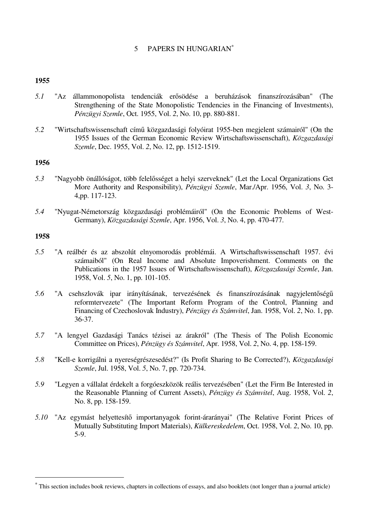# 5 PAPERS IN HUNGARIAN<sup>\*</sup>

## **1955**

- *5.1* "Az állammonopolista tendenciák erősödése a beruházások finanszírozásában" (The Strengthening of the State Monopolistic Tendencies in the Financing of Investments), *Pénzügyi Szemle*, Oct. 1955, Vol. *2*, No. 10, pp. 880-881.
- *5.2* "Wirtschaftswissenschaft című közgazdasági folyóirat 1955-ben megjelent számairól" (On the 1955 Issues of the German Economic Review Wirtschaftswissenschaft), *Közgazdasági Szemle*, Dec. 1955, Vol. *2*, No. 12, pp. 1512-1519.

## **1956**

- *5.3* "Nagyobb önállóságot, több felelősséget a helyi szerveknek" (Let the Local Organizations Get More Authority and Responsibility), *Pénzügyi Szemle*, Mar./Apr. 1956, Vol. *3*, No. 3- 4,pp. 117-123.
- *5.4* "Nyugat-Németország közgazdasági problémáiról" (On the Economic Problems of West-Germany), *Közgazdasági Szemle*, Apr. 1956, Vol. *3*, No. 4, pp. 470-477.

### **1958**

 $\overline{\phantom{0}}$ 

- *5.5* "A reálbér és az abszolút elnyomorodás problémái. A Wirtschaftswissenschaft 1957. évi számaiból" (On Real Income and Absolute Impoverishment. Comments on the Publications in the 1957 Issues of Wirtschaftswissenschaft), *Közgazdasági Szemle*, Jan. 1958, Vol. *5*, No. 1, pp. 101-105.
- *5.6* "A csehszlovák ipar irányításának, tervezésének és finanszírozásának nagyjelentőségű reformtervezete" (The Important Reform Program of the Control, Planning and Financing of Czechoslovak Industry), *Pénzügy és Számvitel*, Jan. 1958, Vol. *2*, No. 1, pp. 36-37.
- *5.7* "A lengyel Gazdasági Tanács tézisei az árakról" (The Thesis of The Polish Economic Committee on Prices), *Pénzügy és Számvitel*, Apr. 1958, Vol. *2*, No. 4, pp. 158-159.
- *5.8* "Kell-e korrigálni a nyereségrészesedést?" (Is Profit Sharing to Be Corrected?), *Közgazdasági Szemle*, Jul. 1958, Vol. *5*, No. 7, pp. 720-734.
- *5.9* "Legyen a vállalat érdekelt a forgóeszközök reális tervezésében" (Let the Firm Be Interested in the Reasonable Planning of Current Assets), *Pénzügy és Számvitel*, Aug. 1958, Vol. *2*, No. 8, pp. 158-159.
- *5.10* "Az egymást helyettesítő importanyagok forint-árarányai" (The Relative Forint Prices of Mutually Substituting Import Materials), *Külkereskedelem*, Oct. 1958, Vol. *2*, No. 10, pp. 5-9.

<sup>∗</sup> This section includes book reviews, chapters in collections of essays, and also booklets (not longer than a journal article)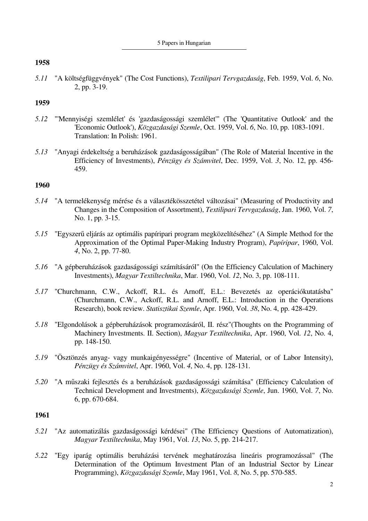*5.11* "A költségfüggvények" (The Cost Functions), *Textilipari Tervgazdaság*, Feb. 1959, Vol. *6*, No. 2, pp. 3-19.

## **1959**

- *5.12* "'Mennyiségi szemlélet' és 'gazdaságossági szemlélet'" (The 'Quantitative Outlook' and the 'Economic Outlook'), *Közgazdasági Szemle*, Oct. 1959, Vol. *6*, No. 10, pp. 1083-1091. Translation: In Polish: 1961.
- *5.13* "Anyagi érdekeltség a beruházások gazdaságosságában" (The Role of Material Incentive in the Efficiency of Investments), *Pénzügy és Számvitel*, Dec. 1959, Vol. *3*, No. 12, pp. 456- 459.

## **1960**

- *5.14* "A termelékenység mérése és a választékösszetétel változásai" (Measuring of Productivity and Changes in the Composition of Assortment), *Textilipari Tervgazdaság*, Jan. 1960, Vol. *7*, No. 1, pp. 3-15.
- *5.15* "Egyszerű eljárás az optimális papíripari program megközelítéséhez" (A Simple Method for the Approximation of the Optimal Paper-Making Industry Program), *Papíripar*, 1960, Vol. *4*, No. 2, pp. 77-80.
- *5.16* "A gépberuházások gazdaságossági számításáról" (On the Efficiency Calculation of Machinery Investments), *Magyar Textiltechnika*, Mar. 1960, Vol. *12*, No. 3, pp. 108-111.
- *5.17* "Churchmann, C.W., Ackoff, R.L. és Arnoff, E.L.: Bevezetés az operációkutatásba" (Churchmann, C.W., Ackoff, R.L. and Arnoff, E.L.: Introduction in the Operations Research), book review. *Statisztikai Szemle*, Apr. 1960, Vol. *38*, No. 4, pp. 428-429.
- *5.18* "Elgondolások a gépberuházások programozásáról, II. rész"(Thoughts on the Programming of Machinery Investments. II. Section), *Magyar Textiltechnika*, Apr. 1960, Vol. *12*, No. 4, pp. 148-150.
- *5.19* "Ösztönzés anyag- vagy munkaigényességre" (Incentive of Material, or of Labor Intensity), *Pénzügy és Számvitel*, Apr. 1960, Vol. *4*, No. 4, pp. 128-131.
- *5.20* "A műszaki fejlesztés és a beruházások gazdaságossági számítása" (Efficiency Calculation of Technical Development and Investments), *Közgazdasági Szemle*, Jun. 1960, Vol. *7*, No. 6, pp. 670-684.

- *5.21* "Az automatizálás gazdaságossági kérdései" (The Efficiency Questions of Automatization), *Magyar Textiltechnika*, May 1961, Vol. *13*, No. 5, pp. 214-217.
- *5.22* "Egy iparág optimális beruházási tervének meghatározása lineáris programozással" (The Determination of the Optimum Investment Plan of an Industrial Sector by Linear Programming), *Közgazdasági Szemle*, May 1961, Vol. *8*, No. 5, pp. 570-585.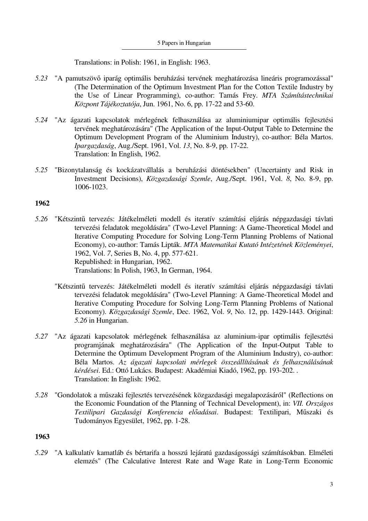Translations: in Polish: 1961, in English: 1963.

- *5.23* "A pamutszövő iparág optimális beruházási tervének meghatározása lineáris programozással" (The Determination of the Optimum Investment Plan for the Cotton Textile Industry by the Use of Linear Programming), co-author: Tamás Frey. *MTA Számítástechnikai Központ Tájékoztatója*, Jun. 1961, No. 6, pp. 17-22 and 53-60.
- *5.24* "Az ágazati kapcsolatok mérlegének felhasználása az aluminiumipar optimális fejlesztési tervének meghatározására" (The Application of the Input-Output Table to Determine the Optimum Development Program of the Aluminium Industry), co-author: Béla Martos. *Ipargazdaság*, Aug./Sept. 1961, Vol. *13*, No. 8-9, pp. 17-22. Translation: In English, 1962.
- *5.25* "Bizonytalanság és kockázatvállalás a beruházási döntésekben" (Uncertainty and Risk in Investment Decisions), *Közgazdasági Szemle*, Aug./Sept. 1961, Vol. *8*, No. 8-9, pp. 1006-1023.

## **1962**

- *5.26* "Kétszintű tervezés: Játékelméleti modell és iteratív számítási eljárás népgazdasági távlati tervezési feladatok megoldására" (Two-Level Planning: A Game-Theoretical Model and Iterative Computing Procedure for Solving Long-Term Planning Problems of National Economy), co-author: Tamás Lipták. *MTA Matematikai Kutató Intézetének Közleményei*, 1962, Vol. *7*, Series B, No. 4, pp. 577-621. Republished: in Hungarian, 1962. Translations: In Polish, 1963, In German, 1964.
	- "Kétszintű tervezés: Játékelméleti modell és iteratív számítási eljárás népgazdasági távlati tervezési feladatok megoldására" (Two-Level Planning: A Game-Theoretical Model and Iterative Computing Procedure for Solving Long-Term Planning Problems of National Economy). *Közgazdasági Szemle*, Dec. 1962, Vol. *9*, No. 12, pp. 1429-1443. Original: *5.26* in Hungarian.
- *5.27* "Az ágazati kapcsolatok mérlegének felhasználása az aluminium-ipar optimális fejlesztési programjának meghatározására" (The Application of the Input-Output Table to Determine the Optimum Development Program of the Aluminium Industry), co-author: Béla Martos. *Az ágazati kapcsolati mérlegek összeállításának és felhasználásának kérdései*. Ed.: Ottó Lukács. Budapest: Akadémiai Kiadó, 1962, pp. 193-202. . Translation: In English: 1962.
- *5.28* "Gondolatok a műszaki fejlesztés tervezésének közgazdasági megalapozásáról" (Reflections on the Economic Foundation of the Planning of Technical Development), in: *VII. Országos Textilipari Gazdasági Konferencia előadásai*. Budapest: Textilipari, Műszaki és Tudományos Egyesület, 1962, pp. 1-28.

## **1963**

*5.29* "A kalkulatív kamatláb és bértarifa a hosszú lejáratú gazdaságossági számításokban. Elméleti elemzés" (The Calculative Interest Rate and Wage Rate in Long-Term Economic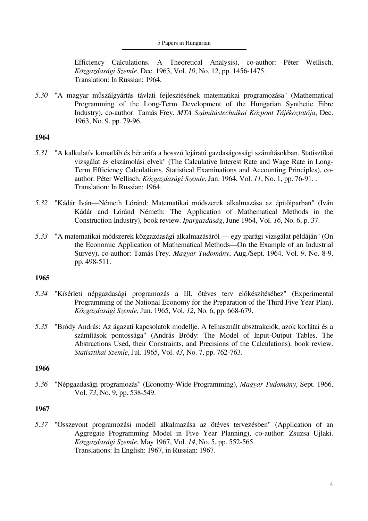#### 5 Papers in Hungarian

Efficiency Calculations. A Theoretical Analysis), co-author: Péter Wellisch. *Közgazdasági Szemle*, Dec. 1963, Vol. *10*, No. 12, pp. 1456-1475. Translation: In Russian: 1964.

*5.30* "A magyar műszálgyártás távlati fejlesztésének matematikai programozása" (Mathematical Programming of the Long-Term Development of the Hungarian Synthetic Fibre Industry), co-author: Tamás Frey. *MTA Számítástechnikai Központ Tájékoztatója*, Dec. 1963, No. 9, pp. 79-96.

## **1964**

- *5.31* "A kalkulatív kamatláb és bértarifa a hosszú lejáratú gazdaságossági számításokban. Statisztikai vizsgálat és elszámolási elvek" (The Calculative Interest Rate and Wage Rate in Long-Term Efficiency Calculations. Statistical Examinations and Accounting Principles), coauthor: Péter Wellisch. *Közgazdasági Szemle*, Jan. 1964, Vol. *11*, No. 1, pp. 76-91. . Translation: In Russian: 1964.
- *5.32* "Kádár Iván—Németh Lóránd: Matematikai módszerek alkalmazása az építőiparban" (Iván Kádár and Lóránd Németh: The Application of Mathematical Methods in the Construction Industry), book review. *Ipargazdaság*, June 1964, Vol. *16*, No. 6, p. 37.
- *5.33* "A matematikai módszerek közgazdasági alkalmazásáról egy iparági vizsgálat példáján" (On the Economic Application of Mathematical Methods—On the Example of an Industrial Survey), co-author: Tamás Frey. *Magyar Tudomány*, Aug./Sept. 1964, Vol. *9*, No. 8-9, pp. 498-511.

### **1965**

- *5.34* "Kísérleti népgazdasági programozás a III. ötéves terv előkészítéséhez" (Experimental Programming of the National Economy for the Preparation of the Third Five Year Plan), *Közgazdasági Szemle*, Jun. 1965, Vol. *12*, No. 6, pp. 668-679.
- *5.35* "Bródy András: Az ágazati kapcsolatok modellje. A felhasznált absztrakciók, azok korlátai és a számítások pontossága" (András Bródy: The Model of Input-Output Tables. The Abstractions Used, their Constraints, and Precisions of the Calculations), book review. *Statisztikai Szemle*, Jul. 1965, Vol. *43*, No. 7, pp. 762-763.

### **1966**

*5.36* "Népgazdasági programozás" (Economy-Wide Programming), *Magyar Tudomány*, Sept. 1966, Vol. *73*, No. 9, pp. 538-549.

### **1967**

*5.37* "Összevont programozási modell alkalmazása az ötéves tervezésben" (Application of an Aggregate Programming Model in Five Year Planning), co-author: Zsuzsa Ujlaki. *Közgazdasági Szemle*, May 1967, Vol. *14*, No. 5, pp. 552-565. Translations: In English: 1967, in Russian: 1967.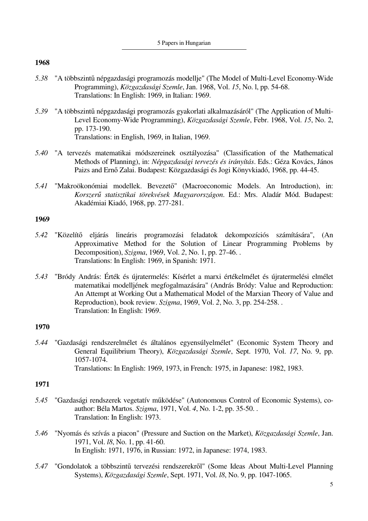- *5.38* "A többszintű népgazdasági programozás modellje" (The Model of Multi-Level Economy-Wide Programming), *Közgazdasági Szemle*, Jan. 1968, Vol. *15*, No. l, pp. 54-68. Translations: In English: 1969, in Italian: 1969.
- *5.39* "A többszintű népgazdasági programozás gyakorlati alkalmazásáról" (The Application of Multi-Level Economy-Wide Programming), *Közgazdasági Szemle*, Febr. 1968, Vol. *15*, No. 2, pp. 173-190. Translations: in English, 1969, in Italian, 1969.
- *5.40* "A tervezés matematikai módszereinek osztályozása" (Classification of the Mathematical Methods of Planning), in: *Népgazdasági tervezés és irányítás*. Eds.: Géza Kovács, János Paizs and Ernő Zalai. Budapest: Közgazdasági és Jogi Könyvkiadó, 1968, pp. 44-45.
- *5.41* "Makroökonómiai modellek. Bevezető" (Macroeconomic Models. An Introduction), in: *Korszerű statisztikai törekvések Magyarországon*. Ed.: Mrs. Aladár Mód. Budapest: Akadémiai Kiadó, 1968, pp. 277-281.

## **1969**

- *5.42* "Közelítő eljárás lineáris programozási feladatok dekompozíciós számítására", (An Approximative Method for the Solution of Linear Programming Problems by Decomposition), *Szigma*, 1969, Vol. *2*, No. 1, pp. 27-46. . Translations: In English: 1969, in Spanish: 1971.
- *5.43* "Bródy András: Érték és újratermelés: Kísérlet a marxi értékelmélet és újratermelési elmélet matematikai modelljének megfogalmazására" (András Bródy: Value and Reproduction: An Attempt at Working Out a Mathematical Model of the Marxian Theory of Value and Reproduction), book review. *Szigma*, 1969, Vol. *2*, No. 3, pp. 254-258. . Translation: In English: 1969.

## **1970**

*5.44* "Gazdasági rendszerelmélet és általános egyensúlyelmélet" (Economic System Theory and General Equilibrium Theory), *Közgazdasági Szemle*, Sept. 1970, Vol. *17*, No. 9, pp. 1057-1074. Translations: In English: 1969, 1973, in French: 1975, in Japanese: 1982, 1983.

- *5.45* "Gazdasági rendszerek vegetatív működése" (Autonomous Control of Economic Systems), coauthor: Béla Martos. *Szigma*, 1971, Vol. *4*, No. 1-2, pp. 35-50. . Translation: In English: 1973.
- *5.46* "Nyomás és szívás a piacon" (Pressure and Suction on the Market), *Közgazdasági Szemle*, Jan. 1971, Vol. *l8*, No. 1, pp. 41-60. In English: 1971, 1976, in Russian: 1972, in Japanese: 1974, 1983.
- *5.47* "Gondolatok a többszintű tervezési rendszerekről" (Some Ideas About Multi-Level Planning Systems), *Közgazdasági Szemle*, Sept. 1971, Vol. *l8*, No. 9, pp. 1047-1065.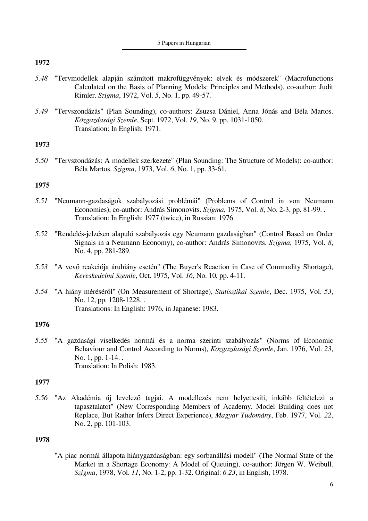- *5.48* "Tervmodellek alapján számított makrofüggvények: elvek és módszerek" (Macrofunctions Calculated on the Basis of Planning Models: Principles and Methods), co-author: Judit Rimler. *Szigma*, 1972, Vol. *5*, No. 1, pp. 49-57.
- *5.49* "Tervszondázás" (Plan Sounding), co-authors: Zsuzsa Dániel, Anna Jónás and Béla Martos. *Közgazdasági Szemle*, Sept. 1972, Vol. *19*, No. 9, pp. 1031-1050. . Translation: In English: 1971.

# **1973**

*5.50* "Tervszondázás: A modellek szerkezete" (Plan Sounding: The Structure of Models): co-author: Béla Martos. *Szigma*, 1973, Vol. *6*, No. 1, pp. 33-61.

## **1975**

- *5.51* "Neumann-gazdaságok szabályozási problémái" (Problems of Control in von Neumann Economies), co-author: András Simonovits. *Szigma*, 1975, Vol. *8*, No. 2-3, pp. 81-99. . Translation: In English: 1977 (twice), in Russian: 1976.
- *5.52* "Rendelés-jelzésen alapuló szabályozás egy Neumann gazdaságban" (Control Based on Order Signals in a Neumann Economy), co-author: András Simonovits. *Szigma*, 1975, Vol. *8*, No. 4, pp. 281-289.
- *5.53* "A vevő reakciója áruhiány esetén" (The Buyer's Reaction in Case of Commodity Shortage), *Kereskedelmi Szemle*, Oct. 1975, Vol. *16*, No. 10, pp. 4-11.
- *5.54* "A hiány méréséről" (On Measurement of Shortage), *Statisztikai Szemle*, Dec. 1975, Vol. *53*, No. 12, pp. 1208-1228. . Translations: In English: 1976, in Japanese: 1983.

## **1976**

*5.55* "A gazdasági viselkedés normái és a norma szerinti szabályozás" (Norms of Economic Behaviour and Control According to Norms), *Közgazdasági Szemle*, Jan. 1976, Vol. *23*, No. 1, pp. 1-14... Translation: In Polish: 1983.

## **1977**

*5.56* "Az Akadémia új levelező tagjai. A modellezés nem helyettesíti, inkább feltételezi a tapasztalatot" (New Corresponding Members of Academy. Model Building does not Replace, But Rather Infers Direct Experience), *Magyar Tudomány*, Feb. 1977, Vol. *22*, No. 2, pp. 101-103.

### **1978**

 "A piac normál állapota hiánygazdaságban: egy sorbanállási modell" (The Normal State of the Market in a Shortage Economy: A Model of Queuing), co-author: Jörgen W. Weibull. *Szigma*, 1978, Vol. *11*, No. 1-2, pp. 1-32. Original: *6.23*, in English, 1978.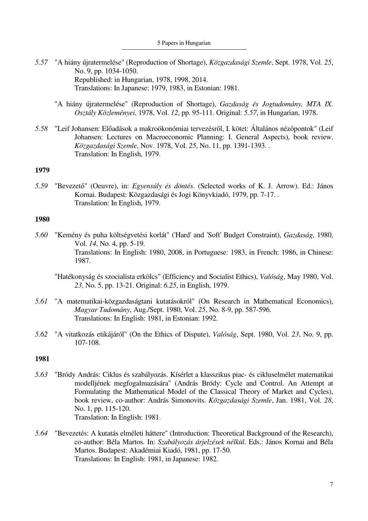- *5.57* "A hiány újratermelése" (Reproduction of Shortage), *Közgazdasági Szemle*, Sept. 1978, Vol. *25*, No. 9, pp. 1034-1050. Republished: in Hungarian, 1978, 1998, 2014. Translations: In Japanese: 1979, 1983, in Estonian: 1981.
	- "A hiány újratermelése" (Reproduction of Shortage), *Gazdaság és Jogtudomány, MTA IX. Osztály Közleményei*, 1978, Vol. *12*, pp. 95-111. Original: *5.57*, in Hungarian, 1978.
- *5.58* "Leif Johansen: Előadások a makroökonómiai tervezésről, I. kötet: Általános nézőpontok" (Leif Johansen: Lectures on Macroeconomic Planning: I. General Aspects), book review. *Közgazdasági Szemle*, Nov. 1978, Vol. *25*, No. 11, pp. 1391-1393. . Translation: In English, 1979.

*5.59* "Bevezető" (Oeuvre), in: *Egyensúly és döntés*. (Selected works of K. J. Arrow). Ed.: János Kornai. Budapest: Közgazdasági és Jogi Könyvkiadó, 1979, pp. 7-17. . Translation: In English, 1979.

### **1980**

*5.60* "Kemény és puha költségvetési korlát" ('Hard' and 'Soft' Budget Constraint), *Gazdaság*, 1980, Vol. *14*, No. 4, pp. 5-19. Translations: In English: 1980, 2008, in Portuguese: 1983, in French: 1986, in Chinese: 1987.

 "Hatékonyság és szocialista erkölcs" (Efficiency and Socialist Ethics), *Valóság*, May 1980, Vol. *23*, No. 5, pp. 13-21. Original: *6.25*, in English, 1979.

- *5.61* "A matematikai-közgazdaságtani kutatásokról" (On Research in Mathematical Economics), *Magyar Tudomány*, Aug./Sept. 1980, Vol. *25*, No. 8-9, pp. 587-596. Translations: In English: 1981, in Estonian: 1992.
- *5.62* "A vitatkozás etikájáról" (On the Ethics of Dispute), *Valóság*, Sept. 1980, Vol. *23*, No. 9, pp. 107-108.

- *5.63* "Bródy András: Ciklus és szabályozás. Kísérlet a klasszikus piac- és cikluselmélet matematikai modelljének megfogalmazására" (András Bródy: Cycle and Control. An Attempt at Formulating the Mathematical Model of the Classical Theory of Market and Cycles), book review, co-author: András Simonovits. *Közgazdasági Szemle*, Jan. 1981, Vol. *28*, No. 1, pp. 115-120. Translation: In English: 1981.
- *5.64* "Bevezetés: A kutatás elméleti háttere" (Introduction: Theoretical Background of the Research), co-author: Béla Martos. In: *Szabályozás árjelzések nélkül*. Eds.: János Kornai and Béla Martos. Budapest: Akadémiai Kiadó, 1981, pp. 17-50. Translations: In English: 1981, in Japanese: 1982.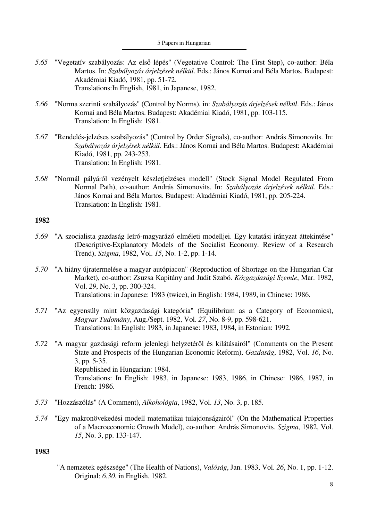- *5.65* "Vegetatív szabályozás: Az első lépés" (Vegetative Control: The First Step), co-author: Béla Martos. In: *Szabályozás árjelzések nélkül*. Eds.: János Kornai and Béla Martos. Budapest: Akadémiai Kiadó, 1981, pp. 51-72. Translations:In English, 1981, in Japanese, 1982.
- *5.66* "Norma szerinti szabályozás" (Control by Norms), in: *Szabályozás árjelzések nélkül*. Eds.: János Kornai and Béla Martos. Budapest: Akadémiai Kiadó, 1981, pp. 103-115. Translation: In English: 1981.
- *5.67* "Rendelés-jelzéses szabályozás" (Control by Order Signals), co-author: András Simonovits. In: *Szabályozás árjelzések nélkül*. Eds.: János Kornai and Béla Martos. Budapest: Akadémiai Kiadó, 1981, pp. 243-253. Translation: In English: 1981.
- *5.68* "Normál pályáról vezényelt készletjelzéses modell" (Stock Signal Model Regulated From Normal Path), co-author: András Simonovits. In: *Szabályozás árjelzések nélkül*. Eds.: János Kornai and Béla Martos. Budapest: Akadémiai Kiadó, 1981, pp. 205-224. Translation: In English: 1981.

- *5.69* "A szocialista gazdaság leíró-magyarázó elméleti modelljei. Egy kutatási irányzat áttekintése" (Descriptive-Explanatory Models of the Socialist Economy. Review of a Research Trend), *Szigma*, 1982, Vol. *15*, No. 1-2, pp. 1-14.
- *5.70* "A hiány újratermelése a magyar autópiacon" (Reproduction of Shortage on the Hungarian Car Market), co-author: Zsuzsa Kapitány and Judit Szabó. *Közgazdasági Szemle*, Mar. 1982, Vol. *29*, No. 3, pp. 300-324. Translations: in Japanese: 1983 (twice), in English: 1984, 1989, in Chinese: 1986.
- *5.71* "Az egyensúly mint közgazdasági kategória" (Equilibrium as a Category of Economics), *Magyar Tudomány*, Aug./Sept. 1982, Vol. *27*, No. 8-9, pp. 598-621. Translations: In English: 1983, in Japanese: 1983, 1984, in Estonian: 1992.
- *5.72* "A magyar gazdasági reform jelenlegi helyzetéről és kilátásairól" (Comments on the Present State and Prospects of the Hungarian Economic Reform), *Gazdaság*, 1982, Vol. *16*, No. 3, pp. 5-35. Republished in Hungarian: 1984. Translations: In English: 1983, in Japanese: 1983, 1986, in Chinese: 1986, 1987, in French: 1986.
- *5.73* "Hozzászólás" (A Comment), *Alkohológia*, 1982, Vol. *13*, No. 3, p. 185.
- *5.74* "Egy makronövekedési modell matematikai tulajdonságairól" (On the Mathematical Properties of a Macroeconomic Growth Model), co-author: András Simonovits. *Szigma*, 1982, Vol. *15*, No. 3, pp. 133-147.

## **1983**

"A nemzetek egészsége" (The Health of Nations), *Valóság*, Jan. 1983, Vol. *26*, No. 1, pp. 1-12. Original: *6.30*, in English, 1982.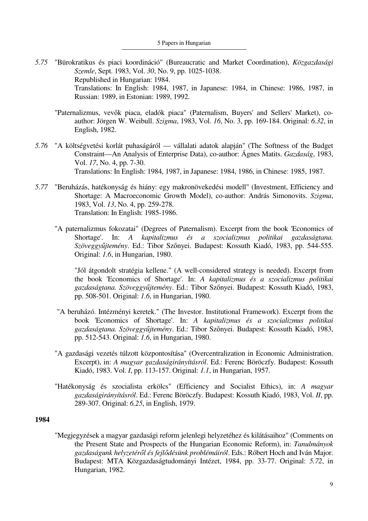- *5.75* "Bürokratikus és piaci koordináció" (Bureaucratic and Market Coordination), *Közgazdasági Szemle*, Sept. 1983, Vol. *30*, No. 9, pp. 1025-1038. Republished in Hungarian: 1984. Translations: In English: 1984, 1987, in Japanese: 1984, in Chinese: 1986, 1987, in Russian: 1989, in Estonian: 1989, 1992.
	- "Paternalizmus, vevők piaca, eladók piaca" (Paternalism, Buyers' and Sellers' Market), coauthor: Jörgen W. Weibull. *Szigma*, 1983, Vol. *16*, No. 3, pp. 169-184. Original: *6.32*, in English, 1982.
- *5.76* "A költségvetési korlát puhaságáról vállalati adatok alapján" (The Softness of the Budget Constraint—An Analysis of Enterprise Data), co-author: Ágnes Matits. *Gazdaság*, 1983, Vol. *17*, No. 4, pp. 7-30. Translations: In English: 1984, 1987, in Japanese: 1984, 1986, in Chinese: 1985, 1987.
- *5.77* "Beruházás, hatékonyság és hiány: egy makronövekedési modell" (Investment, Efficiency and Shortage: A Macroeconomic Growth Model), co-author: András Simonovits. *Szigma*, 1983, Vol. *13*, No. 4, pp. 259-278. Translation: In English: 1985-1986.
	- "A paternalizmus fokozatai" (Degrees of Paternalism). Excerpt from the book 'Economics of Shortage'. In: *A kapitalizmus és a szocializmus politikai gazdaságtana. Szöveggyűjtemény*. Ed.: Tibor Szőnyei. Budapest: Kossuth Kiadó, 1983, pp. 544-555. Original: *1.6*, in Hungarian, 1980.

 "Jól átgondolt stratégia kellene." (A well-considered strategy is needed). Excerpt from the book 'Economics of Shortage'. In: *A kapitalizmus és a szocializmus politikai gazdaságtana. Szöveggyűjtemény*. Ed.: Tibor Szőnyei. Budapest: Kossuth Kiadó, 1983, pp. 508-501. Original: *1.6*, in Hungarian, 1980.

- "A beruházó. Intézményi keretek." (The Investor. Institutional Framework). Excerpt from the book 'Economics of Shortage'. In: *A kapitalizmus és a szocializmus politikai gazdaságtana. Szöveggyűjtemény*. Ed.: Tibor Szőnyei. Budapest: Kossuth Kiadó, 1983, pp. 512-543. Original: *1.6*, in Hungarian, 1980.
- "A gazdasági vezetés túlzott központosítása" (Overcentralization in Economic Administration. Excerpt), in: *A magyar gazdaságirányításról*. Ed.: Ferenc Böröczfy. Budapest: Kossuth Kiadó, 1983. Vol. *I*, pp. 113-157. Original: *1.1*, in Hungarian, 1957.
- "Hatékonyság és szocialista erkölcs" (Efficiency and Socialist Ethics), in: *A magyar gazdaságirányításról*. Ed.: Ferenc Böröczfy. Budapest: Kossuth Kiadó, 1983, Vol. *II*, pp. 289-307. Original: *6.25*, in English, 1979.

## **1984**

 "Megjegyzések a magyar gazdasági reform jelenlegi helyzetéhez és kilátásaihoz" (Comments on the Present State and Prospects of the Hungarian Economic Reform), in: *Tanulmányok gazdaságunk helyzetéről és fejlődésünk problémáiról*. Eds.: Róbert Hoch and Iván Major. Budapest: MTA Közgazdaságtudományi Intézet, 1984, pp. 33-77. Original: *5.72*, in Hungarian, 1982.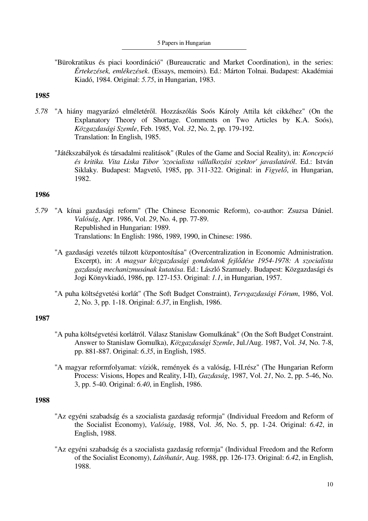#### 5 Papers in Hungarian

 "Bürokratikus és piaci koordináció" (Bureaucratic and Market Coordination), in the series: *Értekezések, emlékezések*. (Essays, memoirs). Ed.: Márton Tolnai. Budapest: Akadémiai Kiadó, 1984. Original: *5.75*, in Hungarian, 1983.

### **1985**

- *5.78* "A hiány magyarázó elméletéről. Hozzászólás Soós Károly Attila két cikkéhez" (On the Explanatory Theory of Shortage. Comments on Two Articles by K.A. Soós), *Közgazdasági Szemle*, Feb. 1985, Vol. *32*, No. 2, pp. 179-192. Translation: In English, 1985.
	- "Játékszabályok és társadalmi realitások" (Rules of the Game and Social Reality), in: *Koncepció és kritika. Vita Liska Tibor 'szocialista vállalkozási szektor' javaslatáról*. Ed.: István Siklaky. Budapest: Magvető, 1985, pp. 311-322. Original: in *Figyelő*, in Hungarian, 1982.

## **1986**

- *5.79* "A kínai gazdasági reform" (The Chinese Economic Reform), co-author: Zsuzsa Dániel. *Valóság*, Apr. 1986, Vol. *29*, No. 4, pp. 77-89. Republished in Hungarian: 1989. Translations: In English: 1986, 1989, 1990, in Chinese: 1986.
	- "A gazdasági vezetés túlzott központosítása" (Overcentralization in Economic Administration. Excerpt), in: *A magyar közgazdasági gondolatok fejlődése 1954-1978: A szocialista gazdaság mechanizmusának kutatása*. Ed.: László Szamuely. Budapest: Közgazdasági és Jogi Könyvkiadó, 1986, pp. 127-153. Original: *1.1*, in Hungarian, 1957.
	- "A puha költségvetési korlát" (The Soft Budget Constraint), *Tervgazdasági Fórum*, 1986, Vol. *2*, No. 3, pp. 1-18. Original: *6.37*, in English, 1986.

### **1987**

- "A puha költségvetési korlátról. Válasz Stanislaw Gomulkának" (On the Soft Budget Constraint. Answer to Stanislaw Gomulka), *Közgazdasági Szemle*, Jul./Aug. 1987, Vol. *34*, No. 7-8, pp. 881-887. Original: *6.35*, in English, 1985.
- "A magyar reformfolyamat: víziók, remények és a valóság, I-II.rész" (The Hungarian Reform Process: Visions, Hopes and Reality, I-II), *Gazdaság*, 1987, Vol. *21*, No. 2, pp. 5-46, No. 3, pp. 5-40. Original: *6.40*, in English, 1986.

- "Az egyéni szabadság és a szocialista gazdaság reformja" (Individual Freedom and Reform of the Socialist Economy), *Valóság*, 1988, Vol. *36*, No. 5, pp. 1-24. Original: *6.42*, in English, 1988.
- "Az egyéni szabadság és a szocialista gazdaság reformja" (Individual Freedom and the Reform of the Socialist Economy), *Látóhatár*, Aug. 1988, pp. 126-173. Original: *6.42*, in English, 1988.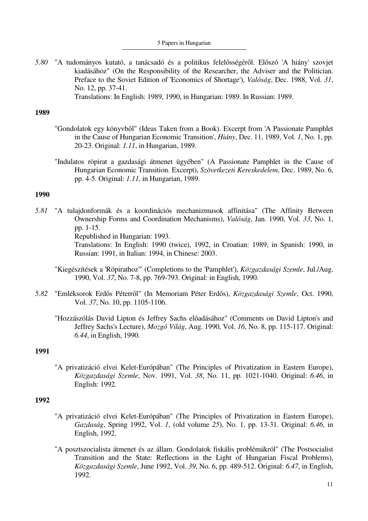*5.80* "A tudományos kutató, a tanácsadó és a politikus felelősségéről. Előszó 'A hiány' szovjet kiadásához" (On the Responsibility of the Researcher, the Adviser and the Politician. Preface to the Soviet Edition of 'Economics of Shortage'), *Valóság*, Dec. 1988, Vol. *31*, No. 12, pp. 37-41.

Translations: In English: 1989, 1990, in Hungarian: 1989. In Russian: 1989.

## **1989**

- "Gondolatok egy könyvből" (Ideas Taken from a Book). Excerpt from 'A Passionate Pamphlet in the Cause of Hungarian Economic Transition', *Hiány*, Dec. 11, 1989, Vol. *1*, No. 1, pp. 20-23. Original: *1.11*, in Hungarian, 1989.
- "Indulatos röpirat a gazdasági átmenet ügyében" (A Passionate Pamphlet in the Cause of Hungarian Economic Transition. Excerpt), *Szövetkezeti Kereskedelem*, Dec. 1989, No. 6, pp. 4-5. Original: *1.11*, in Hungarian, 1989.

## **1990**

*5.81* "A tulajdonformák és a koordinációs mechanizmusok affinitása" (The Affinity Between Ownership Forms and Coordination Mechanisms), *Valóság*, Jan. 1990, Vol. *33*, No. 1, pp. 1-15.

Republished in Hungarian: 1993.

Translations: In English: 1990 (twice), 1992, in Croatian: 1989, in Spanish: 1990, in Russian: 1991, in Italian: 1994, in Chinese: 2003.

- "Kiegészítések a 'Röpirathoz'" (Completions to the 'Pamphlet'), *Közgazdasági Szemle*, Jul./Aug. 1990, Vol. *37*, No. 7-8, pp. 769-793. Original: in English, 1990.
- *5.82* "Emléksorok Erdős Péterről" (In Memoriam Péter Erdős), *Közgazdasági Szemle*, Oct. 1990, Vol. *37*, No. 10, pp. 1105-1106.
	- "Hozzászólás David Lipton és Jeffrey Sachs előadásához" (Comments on David Lipton's and Jeffrey Sachs's Lecture), *Mozgó Világ*, Aug. 1990, Vol. *16*, No. 8, pp. 115-117. Original: *6.44*, in English, 1990.

## **1991**

 "A privatizáció elvei Kelet-Európában" (The Principles of Privatization in Eastern Europe), *Közgazdasági Szemle*, Nov. 1991, Vol. *38*, No. 11, pp. 1021-1040. Original: *6.46*, in English: 1992.

- "A privatizáció elvei Kelet-Európában" (The Principles of Privatization in Eastern Europe), *Gazdaság*, Spring 1992, Vol. *1*, (old volume *25*), No. 1, pp. 13-31. Original: *6.46*, in English, 1992.
- "A posztszocialista átmenet és az állam. Gondolatok fiskális problémákról" (The Postsocialist Transition and the State: Reflections in the Light of Hungarian Fiscal Problems), *Közgazdasági Szemle*, June 1992, Vol. *39*, No. 6, pp. 489-512. Original: *6.47*, in English, 1992.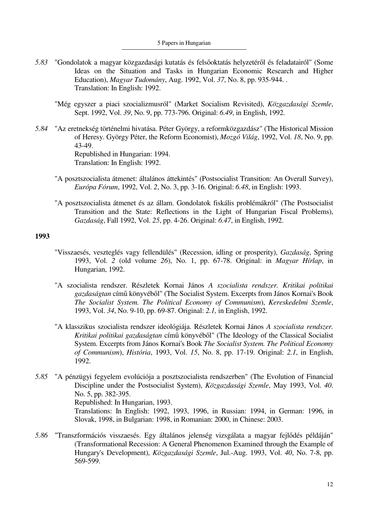- *5.83* "Gondolatok a magyar közgazdasági kutatás és felsőoktatás helyzetéről és feladatairól" (Some Ideas on the Situation and Tasks in Hungarian Economic Research and Higher Education), *Magyar Tudomány*, Aug. 1992, Vol. *37*, No. 8, pp. 935-944. . Translation: In English: 1992.
	- "Még egyszer a piaci szocializmusról" (Market Socialism Revisited), *Közgazdasági Szemle*, Sept. 1992, Vol. *39*, No. 9, pp. 773-796. Original: *6.49*, in English, 1992.
- *5.84* "Az eretnekség történelmi hivatása. Péter György, a reformközgazdász" (The Historical Mission of Heresy. György Péter, the Reform Economist), *Mozgó Világ*, 1992, Vol. *18*, No. 9, pp. 43-49. Republished in Hungarian: 1994. Translation: In English: 1992.
	- "A posztszocialista átmenet: általános áttekintés" (Postsocialist Transition: An Overall Survey), *Európa Fórum*, 1992, Vol. *2*, No. 3, pp. 3-16. Original: *6.48*, in English: 1993.
	- "A posztszocialista átmenet és az állam. Gondolatok fiskális problémákról" (The Postsocialist Transition and the State: Reflections in the Light of Hungarian Fiscal Problems), *Gazdaság*, Fall 1992, Vol. *25*, pp. 4-26. Original: *6.47*, in English, 1992.

- "Visszaesés, veszteglés vagy fellendülés" (Recession, idling or prosperity), *Gazdaság*, Spring 1993, Vol. *2* (old volume *26*), No. 1, pp. 67-78. Original: in *Magyar Hírlap*, in Hungarian, 1992.
- "A szocialista rendszer. Részletek Kornai János *A szocialista rendszer. Kritikai politikai gazdaságtan* című könyvéből" (The Socialist System. Excerpts from János Kornai's Book *The Socialist System. The Political Economy of Communism*), *Kereskedelmi Szemle*, 1993, Vol. *34*, No. 9-10, pp. 69-87. Original: *2.1,* in English, 1992.
- "A klasszikus szocialista rendszer ideológiája. Részletek Kornai János *A szocialista rendszer. Kritikai politikai gazdaságtan* című könyvéből" (The Ideology of the Classical Socialist System. Excerpts from János Kornai's Book *The Socialist System. The Political Economy of Communism*), *História*, 1993, Vol. *15*, No. 8, pp. 17-19. Original: *2.1*, in English, 1992.
- *5.85* "A pénzügyi fegyelem evolúciója a posztszocialista rendszerben" (The Evolution of Financial Discipline under the Postsocialist System), *Közgazdasági Szemle*, May 1993, Vol. *40*. No. 5, pp. 382-395. Republished: In Hungarian, 1993.

Translations: In English: 1992, 1993, 1996, in Russian: 1994, in German: 1996, in Slovak, 1998, in Bulgarian: 1998, in Romanian: 2000, in Chinese: 2003.

*5.86* "Transzformációs visszaesés. Egy általános jelenség vizsgálata a magyar fejlődés példáján" (Transformational Recession: A General Phenomenon Examined through the Example of Hungary's Development), *Közgazdasági Szemle*, Jul.-Aug. 1993, Vol. *40*, No. 7-8, pp. 569-599.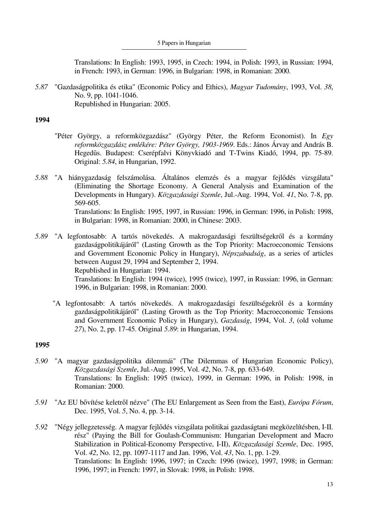Translations: In English: 1993, 1995, in Czech: 1994, in Polish: 1993, in Russian: 1994, in French: 1993, in German: 1996, in Bulgarian: 1998, in Romanian: 2000.

*5.87* "Gazdaságpolitika és etika" (Economic Policy and Ethics), *Magyar Tudomány*, 1993, Vol. *38*, No. 9, pp. 1041-1046. Republished in Hungarian: 2005.

## **1994**

- "Péter György, a reformközgazdász" (György Péter, the Reform Economist). In *Egy reformközgazdász emlékére: Péter György, 1903-1969*. Eds.: János Árvay and András B. Hegedűs. Budapest: Cserépfalvi Könyvkiadó and T-Twins Kiadó, 1994, pp. 75-89. Original: *5.84*, in Hungarian, 1992.
- *5.88* "A hiánygazdaság felszámolása. Általános elemzés és a magyar fejlődés vizsgálata" (Eliminating the Shortage Economy. A General Analysis and Examination of the Developments in Hungary). *Közgazdasági Szemle*, Jul.-Aug. 1994, Vol. *41*, No. 7-8, pp. 569-605. Translations: In English: 1995, 1997, in Russian: 1996, in German: 1996, in Polish: 1998, in Bulgarian: 1998, in Romanian: 2000, in Chinese: 2003.
- *5.89* "A legfontosabb: A tartós növekedés. A makrogazdasági feszültségekről és a kormány gazdaságpolitikájáról" (Lasting Growth as the Top Priority: Macroeconomic Tensions and Government Economic Policy in Hungary), *Népszabadság*, as a series of articles between August 29, 1994 and September 2, 1994. Republished in Hungarian: 1994. Translations: In English: 1994 (twice), 1995 (twice), 1997, in Russian: 1996, in German: 1996, in Bulgarian: 1998, in Romanian: 2000.
	- "A legfontosabb: A tartós növekedés. A makrogazdasági feszültségekről és a kormány gazdaságpolitikájáról" (Lasting Growth as the Top Priority: Macroeconomic Tensions and Government Economic Policy in Hungary), *Gazdaság*, 1994, Vol. *3*, (old volume *27*), No. 2, pp. 17-45. Original *5.89*: in Hungarian, 1994.

- *5.90* "A magyar gazdaságpolitika dilemmái" (The Dilemmas of Hungarian Economic Policy), *Közgazdasági Szemle*, Jul.-Aug. 1995, Vol. *42*, No. 7-8, pp. 633-649. Translations: In English: 1995 (twice), 1999, in German: 1996, in Polish: 1998, in Romanian: 2000.
- *5.91* "Az EU bővítése keletről nézve" (The EU Enlargement as Seen from the East), *Európa Fórum*, Dec. 1995, Vol. *5*, No. 4, pp. 3-14.
- *5.92* "Négy jellegzetesség. A magyar fejlődés vizsgálata politikai gazdaságtani megközelítésben, I-II. rész" (Paying the Bill for Goulash-Communism: Hungarian Development and Macro Stabilization in Political-Economy Perspective, I-II), *Közgazdasági Szemle*, Dec. 1995, Vol. *42*, No. 12, pp. 1097-1117 and Jan. 1996, Vol. *43*, No. 1, pp. 1-29. Translations: In English: 1996, 1997; in Czech: 1996 (twice), 1997, 1998; in German: 1996, 1997; in French: 1997, in Slovak: 1998, in Polish: 1998.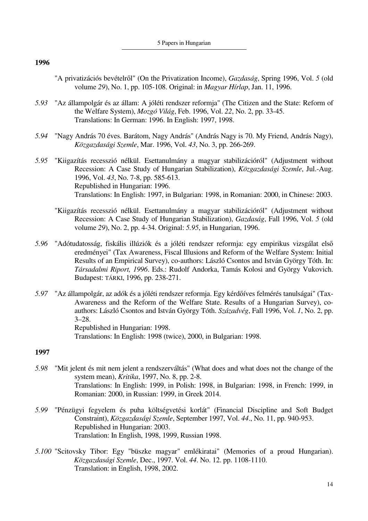- "A privatizációs bevételről" (On the Privatization Income), *Gazdaság*, Spring 1996, Vol. *5* (old volume *29*), No. 1, pp. 105-108. Original: in *Magyar Hírlap*, Jan. 11, 1996.
- *5.93* "Az állampolgár és az állam: A jóléti rendszer reformja" (The Citizen and the State: Reform of the Welfare System), *Mozgó Világ*, Feb. 1996, Vol. *22*, No. 2, pp. 33-45. Translations: In German: 1996. In English: 1997, 1998.
- *5.94* "Nagy András 70 éves. Barátom, Nagy András" (András Nagy is 70. My Friend, András Nagy), *Közgazdasági Szemle*, Mar. 1996, Vol. *43*, No. 3, pp. 266-269.
- *5.95* "Kiigazítás recesszió nélkül. Esettanulmány a magyar stabilizációról" (Adjustment without Recession: A Case Study of Hungarian Stabilization), *Közgazdasági Szemle*, Jul.-Aug. 1996, Vol. *43*, No. 7-8, pp. 585-613. Republished in Hungarian: 1996. Translations: In English: 1997, in Bulgarian: 1998, in Romanian: 2000, in Chinese: 2003.
	- "Kiigazítás recesszió nélkül. Esettanulmány a magyar stabilizációról" (Adjustment without Recession: A Case Study of Hungarian Stabilization), *Gazdaság*, Fall 1996, Vol. *5* (old volume *29*), No. 2, pp. 4-34. Original: *5.95*, in Hungarian, 1996.
- *5.96* "Adótudatosság, fiskális illúziók és a jóléti rendszer reformja: egy empirikus vizsgálat első eredményei" (Tax Awareness, Fiscal Illusions and Reform of the Welfare System: Initial Results of an Empirical Survey), co-authors: László Csontos and István György Tóth. In: *Társadalmi Riport, 1996*. Eds.: Rudolf Andorka, Tamás Kolosi and György Vukovich. Budapest: TÁRKI, 1996, pp. 238-271.
- *5.97* "Az állampolgár, az adók és a jóléti rendszer reformja. Egy kérdőíves felmérés tanulságai" (Tax-Awareness and the Reform of the Welfare State. Results of a Hungarian Survey), coauthors: László Csontos and István György Tóth. *Századvég*, Fall 1996, Vol. *1*, No. 2, pp. 3–28. Republished in Hungarian: 1998. Translations: In English: 1998 (twice), 2000, in Bulgarian: 1998.

- *5.98* "Mit jelent és mit nem jelent a rendszerváltás" (What does and what does not the change of the system mean), *Kritika*, 1997, No. 8, pp. 2-8. Translations: In English: 1999, in Polish: 1998, in Bulgarian: 1998, in French: 1999, in Romanian: 2000, in Russian: 1999, in Greek 2014.
- *5.99* "Pénzügyi fegyelem és puha költségvetési korlát" (Financial Discipline and Soft Budget Constraint), *Közgazdasági Szemle*, September 1997, Vol. *44*., No. 11, pp. 940-953. Republished in Hungarian: 2003. Translation: In English, 1998, 1999, Russian 1998.
- *5.100* "Scitovsky Tibor: Egy "büszke magyar" emlékiratai" (Memories of a proud Hungarian). *Közgazdasági Szemle*, Dec., 1997. Vol. *44*. No. 12. pp. 1108-1110. Translation: in English, 1998, 2002.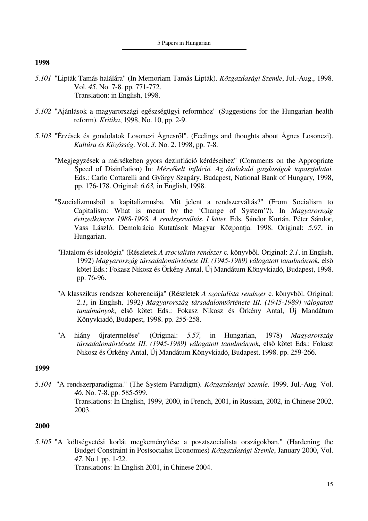- *5.101* "Lipták Tamás halálára" (In Memoriam Tamás Lipták). *Közgazdasági Szemle*, Jul.-Aug., 1998. Vol. *45*. No. 7-8. pp. 771-772. Translation: in English, 1998.
- *5.102* "Ajánlások a magyarországi egészségügyi reformhoz" (Suggestions for the Hungarian health reform). *Kritika*, 1998, No. 10, pp. 2-9.
- *5.103* "Érzések és gondolatok Losonczi Ágnesről". (Feelings and thoughts about Ágnes Losonczi). *Kultúra és Közösség*. Vol. *3*. No. 2. 1998, pp. 7-8.
	- "Megjegyzések a mérsékelten gyors dezinfláció kérdéseihez" (Comments on the Appropriate Speed of Disinflation) In: *Mérsékelt infláció. Az átalakuló gazdaságok tapasztalatai.* Eds.: Carlo Cottarelli and György Szapáry. Budapest, National Bank of Hungary, 1998, pp. 176-178. Original: *6.63,* in English, 1998.
	- "Szocializmusból a kapitalizmusba. Mit jelent a rendszerváltás?" (From Socialism to Capitalism: What is meant by the 'Change of System'?). In *Magyarország évtizedkönyve 1988-1998. A rendszerváltás. I kötet.* Eds. Sándor Kurtán, Péter Sándor, Vass László. Demokrácia Kutatások Magyar Központja. 1998. Original: *5.97*, in Hungarian.
	- "Hatalom és ideológia" (Részletek *A szocialista rendszer* c*.* könyvből. Original: *2.1*, in English, 1992) *Magyarország társadalomtörténete III. (1945-1989) válogatott tanulmányok*, első kötet Eds.: Fokasz Nikosz és Örkény Antal, Új Mandátum Könyvkiadó, Budapest, 1998. pp. 76-96.
	- "A klasszikus rendszer koherenciája" (Részletek *A szocialista rendszer* c*.* könyvből. Original: *2.1*, in English, 1992) *Magyarország társadalomtörténete III. (1945-1989) válogatott tanulmányok*, első kötet Eds.: Fokasz Nikosz és Örkény Antal, Új Mandátum Könyvkiadó, Budapest, 1998. pp. 255-258.
	- "A hiány újratermelése" (Original: *5.57,* in Hungarian, 1978) *Magyarország társadalomtörténete III. (1945-1989) válogatott tanulmányok*, első kötet Eds.: Fokasz Nikosz és Örkény Antal, Új Mandátum Könyvkiadó, Budapest, 1998. pp. 259-266.

### **1999**

5.*104* "A rendszerparadigma." (The System Paradigm). *Közgazdasági Szemle*. 1999. Jul.-Aug. Vol. *46*. No. 7-8. pp. 585-599. Translations: In English, 1999, 2000, in French, 2001, in Russian, 2002, in Chinese 2002, 2003.

### **2000**

*5.105* "A költségvetési korlát megkeményítése a posztszocialista országokban." (Hardening the Budget Constraint in Postsocialist Economies) *Közgazdasági Szemle*, January 2000, Vol. *47*. No.1 pp. 1-22. Translations: In English 2001, in Chinese 2004.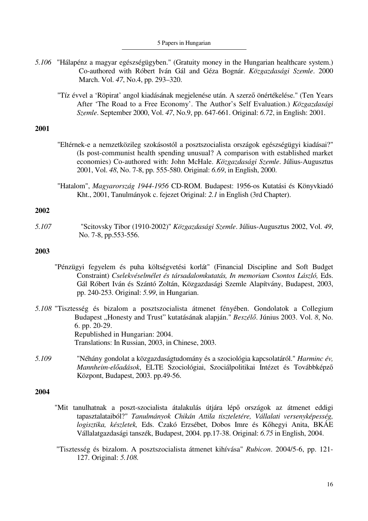- *5.106* "Hálapénz a magyar egészségügyben." (Gratuity money in the Hungarian healthcare system.) Co-authored with Róbert Iván Gál and Géza Bognár. *Közgazdasági Szemle*. 2000 March. Vol. *47*, No.4, pp. 293–320.
	- "Tíz évvel a 'Röpirat' angol kiadásának megjelenése után. A szerző önértékelése." (Ten Years After 'The Road to a Free Economy'. The Author's Self Evaluation.) *Közgazdasági Szemle*. September 2000, Vol. *47*, No.9, pp. 647-661. Original: *6.72*, in English: 2001.

- "Eltérnek-e a nemzetközileg szokásostól a posztszocialista országok egészségügyi kiadásai?" (Is post-communist health spending unusual? A comparison with established market economies) Co-authored with: John McHale. *Közgazdasági Szemle*. Július-Augusztus 2001, Vol. *48*, No. 7-8, pp. 555-580. Original: *6.69*, in English, 2000.
- "Hatalom", *Magyarország 1944-1956* CD-ROM. Budapest: 1956-os Kutatási és Könyvkiadó Kht., 2001, Tanulmányok c. fejezet Original: *2.1* in English (3rd Chapter).

### **2002**

*5.107* "Scitovsky Tibor (1910-2002)" *Közgazdasági Szemle*. Július-Augusztus 2002, Vol. *49*, No. 7-8, pp.553-556.

## **2003**

- "Pénzügyi fegyelem és puha költségvetési korlát" (Financial Discipline and Soft Budget Constraint) *Cselekvéselmélet és társadalomkutatás, In memoriam Csontos László,* Eds. Gál Róbert Iván és Szántó Zoltán, Közgazdasági Szemle Alapítvány, Budapest, 2003, pp. 240-253. Original: *5.99*, in Hungarian.
- *5.108* "Tisztesség és bizalom a posztszocialista átmenet fényében. Gondolatok a Collegium Budapest "Honesty and Trust" kutatásának alapján." *Beszélő*. Június 2003. Vol. 8, No. 6. pp. 20-29. Republished in Hungarian: 2004. Translations: In Russian, 2003, in Chinese, 2003.
- *5.109* "Néhány gondolat a közgazdaságtudomány és a szociológia kapcsolatáról." *Harminc év, Mannheim-előadások*, ELTE Szociológiai, Szociálpolitikai Intézet és Továbbképző Központ, Budapest, 2003. pp.49-56.

- "Mit tanulhatnak a poszt-szocialista átalakulás útjára lépő országok az átmenet eddigi tapasztalataiból?" *Tanulmányok Chikán Attila tiszteletére, Vállalati versenyképesség, logisztika, készletek,* Eds. Czakó Erzsébet, Dobos Imre és Kőhegyi Anita, BKÁE Vállalatgazdasági tanszék, Budapest, 2004. pp.17-38. Original: *6.75* in English, 2004.
- "Tisztesség és bizalom. A posztszocialista átmenet kihívása" *Rubicon*. 2004/5-6, pp. 121- 127. Original: *5.108.*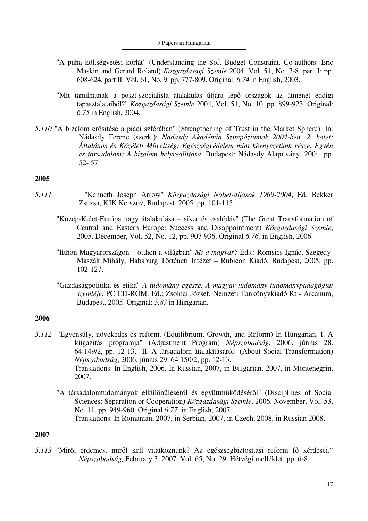- "A puha költségvetési korlát" (Understanding the Soft Budget Constraint. Co-authors: Eric Maskin and Gerard Roland) *Közgazdasági Szemle* 2004, Vol. 51, No. 7-8, part I: pp. 608-624, part II: Vol. 61, No. 9, pp. 777-809. Original: *6.74* in English, 2003.
- "Mit tanulhatnak a poszt-szocialista átalakulás útjára lépő országok az átmenet eddigi tapasztalataiból?" *Közgazdasági Szemle* 2004, Vol. 51, No. 10, pp. 899-923. Original: *6.75* in English, 2004.
- *5.110* "A bizalom erősítése a piaci szférában" (Strengthening of Trust in the Market Sphere). In: Nádasdy Ferenc (szerk.): *Nádasdy Akadémia Szimpóziumok 2004-ben. 2. kötet: Általános és Közéleti Műveltség: Egészségvédelem mint környezetünk része. Egyén és társadalom: A bizalom helyreállítása*. Budapest: Nádasdy Alapítvány, 2004. pp. 52- 57.

- *5.111* "Kenneth Joseph Arrow" *Közgazdasági Nobel-díjasok 1969-2004*, Ed. Bekker Zsuzsa, KJK Kerszöv, Budapest, 2005. pp. 101-115
	- "Közép-Kelet-Európa nagy átalakulása siker és csalódás" (The Great Transformation of Central and Eastern Europe: Success and Disappointment) *Közgazdasági Szemle*, 2005. December, Vol. 52, No. 12, pp. 907-936. Original *6.76,* in English, 2006.
	- "Itthon Magyarországon otthon a világban" *Mi a magyar?* Eds.: Romsics Ignác, Szegedy-Maszák Mihály, Habsburg Történeti Intézet – Rubicon Kiadó, Budapest, 2005, pp. 102-127.
	- "Gazdaságpolitika és etika" *A tudomány egésze. A magyar tudomány tudománypadagógiai szemléje*, PC CD-ROM. Ed.: Zsolnai József, Nemzeti Tankönyvkiadó Rt - Arcanum, Budapest, 2005. Original: *5.87* in Hungarian.

### **2006**

- *5.112* "Egyensúly, növekedés és reform. (Equilibrium, Growth, and Reform) In Hungarian. I. A kiigazítás programja" (Adjustment Program) *Népszabadság*, 2006. június 28. 64:149/2, pp. 12-13. "II. A társadalom átalakításáról" (About Social Transformation) *Népszabadság*, 2006. június 29. 64:150/2, pp. 12-13. Translations: In English, 2006. In Russian, 2007, in Bulgarian, 2007, in Montenegrin, 2007.
	- "A társadalomtudományok elkülönüléséről és együttműködéséről" (Disciplines of Social Sciences: Separation or Cooperation) *Közgazdasági Szemle*, 2006. November, Vol. 53, No. 11, pp. 949-960. Original *6.77,* in English, 2007. Translations: In Romanian, 2007, in Serbian, 2007, in Czech, 2008, in Russian 2008.

### **2007**

*5.113* "Miről érdemes, miről kell vitatkoznunk? Az egészségbiztosítási reform fő kérdései." *Népszabadság,* February 3, 2007. Vol. 65, No. 29. Hétvégi melléklet, pp. 6-8.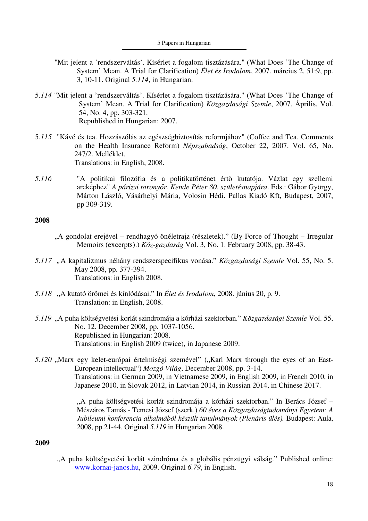- "Mit jelent a 'rendszerváltás'. Kísérlet a fogalom tisztázására." (What Does 'The Change of System' Mean. A Trial for Clarification) *Élet és Irodalom*, 2007. március 2. 51:9, pp. 3, 10-11. Original *5.114*, in Hungarian.
- 5.*114* "Mit jelent a 'rendszerváltás'. Kísérlet a fogalom tisztázására." (What Does 'The Change of System' Mean. A Trial for Clarification) *Közgazdasági Szemle*, 2007. Április, Vol. 54, No. 4, pp. 303-321. Republished in Hungarian: 2007.
- 5.*115* "Kávé és tea. Hozzászólás az egészségbiztosítás reformjához" (Coffee and Tea. Comments on the Health Insurance Reform) *Népszabadság*, October 22, 2007. Vol. 65, No. 247/2. Melléklet. Translations: in English, 2008.
- *5.116* "A politikai filozófia és a politikatörténet értő kutatója. Vázlat egy szellemi arcképhez" *A párizsi toronyőr. Kende Péter 80. születésnapjára*. Eds.: Gábor György, Márton László, Vásárhelyi Mária, Volosin Hédi. Pallas Kiadó Kft, Budapest, 2007, pp 309-319.

- "A gondolat erejével rendhagyó önéletrajz (részletek)." (By Force of Thought Irregular Memoirs (excerpts).) *Köz-gazdaság* Vol. 3, No. 1. February 2008, pp. 38-43.
- *5.117 "*A kapitalizmus néhány rendszerspecifikus vonása." *Közgazdasági Szemle* Vol. 55, No. 5. May 2008, pp. 377-394. Translations: in English 2008.
- *5.118* "A kutató örömei és kínlódásai." In *Élet és Irodalom*, 2008. június 20, p. 9. Translation: in English, 2008.
- *5.119* "A puha költségvetési korlát szindromája a kórházi szektorban." *Közgazdasági Szemle* Vol. 55, No. 12. December 2008, pp. 1037-1056. Republished in Hungarian: 2008. Translations: in English 2009 (twice), in Japanese 2009.
- *5.120* "Marx egy kelet-európai értelmiségi szemével" ("Karl Marx through the eyes of an East-European intellectual") *Mozgó Világ*, December 2008, pp. 3-14. Translations: in German 2009, in Vietnamese 2009, in English 2009, in French 2010, in Japanese 2010, in Slovak 2012, in Latvian 2014, in Russian 2014, in Chinese 2017.

"A puha költségvetési korlát szindromája a kórházi szektorban." In Berács József – Mészáros Tamás - Temesi József (szerk.) *60 éves a Közgazdaságtudományi Egyetem: A Jubileumi konferencia alkalmából készült tanulmányok (Plenáris ülés).* Budapest: Aula, 2008, pp.21-44. Original *5.119* in Hungarian 2008.

### **2009**

"A puha költségvetési korlát szindróma és a globális pénzügyi válság." Published online: www.kornai-janos.hu, 2009. Original *6.79*, in English.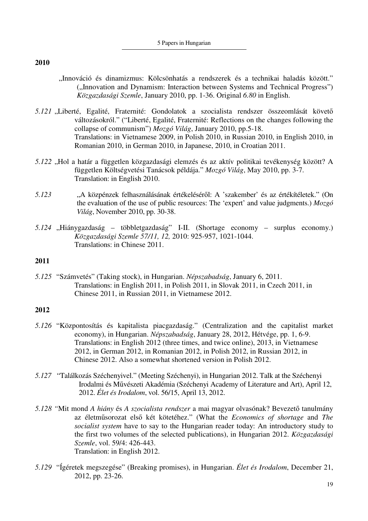- "Innováció és dinamizmus: Kölcsönhatás a rendszerek és a technikai haladás között." ("Innovation and Dynamism: Interaction between Systems and Technical Progress") *Közgazdasági Szemle*, January 2010, pp. 1-36. Original *6.80* in English.
- *5.121* "Liberté, Egalité, Fraternité: Gondolatok a szocialista rendszer összeomlását követő változásokról." ("Liberté, Egalité, Fraternité: Reflections on the changes following the collapse of communism") *Mozgó Világ*, January 2010, pp.5-18. Translations: in Vietnamese 2009, in Polish 2010, in Russian 2010, in English 2010, in Romanian 2010, in German 2010, in Japanese, 2010, in Croatian 2011.
- *5.122* "Hol a határ a független közgazdasági elemzés és az aktív politikai tevékenység között? A független Költségvetési Tanácsok példája." *Mozgó Világ*, May 2010, pp. 3-7. Translation: in English 2010.
- *5.123* "A közpénzek felhasználásának értékeléséről: A 'szakember' és az értékítéletek." (On the evaluation of the use of public resources: The 'expert' and value judgments.) *Mozgó Világ*, November 2010, pp. 30-38.
- *5.124* "Hiánygazdaság többletgazdaság" I-II. (Shortage economy surplus economy.) *Közgazdasági Szemle 57/11, 12,* 2010: 925-957, 1021-1044. Translations: in Chinese 2011.

## **2011**

*5.125* "Számvetés" (Taking stock), in Hungarian. *Népszabadság*, January 6, 2011. Translations: in English 2011, in Polish 2011, in Slovak 2011, in Czech 2011, in Chinese 2011, in Russian 2011, in Vietnamese 2012.

- *5.126* "Központosítás és kapitalista piacgazdaság." (Centralization and the capitalist market economy), in Hungarian. *Népszabadság*, January 28, 2012, Hétvége, pp. 1, 6-9. Translations: in English 2012 (three times, and twice online), 2013, in Vietnamese 2012, in German 2012, in Romanian 2012, in Polish 2012, in Russian 2012, in Chinese 2012. Also a somewhat shortened version in Polish 2012.
- *5.127* "Találkozás Széchenyivel." (Meeting Széchenyi), in Hungarian 2012. Talk at the Széchenyi Irodalmi és Művészeti Akadémia (Széchenyi Academy of Literature and Art), April 12, 2012. *Élet és Irodalom*, vol. 56/15, April 13, 2012.
- *5.128 "*Mit mond *A hiány* és *A szocialista rendszer* a mai magyar olvasónak? Bevezető tanulmány az életműsorozat első két kötetéhez." (What the *Economics of shortage* and *The socialist system* have to say to the Hungarian reader today: An introductory study to the first two volumes of the selected publications), in Hungarian 2012. *Közgazdasági Szemle*, vol. 59/4: 426-443. Translation: in English 2012.
- *5.129* "Ígéretek megszegése" (Breaking promises), in Hungarian. *Élet és Irodalom*, December 21, 2012, pp. 23-26.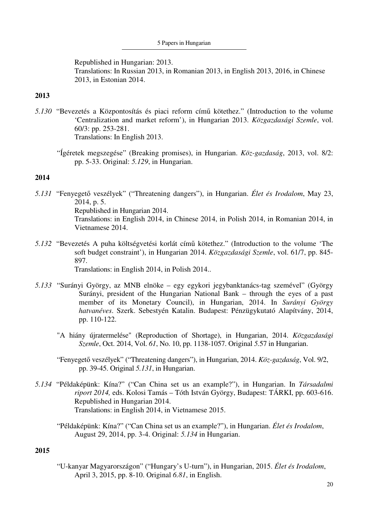Republished in Hungarian: 2013. Translations: In Russian 2013, in Romanian 2013, in English 2013, 2016, in Chinese 2013, in Estonian 2014.

## **2013**

- *5.130* "Bevezetés a Központosítás és piaci reform című kötethez." (Introduction to the volume 'Centralization and market reform'), in Hungarian 2013. *Közgazdasági Szemle*, vol. 60/3: pp. 253-281. Translations: In English 2013.
	- "Ígéretek megszegése" (Breaking promises), in Hungarian. *Köz-gazdaság*, 2013, vol. 8/2: pp. 5-33. Original: *5.129*, in Hungarian.

## **2014**

- *5.131* "Fenyegető veszélyek" ("Threatening dangers"), in Hungarian. *Élet és Irodalom*, May 23, 2014, p. 5. Republished in Hungarian 2014. Translations: in English 2014, in Chinese 2014, in Polish 2014, in Romanian 2014, in Vietnamese 2014.
- *5.132* "Bevezetés A puha költségvetési korlát című kötethez." (Introduction to the volume 'The soft budget constraint'), in Hungarian 2014. *Közgazdasági Szemle*, vol. 61/7, pp. 845- 897. Translations: in English 2014, in Polish 2014..
- *5.133* "Surányi György, az MNB elnöke egy egykori jegybanktanács-tag szemével" (György Surányi, president of the Hungarian National Bank – through the eyes of a past member of its Monetary Council), in Hungarian, 2014. In *Surányi György hatvanéves*. Szerk. Sebestyén Katalin. Budapest: Pénzügykutató Alapítvány, 2014, pp. 110-122.
	- "A hiány újratermelése" (Reproduction of Shortage), in Hungarian, 2014. *Közgazdasági Szemle*, Oct. 2014, Vol. *61*, No. 10, pp. 1138-1057. Original *5.*57 in Hungarian.
	- "Fenyegető veszélyek" ("Threatening dangers"), in Hungarian, 2014. *Köz-gazdaság*, Vol. 9/2, pp. 39-45. Original *5.131*, in Hungarian.
- *5.134* "Példaképünk: Kína?" ("Can China set us an example?"), in Hungarian. In *Társadalmi riport 2014,* eds. Kolosi Tamás – Tóth István György, Budapest: TÁRKI, pp. 603-616. Republished in Hungarian 2014. Translations: in English 2014, in Vietnamese 2015.
	- "Példaképünk: Kína?" ("Can China set us an example?"), in Hungarian. *Élet és Irodalom*, August 29, 2014, pp. 3-4. Original: *5.134* in Hungarian.

# **2015**

"U-kanyar Magyarországon" ("Hungary's U-turn"), in Hungarian, 2015. *Élet és Irodalom*, April 3, 2015, pp. 8-10. Original *6.81*, in English.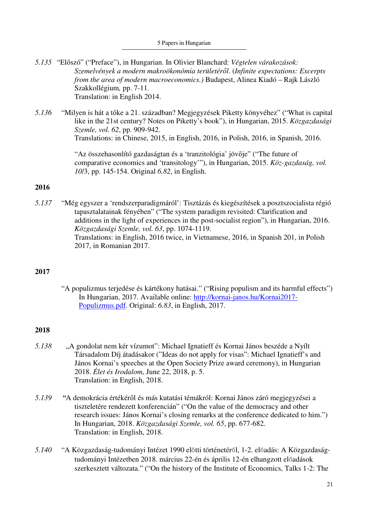- *5.135* "Előszó" ("Preface"), in Hungarian. In Olivier Blanchard: *Végtelen várakozások: Szemelvények a modern makroökonómia területéről*. (*Infinite expectations: Excerpts from the area of modern macroeconomics.)* Budapest, Alinea Kiadó – Rajk László Szakkollégium*,* pp. 7-11. Translation: in English 2014.
- *5.136* "Milyen is hát a tőke a 21. században? Megjegyzések Piketty könyvéhez" ("What is capital like in the 21st century? Notes on Piketty's book"), in Hungarian, 2015. *Közgazdasági Szemle, vol. 62*, pp. 909-942. Translations: in Chinese, 2015, in English, 2016, in Polish, 2016, in Spanish, 2016.

"Az összehasonlító gazdaságtan és a 'tranzitológia' jövője" ("The future of comparative economics and 'transitology'"), in Hungarian, 2015. *Köz-gazdaság, vol. 10*/3, pp. 145-154. Original *6.82*, in English.

# **2016**

*5.137* "Még egyszer a 'rendszerparadigmáról': Tisztázás és kiegészítések a posztszocialista régió tapasztalatainak fényében" ("The system paradigm revisited: Clarification and additions in the light of experiences in the post-socialist region"), in Hungarian, 2016. *Közgazdasági Szemle, vol. 63*, pp. 1074-1119. Translations: in English, 2016 twice, in Vietnamese, 2016, in Spanish 201, in Polish 2017, in Romanian 2017.

## **2017**

 "A populizmus terjedése és kártékony hatásai." ("Rising populism and its harmful effects") In Hungarian, 2017. Available online: http://kornai-janos.hu/Kornai2017- Populizmus.pdf. Original: *6.83*, in English, 2017.

- *5.138* "A gondolat nem kér vízumot": Michael Ignatieff és Kornai János beszéde a Nyílt Társadalom Díj átadásakor ("Ideas do not apply for visas": Michael Ignatieff's and János Kornai's speeches at the Open Society Prize award ceremony), in Hungarian 2018. *Élet és Irodalom*, June 22, 2018, p. 5. Translation: in English, 2018.
- *5.139* "A demokrácia értékéről és más kutatási témákról: Kornai János záró megjegyzései a tiszteletére rendezett konferencián" ("On the value of the democracy and other research issues: János Kornai's closing remarks at the conference dedicated to him.") In Hungarian, 2018. *Közgazdasági Szemle, vol. 65*, pp. 677-682. Translation: in English, 2018.
- *5.140* "A Közgazdaság-tudományi Intézet 1990 előtti történetéről, 1-2. előadás: A Közgazdaságtudományi Intézetben 2018. március 22-én és április 12-én elhangzott előadások szerkesztett változata." ("On the history of the Institute of Economics, Talks 1-2: The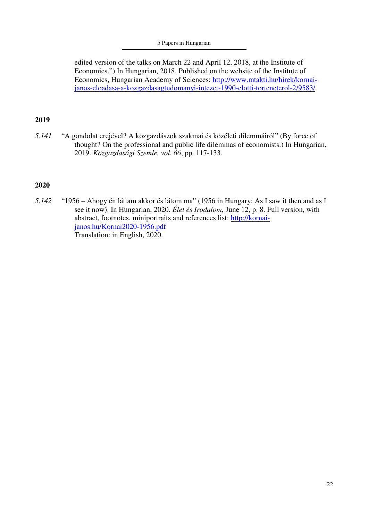#### 5 Papers in Hungarian

edited version of the talks on March 22 and April 12, 2018, at the Institute of Economics.") In Hungarian, 2018. Published on the website of the Institute of Economics, Hungarian Academy of Sciences: http://www.mtakti.hu/hirek/kornaijanos-eloadasa-a-kozgazdasagtudomanyi-intezet-1990-elotti-torteneterol-2/9583/

## **2019**

*5.141* "A gondolat erejével? A közgazdászok szakmai és közéleti dilemmáiról" (By force of thought? On the professional and public life dilemmas of economists.) In Hungarian, 2019. *Közgazdasági Szemle, vol. 66*, pp. 117-133.

## **2020**

*5.142* "1956 – Ahogy én láttam akkor és látom ma" (1956 in Hungary: As I saw it then and as I see it now). In Hungarian, 2020. *Élet és Irodalom*, June 12, p. 8. Full version, with abstract, footnotes, miniportraits and references list: http://kornaijanos.hu/Kornai2020-1956.pdf Translation: in English, 2020.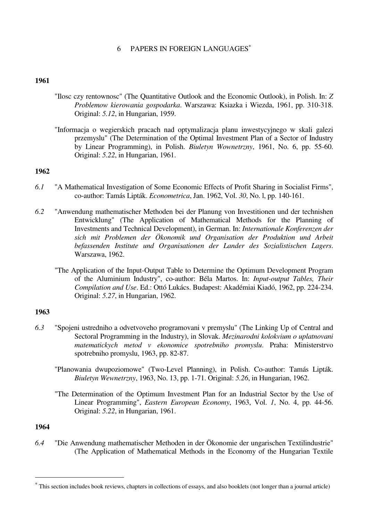### 6 PAPERS IN FOREIGN LANGUAGES<sup>∗</sup>

### **1961**

- "Ilosc czy rentownosc" (The Quantitative Outlook and the Economic Outlook), in Polish. In: *Z Problemow kierowania gospodarka*. Warszawa: Ksiazka i Wiezda, 1961, pp. 310-318. Original: *5.12*, in Hungarian, 1959.
- "Informacja o wegierskich pracach nad optymalizacja planu inwestycyjnego w skali galezi przemyslu" (The Determination of the Optimal Investment Plan of a Sector of Industry by Linear Programming), in Polish. *Biuletyn Wownetrzny*, 1961, No. 6, pp. 55-60. Original: *5.22*, in Hungarian, 1961.

### **1962**

- *6.1* "A Mathematical Investigation of Some Economic Effects of Profit Sharing in Socialist Firms", co-author: Tamás Lipták. *Econometrica*, Jan. 1962, Vol. *30*, No. l, pp. 140-161.
- *6.2* "Anwendung mathematischer Methoden bei der Planung von Investitionen und der technishen Entwicklung" (The Application of Mathematical Methods for the Planning of Investments and Technical Development), in German. In: *Internationale Konferenzen der sich mit Problemen der Ökonomik und Organisation der Produktion und Arbeit befassenden Institute und Organisationen der Lander des Sozialistischen Lagers*. Warszawa, 1962.
	- "The Application of the Input-Output Table to Determine the Optimum Development Program of the Aluminium Industry", co-author: Béla Martos. In: *Input-output Tables, Their Compilation and Use*. Ed.: Ottó Lukács. Budapest: Akadémiai Kiadó, 1962, pp. 224-234. Original: *5.27*, in Hungarian, 1962.

#### **1963**

- *6.3* "Spojeni ustredniho a odvetvoveho programovani v premyslu" (The Linking Up of Central and Sectoral Programming in the Industry), in Slovak. *Mezinarodni kolokvium o uplatnovani matematickych metod v ekonomice spotrebniho promyslu*. Praha: Ministerstrvo spotrebniho promyslu, 1963, pp. 82-87.
	- "Planowania dwupoziomowe" (Two-Level Planning), in Polish. Co-author: Tamás Lipták. *Biuletyn Wewnetrzny*, 1963, No. 13, pp. 1-71. Original: *5.26*, in Hungarian, 1962.
	- "The Determination of the Optimum Investment Plan for an Industrial Sector by the Use of Linear Programming", *Eastern European Economy*, 1963, Vol. *1*, No. 4, pp. 44-56. Original: *5.22*, in Hungarian, 1961.

#### **1964**

 $\overline{\phantom{0}}$ 

*6.4* "Die Anwendung mathematischer Methoden in der Ökonomie der ungarischen Textilindustrie" (The Application of Mathematical Methods in the Economy of the Hungarian Textile

<sup>∗</sup> This section includes book reviews, chapters in collections of essays, and also booklets (not longer than a journal article)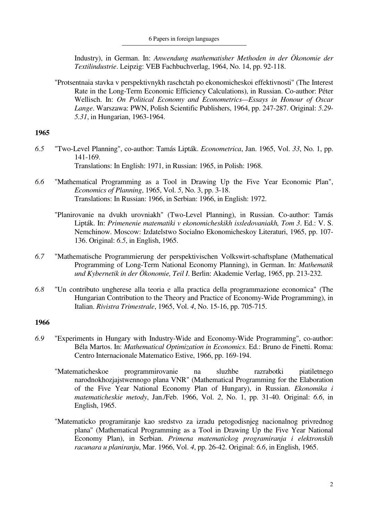Industry), in German. In: *Anwendung mathematisher Methoden in der Ökonomie der Textilindustrie*. Leipzig: VEB Fachbuchverlag, 1964, No. 14, pp. 92-118.

 "Protsentnaia stavka v perspektivnykh raschctah po ekonomicheskoi effektivnosti" (The Interest Rate in the Long-Term Economic Efficiency Calculations), in Russian. Co-author: Péter Wellisch. In: *On Political Economy and Econometrics—Essays in Honour of Oscar Lange*. Warszawa: PWN, Polish Scientific Publishers, 1964, pp. 247-287. Original: *5.29*- *5.31*, in Hungarian, 1963-1964.

## **1965**

- *6.5* "Two-Level Planning", co-author: Tamás Lipták. *Econometrica*, Jan. 1965, Vol. *33*, No. 1, pp. 141-169. Translations: In English: 1971, in Russian: 1965, in Polish: 1968.
- *6.6* "Mathematical Programming as a Tool in Drawing Up the Five Year Economic Plan", *Economics of Planning*, 1965, Vol. *5*, No. 3, pp. 3-18. Translations: In Russian: 1966, in Serbian: 1966, in English: 1972.
	- "Planirovanie na dvukh urovniakh" (Two-Level Planning), in Russian. Co-author: Tamás Lipták. In: *Primenenie matematiki v ekonomicheskikh issledovaniakh, Tom 3*. Ed.: V. S. Nemchinow. Moscow: Izdatelstwo Socialno Ekonomicheskoy Literaturi, 1965, pp. 107- 136. Original: *6.5*, in English, 1965.
- *6.7* "Mathematische Programmierung der perspektivischen Volkswirt-schaftsplane (Mathematical Programming of Long-Term National Economy Planning), in German. In: *Mathematik und Kybernetik in der Ökonomie, Teil I*. Berlin: Akademie Verlag, 1965, pp. 213-232.
- *6.8* "Un contributo ungherese alla teoria e alla practica della programmazione economica" (The Hungarian Contribution to the Theory and Practice of Economy-Wide Programming), in Italian. *Rivistra Trimestrale*, 1965, Vol. *4*, No. 15-16, pp. 705-715.

- *6.9* "Experiments in Hungary with Industry-Wide and Economy-Wide Programming", co-author: Béla Martos. In: *Mathematical Optimization in Economics*. Ed.: Bruno de Finetti. Roma: Centro Internacionale Matematico Estive, 1966, pp. 169-194.
	- "Matematicheskoe programmirovanie na sluzhbe razrabotki piatiletnego narodnokhozjajstwennogo plana VNR" (Mathematical Programming for the Elaboration of the Five Year National Economy Plan of Hungary), in Russian. *Ekonomika i matematicheskie metody*, Jan./Feb. 1966, Vol. *2*, No. 1, pp. 31-40. Original: *6.6*, in English, 1965.
	- "Matematicko programiranje kao sredstvo za izradu petogodisnjeg nacionalnog privrednog plana" (Mathematical Programming as a Tool in Drawing Up the Five Year National Economy Plan), in Serbian. *Primena matematickog programiranja i elektronskih racunara u planiranju*, Mar. 1966, Vol. *4*, pp. 26-42. Original: *6.6*, in English, 1965.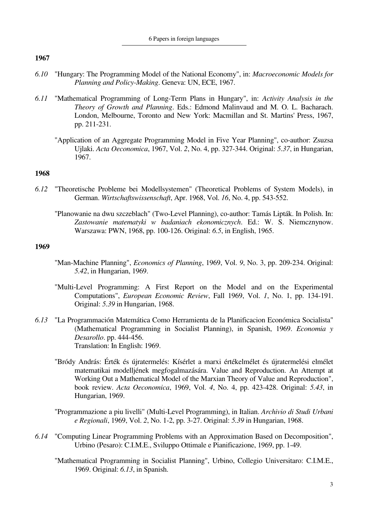- *6.10* "Hungary: The Programming Model of the National Economy", in: *Macroeconomic Models for Planning and Policy-Making*. Geneva: UN, ECE, 1967.
- *6.11* "Mathematical Programming of Long-Term Plans in Hungary", in: *Activity Analysis in the Theory of Growth and Planning*. Eds.: Edmond Malinvaud and M. O. L. Bacharach. London, Melbourne, Toronto and New York: Macmillan and St. Martins' Press, 1967, pp. 211-231.
	- "Application of an Aggregate Programming Model in Five Year Planning", co-author: Zsuzsa Ujlaki. *Acta Oeconomica*, 1967, Vol. *2*, No. 4, pp. 327-344. Original: *5.37*, in Hungarian, 1967.

## **1968**

- *6.12* "Theoretische Probleme bei Modellsystemen" (Theoretical Problems of System Models), in German. *Wirtschaftswissenschaft*, Apr. 1968, Vol. *16*, No. 4, pp. 543-552.
	- "Planowanie na dwu szczeblach" (Two-Level Planning), co-author: Tamás Lipták. In Polish. In: *Zastowanie matematyki w badaniach ekonomicznych*. Ed.: W. S. Niemcznynow. Warszawa: PWN, 1968, pp. 100-126. Original: *6.5*, in English, 1965.

- "Man-Machine Planning", *Economics of Planning*, 1969, Vol. *9*, No. 3, pp. 209-234. Original: *5.42*, in Hungarian, 1969.
- "Multi-Level Programming: A First Report on the Model and on the Experimental Computations", *European Economic Review*, Fall 1969, Vol. *1*, No. 1, pp. 134-191. Original: *5.39* in Hungarian, 1968.
- *6.13* "La Programmación Matemática Como Herramienta de la Planificacion Económica Socialista" (Mathematical Programming in Socialist Planning), in Spanish, 1969. *Economia y Desarollo*. pp. 444-456. Translation: In English: 1969.
	- "Bródy András: Érték és újratermelés: Kísérlet a marxi értékelmélet és újratermelési elmélet matematikai modelljének megfogalmazására. Value and Reproduction. An Attempt at Working Out a Mathematical Model of the Marxian Theory of Value and Reproduction", book review. *Acta Oeconomica*, 1969, Vol. *4*, No. 4, pp. 423-428. Original: *5.43*, in Hungarian, 1969.
	- "Programmazione a piu livelli" (Multi-Level Programming), in Italian. *Archivio di Studi Urbani e Regionali*, 1969, Vol. *2*, No. 1-2, pp. 3-27. Original: *5.39* in Hungarian, 1968.
- *6.14* "Computing Linear Programming Problems with an Approximation Based on Decomposition", Urbino (Pesaro): C.I.M.E., Sviluppo Ottimale e Pianificazione, 1969, pp. 1-49.
	- "Mathematical Programming in Socialist Planning", Urbino, Collegio Universitaro: C.I.M.E., 1969. Original: *6.13*, in Spanish.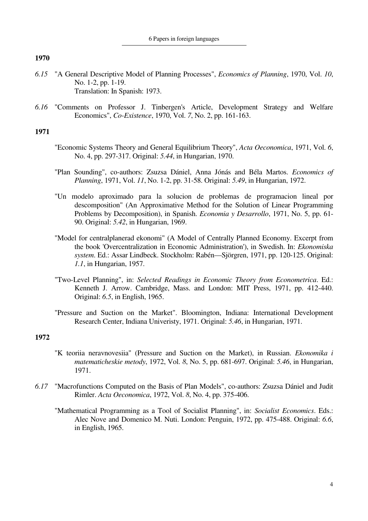- *6.15* "A General Descriptive Model of Planning Processes", *Economics of Planning*, 1970, Vol. *10*, No. 1-2, pp. 1-19. Translation: In Spanish: 1973.
- *6.16* "Comments on Professor J. Tinbergen's Article, Development Strategy and Welfare Economics", *Co-Existence*, 1970, Vol. *7*, No. 2, pp. 161-163.

## **1971**

- "Economic Systems Theory and General Equilibrium Theory", *Acta Oeconomica*, 1971, Vol. *6*, No. 4, pp. 297-317. Original: *5.44*, in Hungarian, 1970.
- "Plan Sounding", co-authors: Zsuzsa Dániel, Anna Jónás and Béla Martos. *Economics of Planning*, 1971, Vol. *11*, No. 1-2, pp. 31-58. Original: *5.49*, in Hungarian, 1972.
- "Un modelo aproximado para la solucion de problemas de programacion lineal por descomposition" (An Approximative Method for the Solution of Linear Programming Problems by Decomposition), in Spanish. *Economia y Desarrollo*, 1971, No. 5, pp. 61- 90. Original: *5.42*, in Hungarian, 1969.
- "Model for centralplanerad ekonomi" (A Model of Centrally Planned Economy. Excerpt from the book 'Overcentralization in Economic Administration'), in Swedish. In: *Ekonomiska system*. Ed.: Assar Lindbeck. Stockholm: Rabén—Sjörgren, 1971, pp. 120-125. Original: *1.1*, in Hungarian, 1957.
- "Two-Level Planning", in: *Selected Readings in Economic Theory from Econometrica*. Ed.: Kenneth J. Arrow. Cambridge, Mass. and London: MIT Press, 1971, pp. 412-440. Original: *6.5*, in English, 1965.
- "Pressure and Suction on the Market". Bloomington, Indiana: International Development Research Center, Indiana Univeristy, 1971. Original: *5.46*, in Hungarian, 1971.

- "K teoriia neravnovesiia" (Pressure and Suction on the Market), in Russian. *Ekonomika i matematicheskie metody*, 1972, Vol. *8*, No. 5, pp. 681-697. Original: *5.46*, in Hungarian, 1971.
- *6.17* "Macrofunctions Computed on the Basis of Plan Models", co-authors: Zsuzsa Dániel and Judit Rimler. *Acta Oeconomica*, 1972, Vol. *8*, No. 4, pp. 375-406.
	- "Mathematical Programming as a Tool of Socialist Planning", in: *Socialist Economics*. Eds.: Alec Nove and Domenico M. Nuti. London: Penguin, 1972, pp. 475-488. Original: *6.6*, in English, 1965.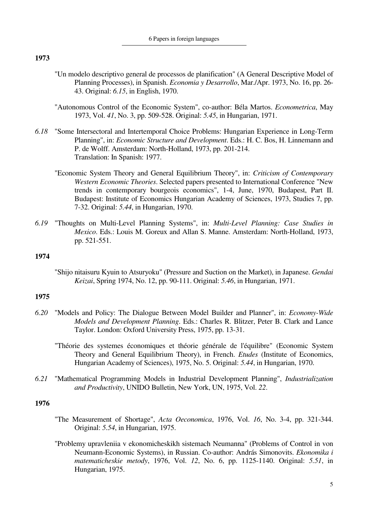- "Un modelo descriptivo general de processos de planification" (A General Descriptive Model of Planning Processes), in Spanish. *Economia y Desarrollo*, Mar./Apr. 1973, No. 16, pp. 26- 43. Original: *6.15*, in English, 1970.
- "Autonomous Control of the Economic System", co-author: Béla Martos. *Econometrica*, May 1973, Vol. *41*, No. 3, pp. 509-528. Original: *5.45*, in Hungarian, 1971.
- *6.18* "Some Intersectoral and Intertemporal Choice Problems: Hungarian Experience in Long-Term Planning", in: *Economic Structure and Development*. Eds.: H. C. Bos, H. Linnemann and P. de Wolff. Amsterdam: North-Holland, 1973, pp. 201-214. Translation: In Spanish: 1977.
	- "Economic System Theory and General Equilibrium Theory", in: *Criticism of Contemporary Western Economic Theories*. Selected papers presented to International Conference "New trends in contemporary bourgeois economics", 1-4, June, 1970, Budapest, Part II. Budapest: Institute of Economics Hungarian Academy of Sciences, 1973, Studies 7, pp. 7-32. Original: *5.44*, in Hungarian, 1970.
- *6.19* "Thoughts on Multi-Level Planning Systems", in: *Multi-Level Planning: Case Studies in Mexico*. Eds.: Louis M. Goreux and Allan S. Manne. Amsterdam: North-Holland, 1973, pp. 521-551.

### **1974**

 "Shijo nitaisuru Kyuin to Atsuryoku" (Pressure and Suction on the Market), in Japanese. *Gendai Keizai*, Spring 1974, No. 12, pp. 90-111. Original: *5.46*, in Hungarian, 1971.

## **1975**

- *6.20* "Models and Policy: The Dialogue Between Model Builder and Planner", in: *Economy-Wide Models and Development Planning*. Eds.: Charles R. Blitzer, Peter B. Clark and Lance Taylor. London: Oxford University Press, 1975, pp. 13-31.
	- "Théorie des systemes économiques et théorie générale de l'équilibre" (Economic System Theory and General Equilibrium Theory), in French. *Etudes* (Institute of Economics, Hungarian Academy of Sciences), 1975, No. 5. Original: *5.44*, in Hungarian, 1970.
- *6.21* "Mathematical Programming Models in Industrial Development Planning", *Industrialization and Productivity*, UNIDO Bulletin, New York, UN, 1975, Vol. *22*.

- "The Measurement of Shortage", *Acta Oeconomica*, 1976, Vol. *16*, No. 3-4, pp. 321-344. Original: *5.54*, in Hungarian, 1975.
- "Problemy upravleniia v ekonomicheskikh sistemach Neumanna" (Problems of Control in von Neumann-Economic Systems), in Russian. Co-author: András Simonovits. *Ekonomika i matematicheskie metody*, 1976, Vol. *12*, No. 6, pp. 1125-1140. Original: *5.51*, in Hungarian, 1975.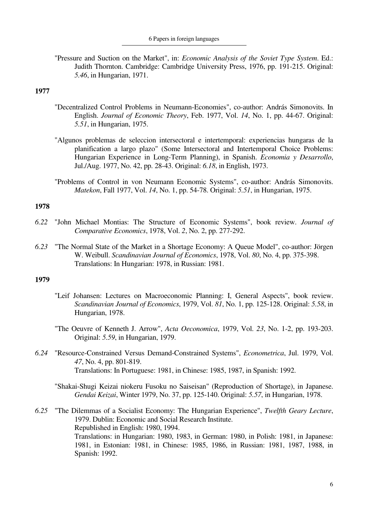"Pressure and Suction on the Market", in: *Economic Analysis of the Soviet Type System*. Ed.: Judith Thornton. Cambridge: Cambridge University Press, 1976, pp. 191-215. Original: *5.46*, in Hungarian, 1971.

## **1977**

- "Decentralized Control Problems in Neumann-Economies", co-author: András Simonovits. In English. *Journal of Economic Theory*, Feb. 1977, Vol. *14*, No. 1, pp. 44-67. Original: *5.51*, in Hungarian, 1975.
- "Algunos problemas de seleccion intersectoral e intertemporal: experiencias hungaras de la planification a largo plazo" (Some Intersectoral and Intertemporal Choice Problems: Hungarian Experience in Long-Term Planning), in Spanish. *Economia y Desarrollo*, Jul./Aug. 1977, No. 42, pp. 28-43. Original: *6.18*, in English, 1973.
- "Problems of Control in von Neumann Economic Systems", co-author: András Simonovits. *Matekon*, Fall 1977, Vol. *14*, No. 1, pp. 54-78. Original: *5.51*, in Hungarian, 1975.

## **1978**

- *6.22* "John Michael Montias: The Structure of Economic Systems", book review. *Journal of Comparative Economics*, 1978, Vol. *2*, No. 2, pp. 277-292.
- *6.23* "The Normal State of the Market in a Shortage Economy: A Queue Model", co-author: Jörgen W. Weibull. *Scandinavian Journal of Economics*, 1978, Vol. *80*, No. 4, pp. 375-398. Translations: In Hungarian: 1978, in Russian: 1981.

- "Leif Johansen: Lectures on Macroeconomic Planning: I, General Aspects", book review. *Scandinavian Journal of Economics*, 1979, Vol. *81*, No. 1, pp. 125-128. Original: *5.58*, in Hungarian, 1978.
- "The Oeuvre of Kenneth J. Arrow", *Acta Oeconomica*, 1979, Vol. *23*, No. 1-2, pp. 193-203. Original: *5.59*, in Hungarian, 1979.
- *6.24* "Resource-Constrained Versus Demand-Constrained Systems", *Econometrica*, Jul. 1979, Vol. *47*, No. 4, pp. 801-819. Translations: In Portuguese: 1981, in Chinese: 1985, 1987, in Spanish: 1992.
	- "Shakai-Shugi Keizai niokeru Fusoku no Saiseisan" (Reproduction of Shortage), in Japanese. *Gendai Keizai*, Winter 1979, No. 37, pp. 125-140. Original: *5.57*, in Hungarian, 1978.
- *6.25* "The Dilemmas of a Socialist Economy: The Hungarian Experience", *Twelfth Geary Lecture*, 1979. Dublin: Economic and Social Research Institute. Republished in English: 1980, 1994. Translations: in Hungarian: 1980, 1983, in German: 1980, in Polish: 1981, in Japanese: 1981, in Estonian: 1981, in Chinese: 1985, 1986, in Russian: 1981, 1987, 1988, in Spanish: 1992.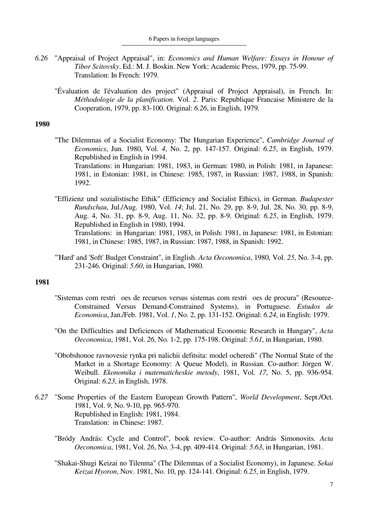- *6.26* "Appraisal of Project Appraisal", in: *Economics and Human Welfare: Essays in Honour of Tibor Scitovsky*. Ed.: M. J. Boskin. New York: Academic Press, 1979, pp. 75-99. Translation: In French: 1979.
	- "Évaluation de l'évaluation des project" (Appraisal of Project Appraisal), in French. In: *Méthodologie de la planification*. Vol. *2*. Paris: Republique Francaise Ministere de la Cooperation, 1979, pp. 83-100. Original: *6.26*, in English, 1979.

- "The Dilemmas of a Socialist Economy: The Hungarian Experience", *Cambridge Journal of Economics*, Jun. 1980, Vol. *4*, No. 2, pp. 147-157. Original: *6.25*, in English, 1979. Republished in English in 1994. Translations: in Hungarian: 1981, 1983, in German: 1980, in Polish: 1981, in Japanese: 1981, in Estonian: 1981, in Chinese: 1985, 1987, in Russian: 1987, 1988, in Spanish: 1992.
- "Effizienz und sozialistische Ethik" (Efficiency and Socialist Ethics), in German. *Budapester Rundschau*, Jul./Aug. 1980, Vol. *14*; Jul. 21, No. 29, pp. 8-9, Jul. 28, No. 30, pp. 8-9, Aug. 4, No. 31, pp. 8-9, Aug. 11, No. 32, pp. 8-9. Original: *6.25*, in English, 1979. Republished in English in 1980, 1994. Translations: in Hungarian: 1981, 1983, in Polish: 1981, in Japanese: 1981, in Estonian: 1981, in Chinese: 1985, 1987, in Russian: 1987, 1988, in Spanish: 1992.
- "'Hard' and 'Soft' Budget Constraint", in English. *Acta Oeconomica*, 1980, Vol. *25*, No. 3-4, pp. 231-246. Original: *5.60*, in Hungarian, 1980.

- "Sistemas com restri oes de recursos versus sistemas com restri oes de procura" (Resource-Constrained Versus Demand-Constrained Systems), in Portuguese. *Estudos de Economica*, Jan./Feb. 1981, Vol. *1*, No. 2, pp. 131-152. Original: *6.24*, in English: 1979.
- "On the Difficulties and Deficiences of Mathematical Economic Research in Hungary", *Acta Oeconomica*, 1981, Vol. *26*, No. 1-2, pp. 175-198. Original: *5.61*, in Hungarian, 1980.
- "Obobshonoe ravnovesie rynka pri nalichii defitsita: model ocheredi" (The Normal State of the Market in a Shortage Economy: A Queue Model), in Russian. Co-author: Jörgen W. Weibull. *Ekonomika i matematicheskie metody*, 1981, Vol. *17*, No. 5, pp. 936-954. Original: *6.23*, in English, 1978.
- *6.27* "Some Properties of the Eastern European Growth Pattern", *World Development*, Sept./Oct. 1981, Vol. *9*, No. 9-10, pp. 965-970. Republished in English: 1981, 1984. Translation: in Chinese: 1987.
	- "Bródy András: Cycle and Control", book review. Co-author: András Simonovits. *Acta Oeconomica*, 1981, Vol. *26*, No. 3-4, pp. 409-414. Original: *5.63*, in Hungarian, 1981.
	- "Shakai-Shugi Keizai no Tilenma" (The Dilemmas of a Socialist Economy), in Japanese. *Sekai Keizai Hyoron*, Nov. 1981, No. 10, pp. 124-141. Original: *6.25*, in English, 1979.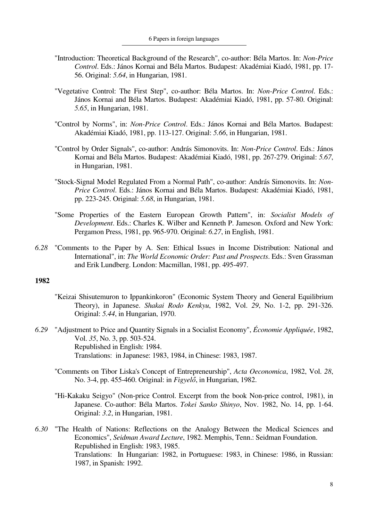- "Introduction: Theoretical Background of the Research", co-author: Béla Martos. In: *Non-Price Control*. Eds.: János Kornai and Béla Martos. Budapest: Akadémiai Kiadó, 1981, pp. 17- 56. Original: *5.64*, in Hungarian, 1981.
- "Vegetative Control: The First Step", co-author: Béla Martos. In: *Non-Price Control*. Eds.: János Kornai and Béla Martos. Budapest: Akadémiai Kiadó, 1981, pp. 57-80. Original: *5.65*, in Hungarian, 1981.
- "Control by Norms", in: *Non-Price Control*. Eds.: János Kornai and Béla Martos. Budapest: Akadémiai Kiadó, 1981, pp. 113-127. Original: *5.66*, in Hungarian, 1981.
- "Control by Order Signals", co-author: András Simonovits. In: *Non-Price Control*. Eds.: János Kornai and Béla Martos. Budapest: Akadémiai Kiadó, 1981, pp. 267-279. Original: *5.67*, in Hungarian, 1981.
- "Stock-Signal Model Regulated From a Normal Path", co-author: András Simonovits. In: *Non-Price Control*. Eds.: János Kornai and Béla Martos. Budapest: Akadémiai Kiadó, 1981, pp. 223-245. Original: *5.68*, in Hungarian, 1981.
- "Some Properties of the Eastern European Growth Pattern", in: *Socialist Models of Development*. Eds.: Charles K. Wilber and Kenneth P. Jameson. Oxford and New York: Pergamon Press, 1981, pp. 965-970. Original: *6.27*, in English, 1981.
- *6.28* "Comments to the Paper by A. Sen: Ethical Issues in Income Distribution: National and International", in: *The World Economic Order: Past and Prospects*. Eds.: Sven Grassman and Erik Lundberg. London: Macmillan, 1981, pp. 495-497.

- "Keizai Shisutemuron to Ippankinkoron" (Economic System Theory and General Equilibrium Theory), in Japanese. *Shakai Rodo Kenkyu*, 1982, Vol. *29*, No. 1-2, pp. 291-326. Original: *5.44*, in Hungarian, 1970.
- *6.29* "Adjustment to Price and Quantity Signals in a Socialist Economy", *Économie Appliquée*, 1982, Vol. *35*, No. 3, pp. 503-524. Republished in English: 1984. Translations: in Japanese: 1983, 1984, in Chinese: 1983, 1987.
	- "Comments on Tibor Liska's Concept of Entrepreneurship", *Acta Oeconomica*, 1982, Vol. *28*, No. 3-4, pp. 455-460. Original: in *Figyelő*, in Hungarian, 1982.
	- "Hi-Kakaku Seigyo" (Non-price Control. Excerpt from the book Non-price control, 1981), in Japanese. Co-author: Béla Martos. *Tokei Sanko Shinyo*, Nov. 1982, No. 14, pp. 1-64. Original: *3.2*, in Hungarian, 1981.
- *6.30* "The Health of Nations: Reflections on the Analogy Between the Medical Sciences and Economics", *Seidman Award Lecture*, 1982. Memphis, Tenn.: Seidman Foundation. Republished in English: 1983, 1985. Translations: In Hungarian: 1982, in Portuguese: 1983, in Chinese: 1986, in Russian: 1987, in Spanish: 1992.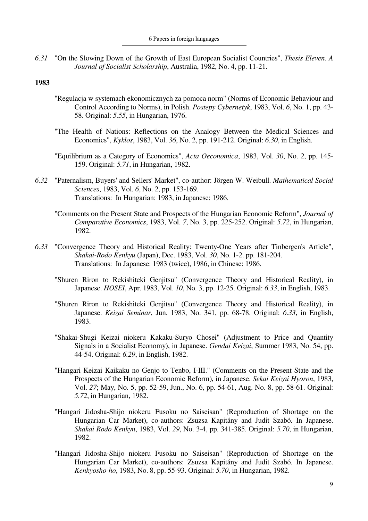*6.31* "On the Slowing Down of the Growth of East European Socialist Countries", *Thesis Eleven. A Journal of Socialist Scholarship*, Australia, 1982, No. 4, pp. 11-21.

- "Regulacja w systemach ekonomicznych za pomoca norm" (Norms of Economic Behaviour and Control According to Norms), in Polish. *Postepy Cybernetyk*, 1983, Vol. *6*, No. 1, pp. 43- 58. Original: *5.55*, in Hungarian, 1976.
- "The Health of Nations: Reflections on the Analogy Between the Medical Sciences and Economics", *Kyklos*, 1983, Vol. *36*, No. 2, pp. 191-212. Original: *6.30*, in English.
- "Equilibrium as a Category of Economics", *Acta Oeconomica*, 1983, Vol. *30*, No. 2, pp. 145- 159. Original: *5.71*, in Hungarian, 1982.
- *6.32* "Paternalism, Buyers' and Sellers' Market", co-author: Jörgen W. Weibull. *Mathematical Social Sciences*, 1983, Vol. *6*, No. 2, pp. 153-169. Translations: In Hungarian: 1983, in Japanese: 1986.
	- "Comments on the Present State and Prospects of the Hungarian Economic Reform", *Journal of Comparative Economics*, 1983, Vol. *7*, No. 3, pp. 225-252. Original: *5.72*, in Hungarian, 1982.
- *6.33* "Convergence Theory and Historical Reality: Twenty-One Years after Tinbergen's Article", *Shakai-Rodo Kenkyu* (Japan), Dec. 1983, Vol. *30*, No. 1-2. pp. 181-204. Translations: In Japanese: 1983 (twice), 1986, in Chinese: 1986.
	- "Shuren Riron to Rekishiteki Genjitsu" (Convergence Theory and Historical Reality), in Japanese. *HOSEI*, Apr. 1983, Vol. *10*, No. 3, pp. 12-25. Original: *6.33*, in English, 1983.
	- "Shuren Riron to Rekishiteki Genjitsu" (Convergence Theory and Historical Reality), in Japanese. *Keizai Seminar*, Jun. 1983, No. 341, pp. 68-78. Original: *6.33*, in English, 1983.
	- "Shakai-Shugi Keizai niokeru Kakaku-Suryo Chosei" (Adjustment to Price and Quantity Signals in a Socialist Economy), in Japanese. *Gendai Keizai*, Summer 1983, No. 54, pp. 44-54. Original: *6.29*, in English, 1982.
	- "Hangari Keizai Kaikaku no Genjo to Tenbo, I-III." (Comments on the Present State and the Prospects of the Hungarian Economic Reform), in Japanese. *Sekai Keizai Hyoron*, 1983, Vol. *27*; May, No. 5, pp. 52-59, Jun., No. 6, pp. 54-61, Aug. No. 8, pp. 58-61. Original: *5.72*, in Hungarian, 1982.
	- "Hangari Jidosha-Shijo niokeru Fusoku no Saiseisan" (Reproduction of Shortage on the Hungarian Car Market), co-authors: Zsuzsa Kapitány and Judit Szabó. In Japanese. *Shakai Rodo Kenkyn*, 1983, Vol. *29*, No. 3-4, pp. 341-385. Original: *5.70*, in Hungarian, 1982.
	- "Hangari Jidosha-Shijo niokeru Fusoku no Saiseisan" (Reproduction of Shortage on the Hungarian Car Market), co-authors: Zsuzsa Kapitány and Judit Szabó. In Japanese. *Kenkyosho-ho*, 1983, No. 8, pp. 55-93. Original: *5.70*, in Hungarian, 1982.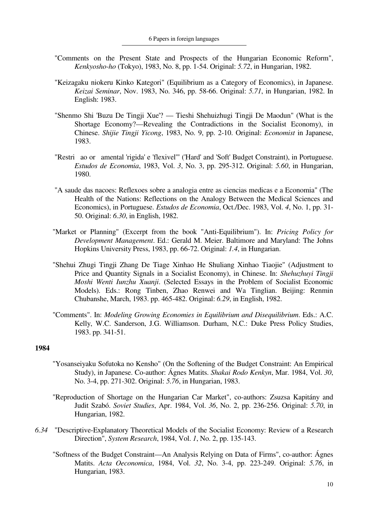- "Comments on the Present State and Prospects of the Hungarian Economic Reform", *Kenkyosho-ho* (Tokyo), 1983, No. 8, pp. 1-54. Original: *5.72*, in Hungarian, 1982.
- "Keizagaku niokeru Kinko Kategori" (Equilibrium as a Category of Economics), in Japanese. *Keizai Seminar*, Nov. 1983, No. 346, pp. 58-66. Original: *5.71*, in Hungarian, 1982. In English: 1983.
- "Shenmo Shi 'Buzu De Tingji Xue'? Tieshi Shehuizhugi Tingji De Maodun" (What is the Shortage Economy?—Revealing the Contradictions in the Socialist Economy), in Chinese. *Shijie Tingji Yicong*, 1983, No. 9, pp. 2-10. Original: *Economist* in Japanese, 1983.
- "Restri ao or amental 'rigida' e 'flexivel'" ('Hard' and 'Soft' Budget Constraint), in Portuguese. *Estudos de Economia*, 1983, Vol. *3*, No. 3, pp. 295-312. Original: *5.60*, in Hungarian, 1980.
- "A saude das nacoes: Reflexoes sobre a analogia entre as ciencias medicas e a Economia" (The Health of the Nations: Reflections on the Analogy Between the Medical Sciences and Economics), in Portuguese. *Estudos de Economia*, Oct./Dec. 1983, Vol. *4*, No. 1, pp. 31- 50. Original: *6.30*, in English, 1982.
- "Market or Planning" (Excerpt from the book "Anti-Equilibrium"). In: *Pricing Policy for Development Management*. Ed.: Gerald M. Meier. Baltimore and Maryland: The Johns Hopkins University Press, 1983, pp. 66-72. Original: *1.4*, in Hungarian.
- "Shehui Zhugi Tingji Zhang De Tiage Xinhao He Shuliang Xinhao Tiaojie" (Adjustment to Price and Quantity Signals in a Socialist Economy), in Chinese. In: *Shehuzhuyi Tingji Moshi Wenti Iunzhu Xuanji*. (Selected Essays in the Problem of Socialist Economic Models). Eds.: Rong Tinben, Zhao Renwei and Wa Tinglian. Beijing: Renmin Chubanshe, March, 1983. pp. 465-482. Original: *6.29*, in English, 1982.
- "Comments". In: *Modeling Growing Economies in Equilibrium and Disequilibrium*. Eds.: A.C. Kelly, W.C. Sanderson, J.G. Williamson. Durham, N.C.: Duke Press Policy Studies, 1983. pp. 341-51.

- "Yosanseiyaku Sofutoka no Kensho" (On the Softening of the Budget Constraint: An Empirical Study), in Japanese. Co-author: Ágnes Matits. *Shakai Rodo Kenkyn*, Mar. 1984, Vol. *30*, No. 3-4, pp. 271-302. Original: *5.76*, in Hungarian, 1983.
- "Reproduction of Shortage on the Hungarian Car Market", co-authors: Zsuzsa Kapitány and Judit Szabó. *Soviet Studies*, Apr. 1984, Vol. *36*, No. 2, pp. 236-256. Original: *5.70*, in Hungarian, 1982.
- *6.34* "Descriptive-Explanatory Theoretical Models of the Socialist Economy: Review of a Research Direction", *System Research*, 1984, Vol. *1*, No. 2, pp. 135-143.
	- "Softness of the Budget Constraint—An Analysis Relying on Data of Firms", co-author: Ágnes Matits. *Acta Oeconomica*, 1984, Vol. *32*, No. 3-4, pp. 223-249. Original: *5.76*, in Hungarian, 1983.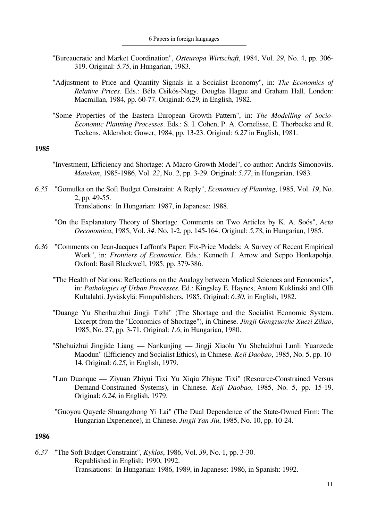- "Bureaucratic and Market Coordination", *Osteuropa Wirtschaft*, 1984, Vol. *29*, No. 4, pp. 306- 319. Original: *5.75*, in Hungarian, 1983.
- "Adjustment to Price and Quantity Signals in a Socialist Economy", in: *The Economics of Relative Prices*. Eds.: Béla Csikós-Nagy. Douglas Hague and Graham Hall. London: Macmillan, 1984, pp. 60-77. Original: *6.29*, in English, 1982.
- "Some Properties of the Eastern European Growth Pattern", in: *The Modelling of Socio-Economic Planning Processes*. Eds.: S. I. Cohen, P. A. Cornelisse, E. Thorbecke and R. Teekens. Aldershot: Gower, 1984, pp. 13-23. Original: *6.27* in English, 1981.

- "Investment, Efficiency and Shortage: A Macro-Growth Model", co-author: András Simonovits. *Matekon*, 1985-1986, Vol. *22*, No. 2, pp. 3-29. Original: *5.77*, in Hungarian, 1983.
- *6.35* "Gomulka on the Soft Budget Constraint: A Reply", *Economics of Planning*, 1985, Vol. *19*, No. 2, pp. 49-55. Translations: In Hungarian: 1987, in Japanese: 1988.
	- "On the Explanatory Theory of Shortage. Comments on Two Articles by K. A. Soós", *Acta Oeconomica*, 1985, Vol. *34*. No. 1-2, pp. 145-164. Original: *5.78*, in Hungarian, 1985.
- *6.36* "Comments on Jean-Jacques Laffont's Paper: Fix-Price Models: A Survey of Recent Empirical Work", in: *Frontiers of Economics*. Eds.: Kenneth J. Arrow and Seppo Honkapohja. Oxford: Basil Blackwell, 1985, pp. 379-386.
	- "The Health of Nations: Reflections on the Analogy between Medical Sciences and Economics", in: *Pathologies of Urban Processes*. Ed.: Kingsley E. Haynes, Antoni Kuklinski and Olli Kultalahti. Jyväskylä: Finnpublishers, 1985, Original: *6.30*, in English, 1982.
	- "Duange Yu Shenhuizhui Jingji Tizhi" (The Shortage and the Socialist Economic System. Excerpt from the "Economics of Shortage"), in Chinese. *Jingji Gongzuozhe Xuezi Ziliao*, 1985, No. 27, pp. 3-71. Original: *1.6*, in Hungarian, 1980.
	- "Shehuizhui Jingjide Liang Nankunjing Jingji Xiaolu Yu Shehuizhui Lunli Yuanzede Maodun" (Efficiency and Socialist Ethics), in Chinese. *Keji Daobao*, 1985, No. 5, pp. 10- 14. Original: *6.25*, in English, 1979.
	- "Lun Duanque Ziyuan Zhiyui Tixi Yu Xiqiu Zhiyue Tixi" (Resource-Constrained Versus Demand-Constrained Systems), in Chinese. *Keji Daobao*, 1985, No. 5, pp. 15-19. Original: *6.24*, in English, 1979.
	- "Guoyou Quyede Shuangzhong Yi Lai" (The Dual Dependence of the State-Owned Firm: The Hungarian Experience), in Chinese. *Jingji Yan Jiu*, 1985, No. 10, pp. 10-24.

### **1986**

*6.37* "The Soft Budget Constraint", *Kyklos*, 1986, Vol. *39*, No. 1, pp. 3-30. Republished in English: 1990, 1992. Translations: In Hungarian: 1986, 1989, in Japanese: 1986, in Spanish: 1992.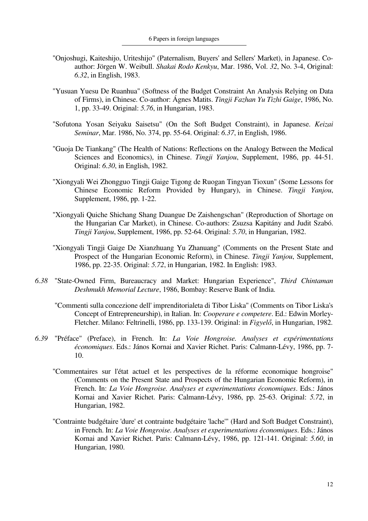- "Onjoshugi, Kaiteshijo, Uriteshijo" (Paternalism, Buyers' and Sellers' Market), in Japanese. Coauthor: Jörgen W. Weibull. *Shakai Rodo Kenkyu*, Mar. 1986, Vol. *32*, No. 3-4, Original: *6.32*, in English, 1983.
- "Yusuan Yuesu De Ruanhua" (Softness of the Budget Constraint An Analysis Relying on Data of Firms), in Chinese. Co-author: Ágnes Matits. *Tingji Fazhan Yu Tizhi Gaige*, 1986, No. 1, pp. 33-49. Original: *5.76*, in Hungarian, 1983.
- "Sofutona Yosan Seiyaku Saisetsu" (On the Soft Budget Constraint), in Japanese. *Keizai Seminar*, Mar. 1986, No. 374, pp. 55-64. Original: *6.37*, in English, 1986.
- "Guoja De Tiankang" (The Health of Nations: Reflections on the Analogy Between the Medical Sciences and Economics), in Chinese. *Tingji Yanjou*, Supplement, 1986, pp. 44-51. Original: *6.30*, in English, 1982.
- "Xiongyali Wei Zhongguo Tingji Gaige Tigong de Ruogan Tingyan Tioxun" (Some Lessons for Chinese Economic Reform Provided by Hungary), in Chinese. *Tingji Yanjou*, Supplement, 1986, pp. 1-22.
- "Xiongyali Quiche Shichang Shang Duangue De Zaishengschan" (Reproduction of Shortage on the Hungarian Car Market), in Chinese. Co-authors: Zsuzsa Kapitány and Judit Szabó. *Tingji Yanjou*, Supplement, 1986, pp. 52-64. Original: *5.70*, in Hungarian, 1982.
- "Xiongyali Tingii Gaige De Xianzhuang Yu Zhanuang" (Comments on the Present State and Prospect of the Hungarian Economic Reform), in Chinese. *Tingji Yanjou*, Supplement, 1986, pp. 22-35. Original: *5.72*, in Hungarian, 1982. In English: 1983.
- *6.38* "State-Owned Firm, Bureaucracy and Market: Hungarian Experience", *Third Chintaman Deshmukh Memorial Lecture*, 1986, Bombay: Reserve Bank of India.
	- "Commenti sulla concezione dell' imprenditorialeta di Tibor Liska" (Comments on Tibor Liska's Concept of Entrepreneurship), in Italian. In: *Cooperare e competere*. Ed.: Edwin Morley-Fletcher. Milano: Feltrinelli, 1986, pp. 133-139. Original: in *Figyelő*, in Hungarian, 1982.
- *6.39* "Préface" (Preface), in French. In: *La Voie Hongroise. Analyses et expérimentations économiques*. Eds.: János Kornai and Xavier Richet. Paris: Calmann-Lévy, 1986, pp. 7- 10.
	- "Commentaires sur l'état actuel et les perspectives de la réforme economique hongroise" (Comments on the Present State and Prospects of the Hungarian Economic Reform), in French. In: *La Voie Hongroise. Analyses et experimentations économiques*. Eds.: János Kornai and Xavier Richet. Paris: Calmann-Lévy, 1986, pp. 25-63. Original: *5.72*, in Hungarian, 1982.
	- "Contrainte budgétaire 'dure' et contrainte budgétaire 'lache'" (Hard and Soft Budget Constraint), in French. In: *La Voie Hongroise. Analyses et experimentations économiques*. Eds.: János Kornai and Xavier Richet. Paris: Calmann-Lévy, 1986, pp. 121-141. Original: *5.60*, in Hungarian, 1980.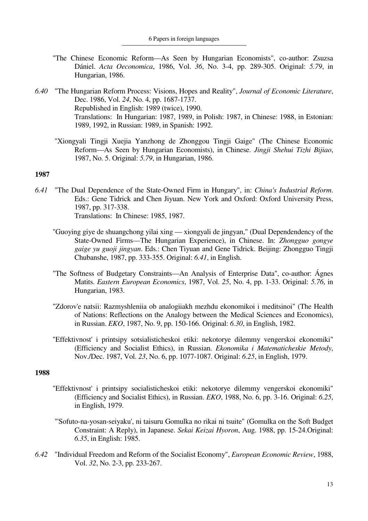- "The Chinese Economic Reform—As Seen by Hungarian Economists", co-author: Zsuzsa Dániel. *Acta Oeconomica*, 1986, Vol. *36*, No. 3-4, pp. 289-305. Original: *5.79*, in Hungarian, 1986.
- *6.40* "The Hungarian Reform Process: Visions, Hopes and Reality", *Journal of Economic Literature*, Dec. 1986, Vol. *24*, No. 4, pp. 1687-1737. Republished in English: 1989 (twice), 1990. Translations: In Hungarian: 1987, 1989, in Polish: 1987, in Chinese: 1988, in Estonian: 1989, 1992, in Russian: 1989, in Spanish: 1992.
	- "Xiongyali Tingji Xuejia Yanzhong de Zhonggou Tingji Gaige" (The Chinese Economic Reform—As Seen by Hungarian Economists), in Chinese. *Jingji Shehui Tizhi Bijiao*, 1987, No. 5. Original: *5.79*, in Hungarian, 1986.

- *6.41* "The Dual Dependence of the State-Owned Firm in Hungary", in: *China's Industrial Reform*. Eds.: Gene Tidrick and Chen Jiyuan. New York and Oxford: Oxford University Press, 1987, pp. 317-338. Translations: In Chinese: 1985, 1987.
	- "Guoying giye de shuangchong yilai xing xiongyali de jingyan," (Dual Dependendency of the State-Owned Firms—The Hungarian Experience), in Chinese. In: *Zhongguo gongye gaige yu guoji jingyan*. Eds.: Chen Tiyuan and Gene Tidrick. Beijing: Zhongguo Tingji Chubanshe, 1987, pp. 333-355. Original: *6.41*, in English.
	- "The Softness of Budgetary Constraints—An Analysis of Enterprise Data", co-author: Ágnes Matits. *Eastern European Economics*, 1987, Vol. *25*, No. 4, pp. 1-33. Original: *5.76*, in Hungarian, 1983.
	- "Zdorov'e natsii: Razmyshleniia ob analogiiakh mezhdu ekonomikoi i meditsinoi" (The Health of Nations: Reflections on the Analogy between the Medical Sciences and Economics), in Russian. *EKO*, 1987, No. 9, pp. 150-166. Original: *6.30*, in English, 1982.
	- "Effektivnost' i printsipy sotsialisticheskoi etiki: nekotorye dilemmy vengerskoi ekonomiki" (Efficiency and Socialist Ethics), in Russian. *Ekonomika i Matematicheskie Metody*, Nov./Dec. 1987, Vol. *23*, No. 6, pp. 1077-1087. Original: *6.25*, in English, 1979.

- "Effektivnost' i printsipy socialisticheskoi etiki: nekotorye dilemmy vengerskoi ekonomiki" (Efficiency and Socialist Ethics), in Russian. *EKO*, 1988, No. 6, pp. 3-16. Original: *6.25*, in English, 1979.
- "'Sofuto-na-yosan-seiyaku', ni taisuru Gomulka no rikai ni tsuite" (Gomulka on the Soft Budget Constraint: A Reply), in Japanese. *Sekai Keizai Hyoron*, Aug. 1988, pp. 15-24.Original: *6.35*, in English: 1985.
- *6.42* "Individual Freedom and Reform of the Socialist Economy", *European Economic Review*, 1988, Vol. *32*, No. 2-3, pp. 233-267.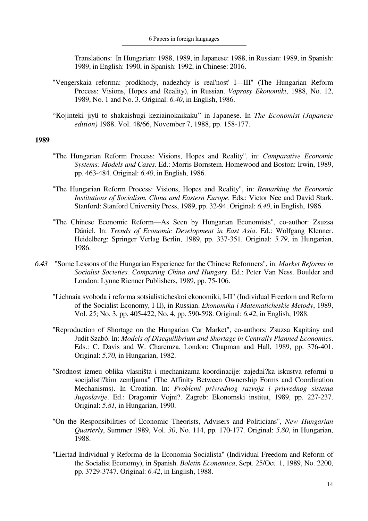Translations: In Hungarian: 1988, 1989, in Japanese: 1988, in Russian: 1989, in Spanish: 1989, in English: 1990, in Spanish: 1992, in Chinese: 2016.

- "Vengerskaia reforma: prodkhody, nadezhdy is real'nost' I—III" (The Hungarian Reform Process: Visions, Hopes and Reality), in Russian. *Voprosy Ekonomiki*, 1988, No. 12, 1989, No. 1 and No. 3. Original: *6.40*, in English, 1986.
- "Kojinteki jiyü to shakaishugi keziainokaikaku" in Japanese. In *The Economist (Japanese edition)* 1988. Vol. 48/66, November 7, 1988, pp. 158-177.

- "The Hungarian Reform Process: Visions, Hopes and Reality", in: *Comparative Economic Systems: Models and Cases*. Ed.: Morris Bornstein. Homewood and Boston: Irwin, 1989, pp. 463-484. Original: *6.40*, in English, 1986.
- "The Hungarian Reform Process: Visions, Hopes and Reality", in: *Remarking the Economic Institutions of Socialism. China and Eastern Europe*. Eds.: Victor Nee and David Stark. Stanford: Stanford University Press, 1989, pp. 32-94. Original: *6.40*, in English, 1986.
- "The Chinese Economic Reform—As Seen by Hungarian Economists", co-author: Zsuzsa Dániel. In: *Trends of Economic Development in East Asia*. Ed.: Wolfgang Klenner. Heidelberg: Springer Verlag Berlin, 1989, pp. 337-351. Original: *5.79*, in Hungarian, 1986.
- *6.43* "Some Lessons of the Hungarian Experience for the Chinese Reformers", in: *Market Reforms in Socialist Societies. Comparing China and Hungary*. Ed.: Peter Van Ness. Boulder and London: Lynne Rienner Publishers, 1989, pp. 75-106.
	- "Lichnaia svoboda i reforma sotsialisticheskoi ekonomiki, I-II" (Individual Freedom and Reform of the Socialist Economy, I-II), in Russian. *Ekonomika i Matematicheskie Metody*, 1989, Vol. *25*; No. 3, pp. 405-422, No. 4, pp. 590-598. Original: *6.42*, in English, 1988.
	- "Reproduction of Shortage on the Hungarian Car Market", co-authors: Zsuzsa Kapitány and Judit Szabó. In: *Models of Disequilibrium and Shortage in Centrally Planned Economies*. Eds.: C. Davis and W. Charemza. London: Chapman and Hall, 1989, pp. 376-401. Original: *5.70*, in Hungarian, 1982.
	- "Srodnost izmeu oblika vlasništa i mechanizama koordinacije: zajedni?ka iskustva reformi u socijalisti?kim zemljama" (The Affinity Between Ownership Forms and Coordination Mechanisms). In Croatian. In: *Problemi privrednog razvoja i privrednog sistema Jugoslavije*. Ed.: Dragomir Vojni?. Zagreb: Ekonomski institut, 1989, pp. 227-237. Original: *5.81*, in Hungarian, 1990.
	- "On the Responsibilities of Economic Theorists, Advisers and Politicians", *New Hungarian Quarterly*, Summer 1989, Vol. *30*, No. 114, pp. 170-177. Original: *5.80*, in Hungarian, 1988.
	- "Liertad Individual y Reforma de la Economia Socialista" (Individual Freedom and Reform of the Socialist Economy), in Spanish. *Boletin Economica*, Sept. 25/Oct. 1, 1989, No. 2200, pp. 3729-3747. Original: *6.42*, in English, 1988.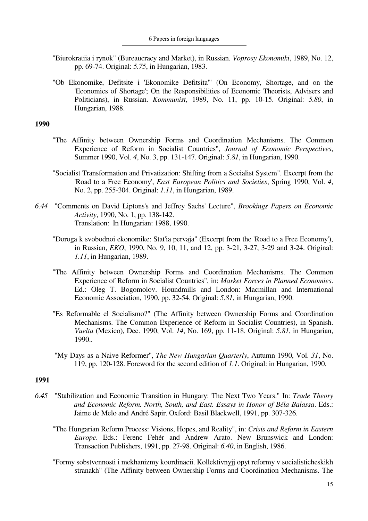- "Biurokratiia i rynok" (Bureaucracy and Market), in Russian. *Voprosy Ekonomiki*, 1989, No. 12, pp. 69-74. Original: *5.75*, in Hungarian, 1983.
- "Ob Ekonomike, Defitsite i 'Ekonomike Defitsita'" (On Economy, Shortage, and on the 'Economics of Shortage'; On the Responsibilities of Economic Theorists, Advisers and Politicians), in Russian. *Kommunist*, 1989, No. 11, pp. 10-15. Original: *5.80*, in Hungarian, 1988.

- "The Affinity between Ownership Forms and Coordination Mechanisms. The Common Experience of Reform in Socialist Countries", *Journal of Economic Perspectives*, Summer 1990, Vol. *4*, No. 3, pp. 131-147. Original: *5.81*, in Hungarian, 1990.
- "Socialist Transformation and Privatization: Shifting from a Socialist System". Excerpt from the 'Road to a Free Economy', *East European Politics and Societies*, Spring 1990, Vol. *4*, No. 2, pp. 255-304. Original: *1.11*, in Hungarian, 1989.
- *6.44* "Comments on David Liptons's and Jeffrey Sachs' Lecture", *Brookings Papers on Economic Activity*, 1990, No. 1, pp. 138-142. Translation: In Hungarian: 1988, 1990.
	- "Doroga k svobodnoi ekonomike: Stat'ia pervaja" (Excerpt from the 'Road to a Free Economy'), in Russian, *EKO*, 1990, No. 9, 10, 11, and 12, pp. 3-21, 3-27, 3-29 and 3-24. Original: *1.11*, in Hungarian, 1989.
	- "The Affinity between Ownership Forms and Coordination Mechanisms. The Common Experience of Reform in Socialist Countries", in: *Market Forces in Planned Economies*. Ed.: Oleg T. Bogomolov. Houndmills and London: Macmillan and International Economic Association, 1990, pp. 32-54. Original: *5.81*, in Hungarian, 1990.
	- "Es Reformable el Socialismo?" (The Affinity between Ownership Forms and Coordination Mechanisms. The Common Experience of Reform in Socialist Countries), in Spanish. *Vuelta* (Mexico), Dec. 1990, Vol. *14*, No. 169, pp. 11-18. Original: *5.81*, in Hungarian, 1990..
	- "My Days as a Naive Reformer", *The New Hungarian Quarterly*, Autumn 1990, Vol. *31*, No. 119, pp. 120-128. Foreword for the second edition of *1.1*. Original: in Hungarian, 1990.

- *6.45* "Stabilization and Economic Transition in Hungary: The Next Two Years." In: *Trade Theory and Economic Reform. North, South, and East. Essays in Honor of Béla Balassa*. Eds.: Jaime de Melo and André Sapir. Oxford: Basil Blackwell, 1991, pp. 307-326.
	- "The Hungarian Reform Process: Visions, Hopes, and Reality", in: *Crisis and Reform in Eastern Europe*. Eds.: Ferenc Fehér and Andrew Arato. New Brunswick and London: Transaction Publishers, 1991, pp. 27-98. Original: *6.40*, in English, 1986.
	- "Formy sobstvennosti i mekhanizmy koordinacii. Kollektivnyjj opyt reformy v socialisticheskikh stranakh" (The Affinity between Ownership Forms and Coordination Mechanisms. The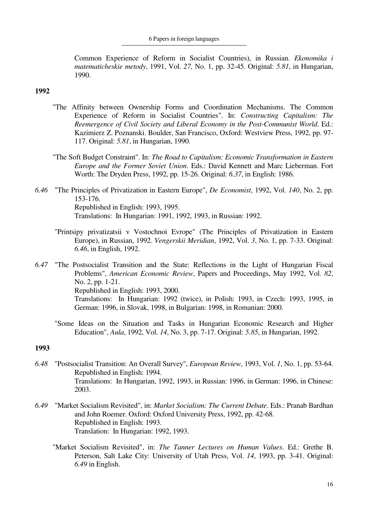Common Experience of Reform in Socialist Countries), in Russian. *Ekonomika i matematicheskie metody*, 1991, Vol. *27*, No. 1, pp. 32-45. Original: *5.81*, in Hungarian, 1990.

## **1992**

- "The Affinity between Ownership Forms and Coordination Mechanisms. The Common Experience of Reform in Socialist Countries". In: *Constructing Capitalism: The Reemergence of Civil Society and Liberal Economy in the Post-Communist World*. Ed.: Kazimierz Z. Poznanski. Boulder, San Francisco, Oxford: Westview Press, 1992, pp. 97- 117. Original: *5.81*, in Hungarian, 1990.
- "The Soft Budget Constraint". In: *The Road to Capitalism: Economic Transformation in Eastern Europe and the Former Soviet Union*. Eds.: David Kennett and Marc Lieberman. Fort Worth: The Dryden Press, 1992, pp. 15-26. Original: *6.37*, in English: 1986.
- *6.46* "The Principles of Privatization in Eastern Europe", *De Economist*, 1992, Vol. *140*, No. 2, pp. 153-176. Republished in English: 1993, 1995. Translations: In Hungarian: 1991, 1992, 1993, in Russian: 1992.
	- "Printsipy privatizatsii v Vostochnoi Evrope" (The Principles of Privatization in Eastern Europe), in Russian, 1992. *Vengerskii Meridian*, 1992, Vol. *3*, No. 1, pp. 7-33. Original: *6.46*, in English, 1992.
- *6.47* "The Postsocialist Transition and the State: Reflections in the Light of Hungarian Fiscal Problems", *American Economic Review*, Papers and Proceedings, May 1992, Vol. *82*, No. 2, pp. 1-21. Republished in English: 1993, 2000. Translations: In Hungarian: 1992 (twice), in Polish: 1993, in Czech: 1993, 1995, in German: 1996, in Slovak, 1998, in Bulgarian: 1998, in Romanian: 2000.
	- "Some Ideas on the Situation and Tasks in Hungarian Economic Research and Higher Education", *Aula*, 1992, Vol. *14*, No. 3, pp. 7-17. Original: *5.85*, in Hungarian, 1992.

- *6.48* "Postsocialist Transition: An Overall Survey", *European Review*, 1993, Vol. *1*, No. 1, pp. 53-64. Republished in English: 1994. Translations: In Hungarian, 1992, 1993, in Russian: 1996, in German: 1996, in Chinese: 2003.
- *6.49* "Market Socialism Revisited", in: *Market Socialism: The Current Debate*. Eds.: Pranab Bardhan and John Roemer. Oxford: Oxford University Press, 1992, pp. 42-68. Republished in English: 1993. Translation: In Hungarian: 1992, 1993.
	- "Market Socialism Revisited", in: *The Tanner Lectures on Human Values*. Ed.: Grethe B. Peterson, Salt Lake City: University of Utah Press, Vol. *14*, 1993, pp. 3-41. Original: *6.49* in English.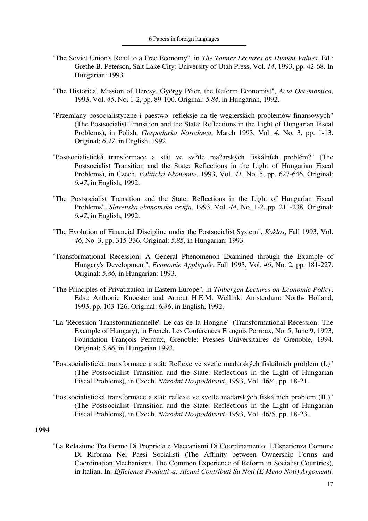- "The Soviet Union's Road to a Free Economy", in *The Tanner Lectures on Human Values*. Ed.: Grethe B. Peterson, Salt Lake City: University of Utah Press, Vol. *14*, 1993, pp. 42-68. In Hungarian: 1993.
- "The Historical Mission of Heresy. György Péter, the Reform Economist", *Acta Oeconomica*, 1993, Vol. *45*, No. 1-2, pp. 89-100. Original: *5.84*, in Hungarian, 1992.
- "Przemiany posocjalistyczne i paestwo: refleksje na tle wegierskich problemów finansowych" (The Postsocialist Transition and the State: Reflections in the Light of Hungarian Fiscal Problems), in Polish, *Gospodarka Narodowa*, March 1993, Vol. *4*, No. 3, pp. 1-13. Original: *6.47*, in English, 1992.
- "Postsocialistická transformace a stát ve sv?tle ma?arských fiskálních problém?" (The Postsocialist Transition and the State: Reflections in the Light of Hungarian Fiscal Problems), in Czech. *Politická Ekonomie*, 1993, Vol. *41*, No. 5, pp. 627-646. Original: *6.47*, in English, 1992.
- "The Postsocialist Transition and the State: Reflections in the Light of Hungarian Fiscal Problems", *Slovenska ekonomska revija*, 1993, Vol. *44*, No. 1-2, pp. 211-238. Original: *6.47*, in English, 1992.
- "The Evolution of Financial Discipline under the Postsocialist System", *Kyklos*, Fall 1993, Vol. *46*, No. 3, pp. 315-336. Original: *5.85*, in Hungarian: 1993.
- "Transformational Recession: A General Phenomenon Examined through the Example of Hungary's Development", *Economie Appliquée*, Fall 1993, Vol. *46*, No. 2, pp. 181-227. Original: *5.86*, in Hungarian: 1993.
- "The Principles of Privatization in Eastern Europe", in *Tinbergen Lectures on Economic Policy*. Eds.: Anthonie Knoester and Arnout H.E.M. Wellink. Amsterdam: North- Holland, 1993, pp. 103-126. Original: *6.46*, in English, 1992.
- "La 'Récession Transformationnelle'. Le cas de la Hongrie" (Transformational Recession: The Example of Hungary), in French. Les Conférences François Perroux, No. 5, June 9, 1993, Foundation François Perroux, Grenoble: Presses Universitaires de Grenoble, 1994. Original: *5.86*, in Hungarian 1993.
- "Postsocialistická transformace a stát: Reflexe ve svetle madarských fiskálních problem (I.)" (The Postsocialist Transition and the State: Reflections in the Light of Hungarian Fiscal Problems), in Czech. *Národní Hospodárství*, 1993, Vol. 46/4, pp. 18-21.
- "Postsocialistická transformace a stát: reflexe ve svetle madarských fiskálních problem (II.)" (The Postsocialist Transition and the State: Reflections in the Light of Hungarian Fiscal Problems), in Czech. *Národní Hospodárství*, 1993, Vol. 46/5, pp. 18-23.

"La Relazione Tra Forme Di Proprieta e Maccanismi Di Coordinamento: L'Esperienza Comune Di Riforma Nei Paesi Socialisti (The Affinity between Ownership Forms and Coordination Mechanisms. The Common Experience of Reform in Socialist Countries), in Italian. In: *Efficienza Produttiva: Alcuni Contributi Su Noti (E Meno Noti) Argomenti.*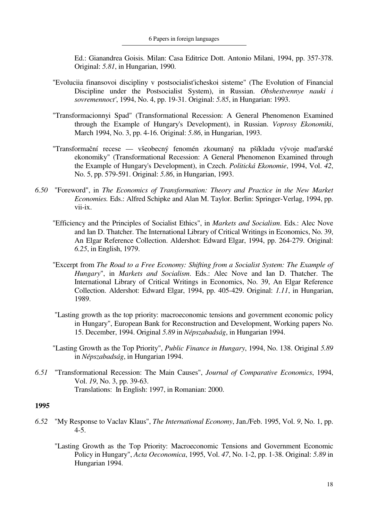Ed.: Gianandrea Goisis. Milan: Casa Editrice Dott. Antonio Milani, 1994, pp. 357-378. Original: *5.81*, in Hungarian, 1990.

- "Evoluciia finansovoi discipliny v postsocialist'icheskoi sisteme" (The Evolution of Financial Discipline under the Postsocialist System), in Russian. *Obshestvennye nauki i sovremennoct'*, 1994, No. 4, pp. 19-31. Original: *5.85*, in Hungarian: 1993.
- "Transformacionnyi Spad" (Transformational Recession: A General Phenomenon Examined through the Example of Hungary's Development), in Russian. *Voprosy Ekonomiki*, March 1994, No. 3, pp. 4-16. Original: *5.86*, in Hungarian, 1993.
- "Transformační recese všeobecný fenomén zkoumaný na pšíkladu vývoje mad'arské ekonomiky" (Transformational Recession: A General Phenomenon Examined through the Example of Hungary's Development), in Czech. *Politická Ekonomie*, 1994, Vol. *42*, No. 5, pp. 579-591. Original: *5.86*, in Hungarian, 1993.
- *6.50* "Foreword", in *The Economics of Transformation: Theory and Practice in the New Market Economies.* Eds.: Alfred Schipke and Alan M. Taylor. Berlin: Springer-Verlag, 1994, pp. vii-ix.
	- "Efficiency and the Principles of Socialist Ethics", in *Markets and Socialism*. Eds.: Alec Nove and Ian D. Thatcher. The International Library of Critical Writings in Economics, No. 39, An Elgar Reference Collection. Aldershot: Edward Elgar, 1994, pp. 264-279. Original: *6.25*, in English, 1979.
	- "Excerpt from *The Road to a Free Economy: Shifting from a Socialist System: The Example of Hungary*", in *Markets and Socialism*. Eds.: Alec Nove and Ian D. Thatcher. The International Library of Critical Writings in Economics, No. 39, An Elgar Reference Collection. Aldershot: Edward Elgar, 1994, pp. 405-429. Original: *1.11*, in Hungarian, 1989.
	- "Lasting growth as the top priority: macroeconomic tensions and government economic policy in Hungary", European Bank for Reconstruction and Development, Working papers No. 15. December, 1994. Original *5.89* in *Népszabadság*, in Hungarian 1994.
	- "Lasting Growth as the Top Priority", *Public Finance in Hungary*, 1994, No. 138. Original *5.89* in *Népszabadság*, in Hungarian 1994.
- *6.51* "Transformational Recession: The Main Causes", *Journal of Comparative Economics*, 1994, Vol. *19*, No. 3, pp. 39-63. Translations: In English: 1997, in Romanian: 2000.

- *6.52* "My Response to Vaclav Klaus", *The International Economy*, Jan./Feb. 1995, Vol. *9*, No. 1, pp. 4-5.
	- "Lasting Growth as the Top Priority: Macroeconomic Tensions and Government Economic Policy in Hungary", *Acta Oeconomica*, 1995, Vol. *47*, No. 1-2, pp. 1-38. Original: *5.89* in Hungarian 1994.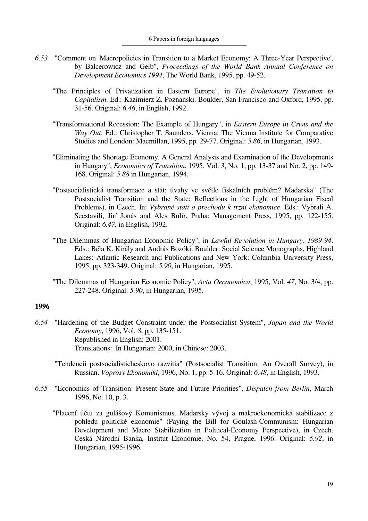- *6.53* "Comment on 'Macropolicies in Transition to a Market Economy: A Three-Year Perspective', by Balcerowicz and Gelb", *Proceedings of the World Bank Annual Conference on Development Economics 1994*, The World Bank, 1995, pp. 49-52.
	- "The Principles of Privatization in Eastern Europe", in *The Evolutionary Transition to Capitalism*. Ed.: Kazimierz Z. Poznanski. Boulder, San Francisco and Oxford, 1995, pp. 31-56. Original: *6.46*, in English, 1992.
	- "Transformational Recession: The Example of Hungary", in *Eastern Europe in Crisis and the Way Out*. Ed.: Christopher T. Saunders. Vienna: The Vienna Institute for Comparative Studies and London: Macmillan, 1995, pp. 29-77. Original: *5.86*, in Hungarian, 1993.
	- "Eliminating the Shortage Economy. A General Analysis and Examination of the Developments in Hungary", *Economics of Transition*, 1995, Vol. *3*, No. 1, pp. 13-37 and No. 2, pp. 149- 168. Original: *5.88* in Hungarian, 1994.
	- "Postsocialistická transformace a stát: úvahy ve svétle fiskálních problém? Madarska" (The Postsocialist Transition and the State: Reflections in the Light of Hungarian Fiscal Problems), in Czech. In: *Vybrané stati o prechodu k trzní ekonomice*. Eds.: Vybrali A. Seestavili, Jirí Jonás and Ales Bulír. Praha: Management Press, 1995, pp. 122-155. Original: *6.47*, in English, 1992.
	- "The Dilemmas of Hungarian Economic Policy", in *Lawful Revolution in Hungary, 1989-94*. Eds.: Béla K. Király and András Bozóki. Boulder: Social Science Monographs, Highland Lakes: Atlantic Research and Publications and New York: Columbia University Press, 1995, pp. 323-349. Original: *5.90*, in Hungarian, 1995.
	- "The Dilemmas of Hungarian Economic Policy", *Acta Oeconomica*, 1995, Vol. *47*, No. 3/4, pp. 227-248. Original: *5.90*, in Hungarian, 1995.

- *6.54* "Hardening of the Budget Constraint under the Postsocialist System", *Japan and the World Economy*, 1996, Vol. *8*, pp. 135-151. Republished in English: 2001. Translations: In Hungarian: 2000, in Chinese: 2003.
	- "Tendencii postsocialisticheskovo razvitia" (Postsocialist Transition: An Overall Survey), in Russian. *Voprosy Ekonomiki*, 1996, No. 1, pp. 5-16. Original: *6.48*, in English, 1993.
- *6.55* "Economics of Transition: Present State and Future Priorities", *Dispatch from Berlin*, March 1996, No. 10, p. 3.
	- "Placení účtu za gulášový Komunismus. Madarsky vývoj a makroekonomická stabilizace z pohledu politické ekonomie" (Paying the Bill for Goulash-Communism: Hungarian Development and Macro Stabilization in Political-Economy Perspective), in Czech. Ceská Národní Banka, Institut Ekonomie, No. 54, Prague, 1996. Original: *5.92*, in Hungarian, 1995-1996.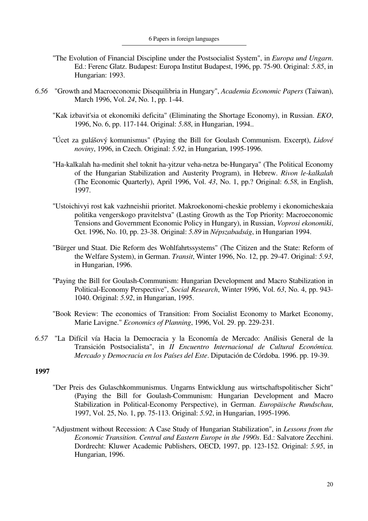- "The Evolution of Financial Discipline under the Postsocialist System", in *Europa und Ungarn*. Ed.: Ferenc Glatz. Budapest: Europa Institut Budapest, 1996, pp. 75-90. Original: *5.85*, in Hungarian: 1993.
- *6.56* "Growth and Macroeconomic Disequilibria in Hungary", *Academia Economic Papers* (Taiwan), March 1996, Vol. *24*, No. 1, pp. 1-44.
	- "Kak izbavit'sia ot ekonomiki deficita" (Eliminating the Shortage Economy), in Russian. *EKO*, 1996, No. 6, pp. 117-144. Original: *5.88*, in Hungarian, 1994..
	- "Úcet za gulášový komunismus" (Paying the Bill for Goulash Communism. Excerpt), *Lidové noviny*, 1996, in Czech. Original: *5.92*, in Hungarian, 1995-1996.
	- "Ha-kalkalah ha-medinit shel toknit ha-yitzur veha-netza be-Hungarya" (The Political Economy of the Hungarian Stabilization and Austerity Program), in Hebrew. *Rivon le-kalkalah* (The Economic Quarterly), April 1996, Vol. *43*, No. 1, pp.? Original: *6.58*, in English, 1997.
	- "Ustoichivyi rost kak vazhneishii prioritet. Makroekonomi-cheskie problemy i ekonomicheskaia politika vengerskogo pravitelstva" (Lasting Growth as the Top Priority: Macroeconomic Tensions and Government Economic Policy in Hungary), in Russian, *Voprosi ekonomiki*, Oct. 1996, No. 10, pp. 23-38. Original: *5.89* in *Népszabadság*, in Hungarian 1994.
	- "Bürger und Staat. Die Reform des Wohlfahrtssystems" (The Citizen and the State: Reform of the Welfare System), in German. *Transit*, Winter 1996, No. 12, pp. 29-47. Original: *5.93*, in Hungarian, 1996.
	- "Paying the Bill for Goulash-Communism: Hungarian Development and Macro Stabilization in Political-Economy Perspective", *Social Research*, Winter 1996, Vol. *63*, No. 4, pp. 943- 1040. Original: *5.92*, in Hungarian, 1995.
	- "Book Review: The economics of Transition: From Socialist Economy to Market Economy, Marie Lavigne." *Economics of Planning*, 1996, Vol. 29. pp. 229-231.
- *6.57* "La Difícil vía Hacia la Democracia y la Economía de Mercado: Análisis General de la Transición Postsocialista", in *II Encuentro Internacional de Cultural Económica. Mercado y Democracia en los Países del Este*. Diputación de Córdoba. 1996. pp. 19-39.

- "Der Preis des Gulaschkommunismus. Ungarns Entwicklung aus wirtschaftspolitischer Sicht" (Paying the Bill for Goulash-Communism: Hungarian Development and Macro Stabilization in Political-Economy Perspective), in German. *Europäische Rundschau*, 1997, Vol. 25, No. 1, pp. 75-113. Original: *5.92*, in Hungarian, 1995-1996.
- "Adjustment without Recession: A Case Study of Hungarian Stabilization", in *Lessons from the Economic Transition. Central and Eastern Europe in the 1990s*. Ed.: Salvatore Zecchini. Dordrecht: Kluwer Academic Publishers, OECD, 1997, pp. 123-152. Original: *5.95*, in Hungarian, 1996.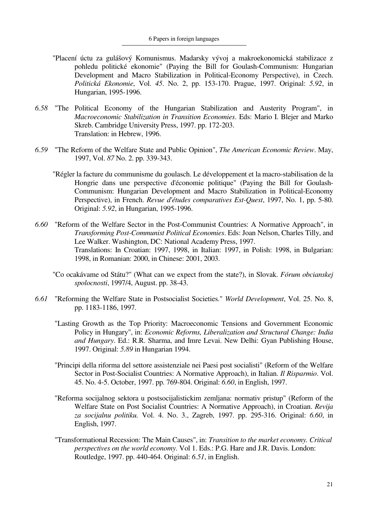- "Placení úctu za gulášový Komunismus. Madarsky vývoj a makroekonomická stabilizace z pohledu politické ekonomie" (Paying the Bill for Goulash-Communism: Hungarian Development and Macro Stabilization in Political-Economy Perspective), in Czech. *Politická Ekonomie*, Vol. *45*. No. 2, pp. 153-170. Prague, 1997. Original: *5.92*, in Hungarian, 1995-1996.
- *6.58* "The Political Economy of the Hungarian Stabilization and Austerity Program", in *Macroeconomic Stabilization in Transition Economies*. Eds: Mario I. Blejer and Marko Skreb. Cambridge University Press, 1997. pp. 172-203. Translation: in Hebrew, 1996.
- *6.59* "The Reform of the Welfare State and Public Opinion", *The American Economic Review*. May, 1997, Vol. *87* No. 2. pp. 339-343.
	- "Régler la facture du communisme du goulasch. Le développement et la macro-stabilisation de la Hongrie dans une perspective d'économie politique" (Paying the Bill for Goulash-Communism: Hungarian Development and Macro Stabilization in Political-Economy Perspective), in French. *Revue d'études comparatives Est-Quest*, 1997, No. 1, pp. 5-80. Original: *5.92*, in Hungarian, 1995-1996.
- *6.60* "Reform of the Welfare Sector in the Post-Communist Countries: A Normative Approach", in *Transforming Post-Communist Political Economies*. Eds: Joan Nelson, Charles Tilly, and Lee Walker. Washington, DC: National Academy Press, 1997. Translations: In Croatian: 1997, 1998, in Italian: 1997, in Polish: 1998, in Bulgarian: 1998, in Romanian: 2000, in Chinese: 2001, 2003.
	- "Co ocakávame od Státu?" (What can we expect from the state?), in Slovak. *Fórum obcianskej spolocnosti*, 1997/4, August. pp. 38-43.
- *6.61* "Reforming the Welfare State in Postsocialist Societies." *World Development*, Vol. 25. No. 8, pp. 1183-1186, 1997.
	- "Lasting Growth as the Top Priority: Macroeconomic Tensions and Government Economic Policy in Hungary", in: *Economic Reforms, Liberalization and Structural Change: India and Hungary*. Ed.: R.R. Sharma, and Imre Levai. New Delhi: Gyan Publishing House, 1997. Original: *5.89* in Hungarian 1994.
	- "Principi della riforma del settore assistenziale nei Paesi post socialisti" (Reform of the Welfare Sector in Post-Socialist Countries: A Normative Approach), in Italian. *Il Risparmio*. Vol. 45. No. 4-5. October, 1997. pp. 769-804. Original: *6.60*, in English, 1997.
	- "Reforma socijalnog sektora u postsocijalistickim zemljana: normativ pristup" (Reform of the Welfare State on Post Socialist Countries: A Normative Approach), in Croatian. *Revija za socijalnu politiku.* Vol. 4. No. 3., Zagreb, 1997. pp. 295-316. Original: *6.60*, in English, 1997.
	- "Transformational Recession: The Main Causes", in: *Transition to the market economy. Critical perspectives on the world economy*. Vol 1. Eds.: P.G. Hare and J.R. Davis. London: Routledge, 1997. pp. 440-464. Original: *6.51*, in English.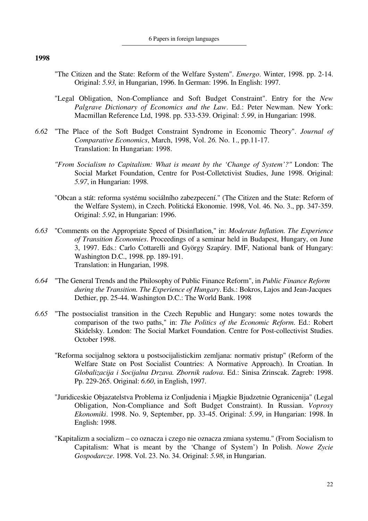- "The Citizen and the State: Reform of the Welfare System". *Emergo*. Winter, 1998. pp. 2-14. Original: *5.93,* in Hungarian, 1996. In German: 1996. In English: 1997.
- "Legal Obligation, Non-Compliance and Soft Budget Constraint". Entry for the *New Palgrave Dictionary of Economics and the Law*. Ed.: Peter Newman. New York: Macmillan Reference Ltd, 1998. pp. 533-539. Original: *5.99*, in Hungarian: 1998.
- *6.62* "The Place of the Soft Budget Constraint Syndrome in Economic Theory". *Journal of Comparative Economics*, March, 1998, Vol. *26.* No. 1., pp.11-17. Translation: In Hungarian: 1998.
	- *"From Socialism to Capitalism: What is meant by the 'Change of System'?"* London: The Social Market Foundation, Centre for Post-Colletctivist Studies, June 1998. Original: *5.97*, in Hungarian: 1998.
	- "Obcan a stát: reforma systému sociálního zabezpecení." (The Citizen and the State: Reform of the Welfare System), in Czech. Politická Ekonomie. 1998, Vol. 46. No. 3., pp. 347-359. Original: *5.92*, in Hungarian: 1996.
- *6.63* "Comments on the Appropriate Speed of Disinflation," in: *Moderate Inflation. The Experience of Transition Economies*. Proceedings of a seminar held in Budapest, Hungary, on June 3, 1997. Eds.: Carlo Cottarelli and György Szapáry. IMF, National bank of Hungary: Washington D.C., 1998. pp. 189-191. Translation: in Hungarian, 1998.
- *6.64* "The General Trends and the Philosophy of Public Finance Reform", in *Public Finance Reform during the Transition. The Experience of Hungary*. Eds.: Bokros, Lajos and Jean-Jacques Dethier, pp. 25-44. Washington D.C.: The World Bank. 1998
- *6.65* "The postsocialist transition in the Czech Republic and Hungary: some notes towards the comparison of the two paths," in: *The Politics of the Economic Reform*. Ed.: Robert Skidelsky. London: The Social Market Foundation. Centre for Post-collectivist Studies. October 1998.
	- "Reforma socijalnog sektora u postsocijalistickim zemljana: normativ pristup" (Reform of the Welfare State on Post Socialist Countries: A Normative Approach). In Croatian. In *Globalizacija i Socijalna Drzava. Zbornik radova*. Ed.: Sinisa Zrinscak. Zagreb: 1998. Pp. 229-265. Original: *6.60*, in English, 1997.
	- "Juridiceskie Objazatelstva Problema iz Conljudenia i Mjagkie Bjudzetnie Ogranicenija" (Legal Obligation, Non-Compliance and Soft Budget Constraint). In Russian. *Voprosy Ekonomiki*. 1998. No. 9, September, pp. 33-45. Original: *5.99*, in Hungarian: 1998. In English: 1998.
	- "Kapitalizm a socializm co oznacza i czego nie oznacza zmiana systemu." (From Socialism to Capitalism: What is meant by the 'Change of System') In Polish. *Nowe Zycie Gospodarcze*. 1998. Vol. 23. No. 34. Original: *5.98*, in Hungarian.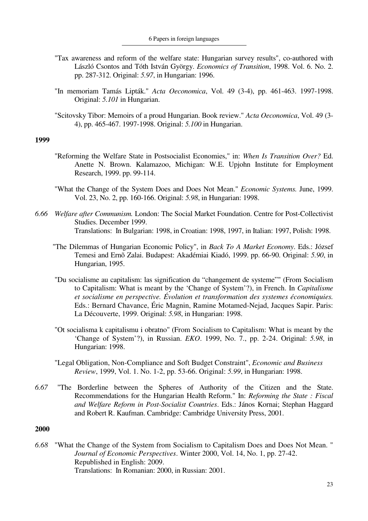- "Tax awareness and reform of the welfare state: Hungarian survey results", co-authored with László Csontos and Tóth István György. *Economics of Transition*, 1998. Vol. 6. No. 2. pp. 287-312. Original: *5.97*, in Hungarian: 1996.
- "In memoriam Tamás Lipták." *Acta Oeconomica*, Vol. 49 (3-4), pp. 461-463. 1997-1998. Original: *5.101* in Hungarian.
- "Scitovsky Tibor: Memoirs of a proud Hungarian. Book review." *Acta Oeconomica*, Vol. 49 (3- 4), pp. 465-467. 1997-1998. Original: *5.100* in Hungarian.

- "Reforming the Welfare State in Postsocialist Economies," in: *When Is Transition Over?* Ed. Anette N. Brown. Kalamazoo, Michigan: W.E. Upjohn Institute for Employment Research, 1999. pp. 99-114.
- "What the Change of the System Does and Does Not Mean." *Economic Systems.* June, 1999. Vol. 23, No. 2, pp. 160-166. Original: *5.98*, in Hungarian: 1998.
- *6.66 Welfare after Communism.* London: The Social Market Foundation. Centre for Post-Collectivist Studies. December 1999. Translations: In Bulgarian: 1998, in Croatian: 1998, 1997, in Italian: 1997, Polish: 1998.
	- "The Dilemmas of Hungarian Economic Policy", in *Back To A Market Economy*. Eds.: József Temesi and Ernõ Zalai. Budapest: Akadémiai Kiadó, 1999. pp. 66-90. Original: *5.90*, in Hungarian, 1995.
	- "Du socialisme au capitalism: las signification du "changement de systeme"" (From Socialism to Capitalism: What is meant by the 'Change of System'?), in French. In *Capitalisme et socialisme en perspective. Évolution et transformation des systemes économiquies.* Eds.: Bernard Chavance, Éric Magnin, Ramine Motamed-Nejad, Jacques Sapir. Paris: La Découverte, 1999. Original: *5.98*, in Hungarian: 1998.
	- "Ot socialisma k capitalismu i obratno" (From Socialism to Capitalism: What is meant by the 'Change of System'?), in Russian. *EKO*. 1999, No. 7., pp. 2-24. Original: *5.98*, in Hungarian: 1998.
	- "Legal Obligation, Non-Compliance and Soft Budget Constraint", *Economic and Business Review*, 1999, Vol. 1. No. 1-2, pp. 53-66. Original: *5.99*, in Hungarian: 1998.
- *6.67* "The Borderline between the Spheres of Authority of the Citizen and the State. Recommendations for the Hungarian Health Reform." In: *Reforming the State : Fiscal and Welfare Reform in Post-Socialist Countries*. Eds.: János Kornai; Stephan Haggard and Robert R. Kaufman. Cambridge: Cambridge University Press, 2001.

#### **2000**

*6.68* "What the Change of the System from Socialism to Capitalism Does and Does Not Mean. " *Journal of Economic Perspectives*. Winter 2000, Vol. 14, No. 1, pp. 27-42. Republished in English: 2009. Translations: In Romanian: 2000, in Russian: 2001.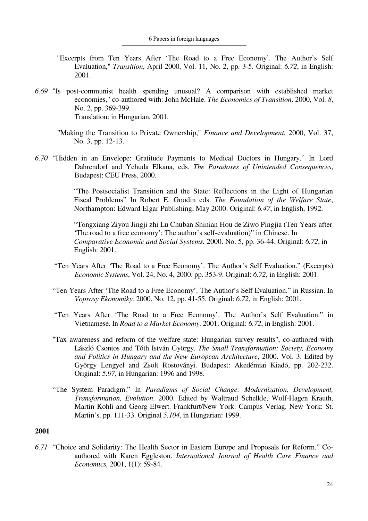- "Excerpts from Ten Years After 'The Road to a Free Economy'. The Author's Self Evaluation," *Transition*, April 2000, Vol. 11, No. 2, pp. 3-5. Original: *6.72*, in English: 2001.
- *6.69* "Is post-communist health spending unusual? A comparison with established market economies," co-authored with: John McHale. *The Economics of Transition*. 2000, Vol. *8*, No. 2, pp. 369-399. Translation: in Hungarian, 2001.
	- "Making the Transition to Private Ownership," *Finance and Development.* 2000, Vol. 37, No. 3, pp. 12-13.
- *6.70* "Hidden in an Envelope: Gratitude Payments to Medical Doctors in Hungary." In Lord Dahrendorf and Yehuda Elkana, eds. *The Paradoxes of Unintended Consequences*, Budapest: CEU Press, 2000.

 "The Postsocialist Transition and the State: Reflections in the Light of Hungarian Fiscal Problems" In Robert E. Goodin eds. *The Foundation of the Welfare State*, Northampton: Edward Elgar Publishing, May 2000. Original: *6.47*, in English, 1992.

 "Tongxiang Ziyou Jingji zhi Lu Chuban Shinian Hou de Ziwo Pingjia (Ten Years after 'The road to a free economy': The author's self-evaluation)" in Chinese. In *Comparative Economic and Social Systems.* 2000. No. 5, pp. 36-44. Original: *6.72*, in English: 2001.

- "Ten Years After 'The Road to a Free Economy'. The Author's Self Evaluation." (Excerpts) *Economic Systems*, Vol. 24, No. 4, 2000. pp. 353-9. Original: *6.72*, in English: 2001.
- "Ten Years After 'The Road to a Free Economy'. The Author's Self Evaluation." in Russian. In *Voprosy Ekonomiky.* 2000. No. 12, pp. 41-55. Original: *6.72*, in English: 2001.
- "Ten Years After 'The Road to a Free Economy'. The Author's Self Evaluation." in Vietnamese. In *Road to a Market Economy*. 2001. Original: *6.72*, in English: 2001.
- "Tax awareness and reform of the welfare state: Hungarian survey results", co-authored with László Csontos and Tóth István György. *The Small Transformation: Society, Economy and Politics in Hungary and the New European Architecture*, 2000. Vol. 3. Edited by György Lengyel and Zsolt Rostoványi. Budapest: Akedémiai Kiadó, pp. 202-232. Original: *5.97*, in Hungarian: 1996 and 1998.
- "The System Paradigm." In *Paradigms of Social Change: Modernization, Development, Transformation, Evolution*. 2000. Edited by Waltraud Schelkle, Wolf-Hagen Krauth, Martin Kohli and Georg Elwert. Frankfurt/New York: Campus Verlag. New York: St. Martin's. pp. 111-33. Original *5.104*, in Hungarian: 1999.

### **2001**

*6.71* "Choice and Solidarity: The Health Sector in Eastern Europe and Proposals for Reform." Coauthored with Karen Eggleston. *International Journal of Health Care Finance and Economics,* 2001, 1(1): 59-84.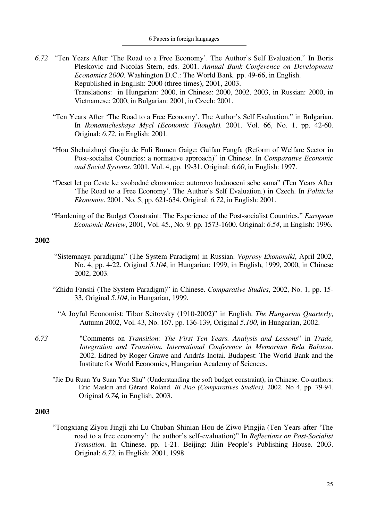- *6.72* "Ten Years After 'The Road to a Free Economy'. The Author's Self Evaluation." In Boris Pleskovic and Nicolas Stern, eds. 2001. *Annual Bank Conference on Development Economics 2000*. Washington D.C.: The World Bank. pp. 49-66, in English. Republished in English: 2000 (three times), 2001, 2003. Translations: in Hungarian: 2000, in Chinese: 2000, 2002, 2003, in Russian: 2000, in Vietnamese: 2000, in Bulgarian: 2001, in Czech: 2001.
	- "Ten Years After 'The Road to a Free Economy'. The Author's Self Evaluation." in Bulgarian. In *Ikonomicheskaya Mycl (Economic Thought)*. 2001. Vol. 66, No. 1, pp. 42-60. Original: *6.72*, in English: 2001.
	- "Hou Shehuizhuyi Guojia de Fuli Bumen Gaige: Guifan Fangfa (Reform of Welfare Sector in Post-socialist Countries: a normative approach)" in Chinese. In *Comparative Economic and Social Systems*. 2001. Vol. 4, pp. 19-31. Original: *6.60*, in English: 1997.
	- "Deset let po Ceste ke svobodné ekonomice: autorovo hodnoceni sebe sama" (Ten Years After 'The Road to a Free Economy'. The Author's Self Evaluation.) in Czech. In *Politicka Ekonomie*. 2001. No. 5, pp. 621-634. Original: *6.72*, in English: 2001.
	- "Hardening of the Budget Constraint: The Experience of the Post-socialist Countries." *European Economic Review*, 2001, Vol. 45., No. 9. pp. 1573-1600. Original: *6.54*, in English: 1996.

- "Sistemnaya paradigma" (The System Paradigm) in Russian. *Voprosy Ekonomiki*, April 2002, No. 4, pp. 4-22. Original *5.104*, in Hungarian: 1999, in English, 1999, 2000, in Chinese 2002, 2003.
- "Zhidu Fanshi (The System Paradigm)" in Chinese. *Comparative Studies*, 2002, No. 1, pp. 15- 33, Original *5.104*, in Hungarian, 1999.
	- "A Joyful Economist: Tibor Scitovsky (1910-2002)" in English. *The Hungarian Quarterly*, Autumn 2002, Vol. 43, No. 167. pp. 136-139, Original *5.100*, in Hungarian, 2002.
- *6.73* "Comments on *Transition: The First Ten Years. Analysis and Lessons*" in *Trade, Integration and Transition. International Conference in Memoriam Bela Balassa*. 2002. Edited by Roger Grawe and András Inotai. Budapest: The World Bank and the Institute for World Economics, Hungarian Academy of Sciences.
	- "Jie Du Ruan Yu Suan Yue Shu" (Understanding the soft budget constraint), in Chinese. Co-authors: Eric Maskin and Gérard Roland. *Bi Jiao (Comparatives Studies).* 2002. No 4, pp. 79-94. Original *6.74,* in English, 2003.

#### **2003**

"Tongxiang Ziyou Jingji zhi Lu Chuban Shinian Hou de Ziwo Pingjia (Ten Years after 'The road to a free economy': the author's self-evaluation)" In *Reflections on Post-Socialist Transition.* In Chinese. pp. 1-21. Beijing: Jilin People's Publishing House. 2003. Original: *6.72*, in English: 2001, 1998.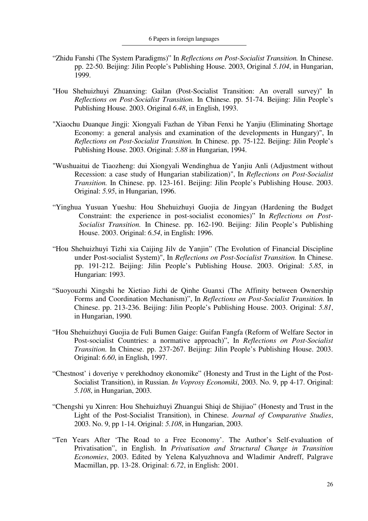- "Zhidu Fanshi (The System Paradigms)" In *Reflections on Post-Socialist Transition.* In Chinese. pp. 22-50. Beijing: Jilin People's Publishing House. 2003, Original *5.104*, in Hungarian, 1999.
- "Hou Shehuizhuyi Zhuanxing: Gailan (Post-Socialist Transition: An overall survey)" In *Reflections on Post-Socialist Transition.* In Chinese. pp. 51-74. Beijing: Jilin People's Publishing House. 2003. Original *6.48*, in English, 1993.
- "Xiaochu Duanque Jingji: Xiongyali Fazhan de Yiban Fenxi he Yanjiu (Eliminating Shortage Economy: a general analysis and examination of the developments in Hungary)", In *Reflections on Post-Socialist Transition.* In Chinese. pp. 75-122. Beijing: Jilin People's Publishing House. 2003. Original: *5.88* in Hungarian, 1994.
- "Wushuaitui de Tiaozheng: dui Xiongyali Wendinghua de Yanjiu Anli (Adjustment without Recession: a case study of Hungarian stabilization)", In *Reflections on Post-Socialist Transition.* In Chinese. pp. 123-161. Beijing: Jilin People's Publishing House. 2003. Original: *5.95*, in Hungarian, 1996.
- "Yinghua Yusuan Yueshu: Hou Shehuizhuyi Guojia de Jingyan (Hardening the Budget Constraint: the experience in post-socialist economies)" In *Reflections on Post-Socialist Transition.* In Chinese. pp. 162-190. Beijing: Jilin People's Publishing House. 2003. Original: *6.54*, in English: 1996.
- "Hou Shehuizhuyi Tizhi xia Caijing Jilv de Yanjin" (The Evolution of Financial Discipline under Post-socialist System)", In *Reflections on Post-Socialist Transition.* In Chinese. pp. 191-212. Beijing: Jilin People's Publishing House. 2003. Original: *5.85*, in Hungarian: 1993.
- "Suoyouzhi Xingshi he Xietiao Jizhi de Qinhe Guanxi (The Affinity between Ownership Forms and Coordination Mechanism)", In *Reflections on Post-Socialist Transition.* In Chinese. pp. 213-236. Beijing: Jilin People's Publishing House. 2003. Original: *5.81*, in Hungarian, 1990.
- "Hou Shehuizhuyi Guojia de Fuli Bumen Gaige: Guifan Fangfa (Reform of Welfare Sector in Post-socialist Countries: a normative approach)", In *Reflections on Post-Socialist Transition.* In Chinese. pp. 237-267. Beijing: Jilin People's Publishing House. 2003. Original: *6.60*, in English, 1997.
- "Chestnost' i doveriye v perekhodnoy ekonomike" (Honesty and Trust in the Light of the Post-Socialist Transition), in Russian. *In Voprosy Economiki*, 2003. No. 9, pp 4-17. Original: *5.108*, in Hungarian, 2003.
- "Chengshi yu Xinren: Hou Shehuizhuyi Zhuangui Shiqi de Shijiao" (Honesty and Trust in the Light of the Post-Socialist Transition), in Chinese. *Journal of Comparative Studies*, 2003. No. 9, pp 1-14. Original: *5.108*, in Hungarian, 2003.
- "Ten Years After 'The Road to a Free Economy'. The Author's Self-evaluation of Privatisation", in English. In *Privatisation and Structural Change in Transition Economies*, 2003. Edited by Yelena Kalyuzhnova and Wladimir Andreff, Palgrave Macmillan, pp. 13-28. Original: *6.72*, in English: 2001.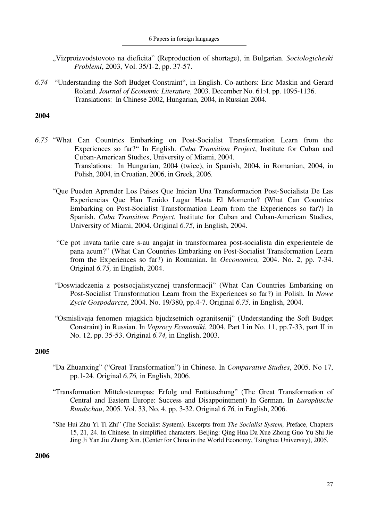"Vizproizvodstovoto na dieficita" (Reproduction of shortage), in Bulgarian. *Sociologicheski Problemi*, 2003, Vol. 35/1-2, pp. 37-57.

*6.74* "Understanding the Soft Budget Constraint", in English. Co-authors: Eric Maskin and Gerard Roland. *Journal of Economic Literature,* 2003. December No. 61:4. pp. 1095-1136. Translations: In Chinese 2002, Hungarian, 2004, in Russian 2004.

## **2004**

- *6.75* "What Can Countries Embarking on Post-Socialist Transformation Learn from the Experiences so far?" In English. *Cuba Transition Project*, Institute for Cuban and Cuban-American Studies, University of Miami, 2004. Translations: In Hungarian, 2004 (twice), in Spanish, 2004, in Romanian, 2004, in Polish, 2004, in Croatian, 2006, in Greek, 2006.
	- "Que Pueden Aprender Los Paises Que Inician Una Transformacion Post-Socialista De Las Experiencias Que Han Tenido Lugar Hasta El Momento? (What Can Countries Embarking on Post-Socialist Transformation Learn from the Experiences so far?) In Spanish. *Cuba Transition Project*, Institute for Cuban and Cuban-American Studies, University of Miami, 2004. Original *6.75,* in English, 2004.
	- "Ce pot invata tarile care s-au angajat in transformarea post-socialista din experientele de pana acum?" (What Can Countries Embarking on Post-Socialist Transformation Learn from the Experiences so far?) in Romanian. In *Oeconomica,* 2004. No. 2, pp. 7-34. Original *6.75,* in English, 2004.
	- "Doswiadczenia z postsocjalistycznej transformacji" (What Can Countries Embarking on Post-Socialist Transformation Learn from the Experiences so far?) in Polish. In *Nowe Zycie Gospodarcze*, 2004. No. 19/380, pp.4-7. Original *6.75,* in English, 2004.
	- "Osmislivaja fenomen mjagkich bjudzsetnich ogranitsenij" (Understanding the Soft Budget Constraint) in Russian. In *Voprocy Economiki*, 2004. Part I in No. 11, pp.7-33, part II in No. 12, pp. 35-53. Original *6.74,* in English, 2003.

# **2005**

- "Da Zhuanxing" ("Great Transformation") in Chinese. In *Comparative Studies*, 2005. No 17, pp.1-24. Original *6.76,* in English, 2006.
- "Transformation Mittelosteuropas: Erfolg und Enttäuschung" (The Great Transformation of Central and Eastern Europe: Success and Disappointment) In German. In *Europäische Rundschau*, 2005. Vol. 33, No. 4, pp. 3-32. Original *6.76,* in English, 2006.
- "She Hui Zhu Yi Ti Zhi" (The Socialist System). Excerpts from *The Socialist System,* Preface, Chapters 15, 21, 24. In Chinese. In simplified characters. Beijing: Qing Hua Da Xue Zhong Guo Yu Shi Jie Jing Ji Yan Jiu Zhong Xin. (Center for China in the World Economy, Tsinghua University), 2005.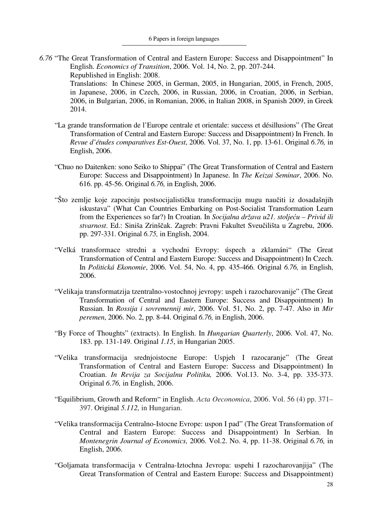*6.76* "The Great Transformation of Central and Eastern Europe: Success and Disappointment" In English. *Economics of Transition*, 2006. Vol. 14, No. 2, pp. 207-244. Republished in English: 2008. Translations: In Chinese 2005, in German, 2005, in Hungarian, 2005, in French, 2005,

in Japanese, 2006, in Czech, 2006, in Russian, 2006, in Croatian, 2006, in Serbian, 2006, in Bulgarian, 2006, in Romanian, 2006, in Italian 2008, in Spanish 2009, in Greek 2014.

- "La grande transformation de l'Europe centrale et orientale: success et désillusions" (The Great Transformation of Central and Eastern Europe: Success and Disappointment) In French. In *Revue d'études comparatives Est-Ouest*, 2006. Vol. 37, No. 1, pp. 13-61. Original *6.76,* in English, 2006.
- "Chuo no Daitenken: sono Seiko to Shippai" (The Great Transformation of Central and Eastern Europe: Success and Disappointment) In Japanese. In *The Keizai Seminar*, 2006. No. 616. pp. 45-56. Original *6.76,* in English, 2006.
- "Što zemlje koje zapocinju postsocijalističku transformaciju mugu naučiti iz dosadašnjih iskustava" (What Can Countries Embarking on Post-Socialist Transformation Learn from the Experiences so far?) In Croatian. In *Socijalna država u21. stoljeću – Privid ili stvarnost*. Ed.: Siniša Zrinščak. Zagreb: Pravni Fakultet Sveučilišta u Zagrebu, 2006. pp. 297-331. Original *6.75,* in English, 2004.
- "Velká transformace stredni a vychodni Evropy: úspech a zklamáni" (The Great Transformation of Central and Eastern Europe: Success and Disappointment) In Czech. In *Politická Ekonomie*, 2006. Vol. 54, No. 4, pp. 435-466. Original *6.76,* in English, 2006.
- "Velikaja transformatzija tzentralno-vostochnoj jevropy: uspeh i razocharovanije" (The Great Transformation of Central and Eastern Europe: Success and Disappointment) In Russian. In *Rossija i sovremennij mir*, 2006. Vol. 51, No. 2, pp. 7-47. Also in *Mir peremen*, 2006. No. 2, pp. 8-44. Original *6.76,* in English, 2006.
- "By Force of Thoughts" (extracts). In English. In *Hungarian Quarterly*, 2006. Vol. 47, No. 183. pp. 131-149. Original *1.15*, in Hungarian 2005.
- "Velika transformacija srednjoistocne Europe: Uspjeh I razocaranje" (The Great Transformation of Central and Eastern Europe: Success and Disappointment) In Croatian. *In Revija za Socijalnu Politiku,* 2006. Vol.13. No. 3-4, pp. 335-373. Original *6.76,* in English, 2006.
- "Equilibrium, Growth and Reform" in English. *Acta Oeconomica*, 2006. Vol. 56 (4) pp. 371– 397. Original *5.112,* in Hungarian.
- "Velika transformacija Centralno-Istocne Evrope: uspon I pad" (The Great Transformation of Central and Eastern Europe: Success and Disappointment) In Serbian. In *Montenegrin Journal of Economics,* 2006. Vol.2. No. 4, pp. 11-38. Original *6.76,* in English, 2006.
- "Goljamata transformacija v Centralna-Iztochna Jevropa: uspehi I razocharovanjija" (The Great Transformation of Central and Eastern Europe: Success and Disappointment)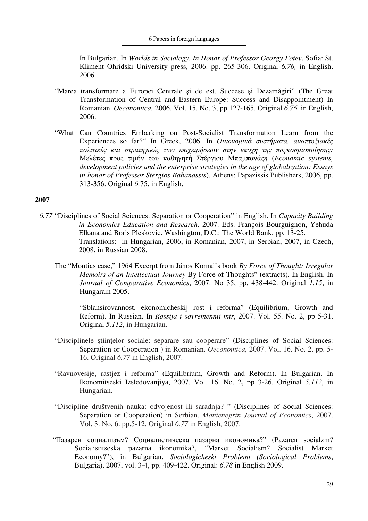In Bulgarian. In *Worlds in Sociology. In Honor of Professor Georgy Fotev*, Sofia: St. Kliment Ohridski University press, 2006. pp. 265-306. Original *6.76,* in English, 2006.

- "Marea transformare a Europei Centrale şi de est. Succese şi Dezamăgiri" (The Great Transformation of Central and Eastern Europe: Success and Disappointment) In Romanian. *Oeconomica,* 2006. Vol. 15. No. 3, pp.127-165. Original *6.76,* in English, 2006.
- "What Can Countries Embarking on Post-Socialist Transformation Learn from the Experiences so far?" In Greek, 2006. In *Oικονοµικά συστήµατα, αναπτυξιακές πολιτικές και στρατηγικές των επιχειρήσεων στην εποχή της παγκοσµιοποίησης:*  Μελέτες προς τιµήν του καθηγητή Στέργιου Μπαµπανάς*η* (*Economic systems, development policies and the enterprise strategies in the age of globalization: Essays in honor of Professor Stergios Babanassis*). Athens: Papazissis Publishers, 2006, pp. 313-356. Original *6.*75, in English.

## **2007**

- *6.77* "Disciplines of Social Sciences: Separation or Cooperation" in English. In *Capacity Building in Economics Education and Research*, 2007. Eds. François Bourguignon, Yehuda Elkana and Boris Pleskovic. Washington, D.C.: The World Bank. pp. 13-25. Translations: in Hungarian, 2006, in Romanian, 2007, in Serbian, 2007, in Czech, 2008, in Russian 2008.
	- The "Montias case," 1964 Excerpt from János Kornai's book *By Force of Thought: Irregular Memoirs of an Intellectual Journey* By Force of Thoughts" (extracts). In English. In *Journal of Comparative Economics*, 2007. No 35, pp. 438-442. Original *1.15*, in Hungarain 2005.

 "Sblansirovannost, ekonomicheskij rost i reforma" (Equilibrium, Growth and Reform). In Russian. In *Rossija i sovremennij mir*, 2007. Vol. 55. No. 2, pp 5-31. Original *5.112,* in Hungarian.

- "Disciplinele ştiinţelor sociale: separare sau cooperare" (Disciplines of Social Sciences: Separation or Cooperation ) in Romanian. *Oeconomica,* 2007. Vol. 16. No. 2, pp. 5- 16. Original *6.77* in English, 2007.
- "Ravnovesije, rastjez i reforma" (Equilibrium, Growth and Reform). In Bulgarian. In Ikonomitseski Izsledovanjiya, 2007. Vol. 16. No. 2, pp 3-26. Original *5.112,* in Hungarian.
- "Discipline društvenih nauka: odvojenost ili saradnja? " (Disciplines of Social Sciences: Separation or Cooperation) in Serbian. *Montenegrin Journal of Economics*, 2007. Vol. 3. No. 6. pp.5-12. Original *6.77* in English, 2007.
- "Пазарен социализъм? Социалистическа пазарна икономика?" (Pazaren socialzm? Socialistitseska pazarna ikonomika?, "Market Socialism? Socialist Market Economy?"), in Bulgarian. *Sociologicheski Problemi (Sociological Problems*, Bulgaria), 2007, vol. 3-4, pp. 409-422. Original: *6.78* in English 2009.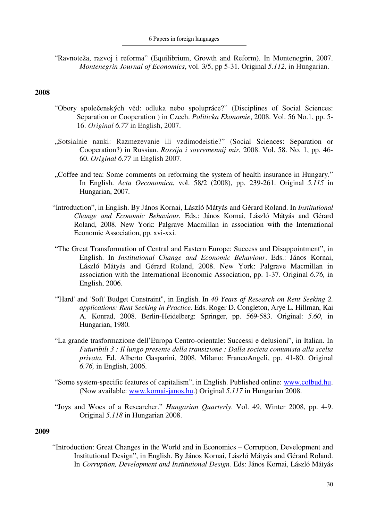"Ravnoteža, razvoj i reforma" (Equilibrium, Growth and Reform). In Montenegrin, 2007. *Montenegrin Journal of Economics*, vol. 3/5, pp 5-31. Original *5.112,* in Hungarian.

## **2008**

- "Obory společenských vĕd: odluka nebo spolupráce?" (Disciplines of Social Sciences: Separation or Cooperation ) in Czech. *Politicka Ekonomie*, 2008. Vol. 56 No.1, pp. 5- 16. *Original 6.77* in English, 2007.
- "Sotsialnie nauki: Razmezevanie ili vzdimodeistie?" (Social Sciences: Separation or Cooperation?) in Russian. *Rossija i sovremennij mir*, 2008. Vol. 58. No. 1, pp. 46- 60. *Original 6.77* in English 2007.
- "Coffee and tea: Some comments on reforming the system of health insurance in Hungary." In English. *Acta Oeconomica*, vol. 58/2 (2008), pp. 239-261. Original *5.115* in Hungarian, 2007.
- "Introduction", in English. By János Kornai, László Mátyás and Gérard Roland. In *Institutional Change and Economic Behaviour.* Eds.: János Kornai, László Mátyás and Gérard Roland, 2008. New York: Palgrave Macmillan in association with the International Economic Association, pp. xvi-xxi.
- "The Great Transformation of Central and Eastern Europe: Success and Disappointment", in English. In *Institutional Change and Economic Behaviour*. Eds.: János Kornai, László Mátyás and Gérard Roland, 2008. New York: Palgrave Macmillan in association with the International Economic Association, pp. 1-37. Original *6.76,* in English, 2006.
- "'Hard' and 'Soft' Budget Constraint", in English. In *40 Years of Research on Rent Seeking 2. applications: Rent Seeking in Practice.* Eds. Roger D. Congleton, Arye L. Hillman, Kai A. Konrad, 2008. Berlin-Heidelberg: Springer, pp. 569-583. Original: *5.60*, in Hungarian, 1980.
- "La grande trasformazione dell'Europa Centro-orientale: Successi e delusioni", in Italian. In *Futuribili 3 : Il lungo presente della transizione : Dalla societa comunista alla scelta privata.* Ed. Alberto Gasparini, 2008. Milano: FrancoAngeli, pp. 41-80. Original *6.76,* in English, 2006.
- "Some system-specific features of capitalism", in English. Published online: www.colbud.hu. (Now available: www.kornai-janos.hu.) Original *5.117* in Hungarian 2008.
- "Joys and Woes of a Researcher." *Hungarian Quarterly*. Vol. 49, Winter 2008, pp. 4-9. Original *5.118* in Hungarian 2008.

#### **2009**

"Introduction: Great Changes in the World and in Economics – Corruption, Development and Institutional Design", in English. By János Kornai, László Mátyás and Gérard Roland. In *Corruption, Development and Institutional Design.* Eds: János Kornai, László Mátyás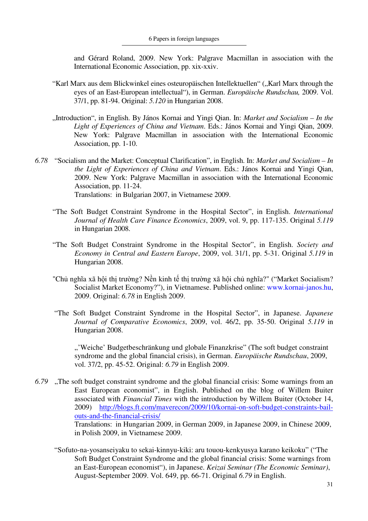and Gérard Roland, 2009. New York: Palgrave Macmillan in association with the International Economic Association, pp. xix-xxiv.

- "Karl Marx aus dem Blickwinkel eines osteuropäischen Intellektuellen" ("Karl Marx through the eyes of an East-European intellectual"), in German. *Europäische Rundschau,* 2009. Vol. 37/1, pp. 81-94. Original: *5.120* in Hungarian 2008.
- "Introduction", in English. By János Kornai and Yingi Qian. In: *Market and Socialism In the Light of Experiences of China and Vietnam*. Eds.: János Kornai and Yingi Qian, 2009. New York: Palgrave Macmillan in association with the International Economic Association, pp. 1-10.
- *6.78* "Socialism and the Market: Conceptual Clarification", in English. In: *Market and Socialism In the Light of Experiences of China and Vietnam*. Eds.: János Kornai and Yingi Qian, 2009. New York: Palgrave Macmillan in association with the International Economic Association, pp. 11-24. Translations: in Bulgarian 2007, in Vietnamese 2009.
	- "The Soft Budget Constraint Syndrome in the Hospital Sector", in English. *International Journal of Health Care Finance Economics*, 2009, vol. 9, pp. 117-135. Original *5.119* in Hungarian 2008.
	- "The Soft Budget Constraint Syndrome in the Hospital Sector", in English. *Society and Economy in Central and Eastern Europe*, 2009, vol. 31/1, pp. 5-31. Original *5.119* in Hungarian 2008.
	- "Chủ nghĩa xã hội thị trường? Nền kinh tế thị trường xã hội chủ nghĩa?" ("Market Socialism? Socialist Market Economy?"), in Vietnamese. Published online: www.kornai-janos.hu, 2009. Original: *6.78* in English 2009.
	- "The Soft Budget Constraint Syndrome in the Hospital Sector", in Japanese. *Japanese Journal of Comparative Economics*, 2009, vol. 46/2, pp. 35-50. Original *5.119* in Hungarian 2008.

", "Weiche" Budgetbeschränkung und globale Finanzkrise" (The soft budget constraint syndrome and the global financial crisis), in German. *Europäische Rundschau*, 2009, vol. 37/2, pp. 45-52. Original: *6.79* in English 2009.

- *6.79* "The soft budget constraint syndrome and the global financial crisis: Some warnings from an East European economist", in English. Published on the blog of Willem Buiter associated with *Financial Times* with the introduction by Willem Buiter (October 14, 2009) http://blogs.ft.com/maverecon/2009/10/kornai-on-soft-budget-constraints-bailouts-and-the-financial-crisis/ Translations: in Hungarian 2009, in German 2009, in Japanese 2009, in Chinese 2009, in Polish 2009, in Vietnamese 2009.
	- "Sofuto-na-yosanseiyaku to sekai-kinnyu-kiki: aru touou-kenkyusya karano keikoku" ("The Soft Budget Constraint Syndrome and the global financial crisis: Some warnings from an East-European economist"), in Japanese. *Keizai Seminar (The Economic Seminar)*, August-September 2009. Vol. 649, pp. 66-71. Original *6.79* in English.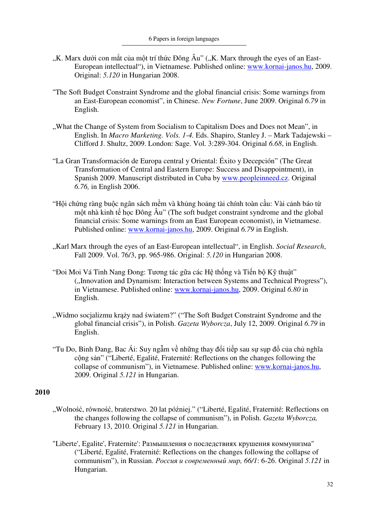- "K. Marx dưới con mắt của một trí thức Đông Âu" ("K. Marx through the eyes of an East-European intellectual"), in Vietnamese. Published online: www.kornai-janos.hu, 2009. Original: *5.120* in Hungarian 2008.
- "The Soft Budget Constraint Syndrome and the global financial crisis: Some warnings from an East-European economist", in Chinese. *New Fortune*, June 2009. Original *6.79* in English.
- ..What the Change of System from Socialism to Capitalism Does and Does not Mean", in English. In *Macro Marketing. Vols. 1-4.* Eds. Shapiro, Stanley J. – Mark Tadajewski – Clifford J. Shultz, 2009. London: Sage. Vol. 3:289-304. Original *6.68*, in English.
- "La Gran Transformación de Europa central y Oriental: Éxito y Decepción" (The Great Transformation of Central and Eastern Europe: Success and Disappointment), in Spanish 2009. Manuscript distributed in Cuba by www.peopleinneed.cz. Original *6.76,* in English 2006.
- "Hội chứng ràng buộc ngân sách mềm và khủng hoảng tài chính toàn cầu: Vài cảnh báo từ một nhà kinh tế học Đông Âu" (The soft budget constraint syndrome and the global financial crisis: Some warnings from an East European economist), in Vietnamese. Published online: www.kornai-janos.hu, 2009. Original *6.79* in English.
- "Karl Marx through the eyes of an East-European intellectual", in English. *Social Research*, Fall 2009. Vol. 76/3, pp. 965-986. Original: *5.120* in Hungarian 2008.
- "Đoi Moi Vá Tinh Nang Đong: Tương tác gữa các Hệ thống và Tiến bộ Kỹ thuật" ("Innovation and Dynamism: Interaction between Systems and Technical Progress"), in Vietnamese. Published online: www.kornai-janos.hu, 2009. Original *6.80* in English.
- "Widmo socjalizmu krąży nad światem?" ("The Soft Budget Constraint Syndrome and the global financial crisis"), in Polish. *Gazeta Wyborcza*, July 12, 2009. Original *6.79* in English.
- "Tu Do, Binh Đang, Bac Ái: Suy ngẫm về những thay đổi tiếp sau sự sụp đổ của chủ nghĩa cộng sản" ("Liberté, Egalité, Fraternité: Reflections on the changes following the collapse of communism"), in Vietnamese. Published online: www.kornai-janos.hu, 2009. Original *5.121* in Hungarian.

- "Wolność, równość, braterstwo. 20 lat później." ("Liberté, Egalité, Fraternité: Reflections on the changes following the collapse of communism"), in Polish. *Gazeta Wyborcza,*  February 13, 2010. Original *5.121* in Hungarian.
- "Liberte', Egalite', Fraternite': Размышления о последствиях крушения коммунизма" ("Liberté, Egalité, Fraternité: Reflections on the changes following the collapse of communism"), in Russian. *Россия и современный мир, 66/1*: 6-26. Original *5.121* in Hungarian.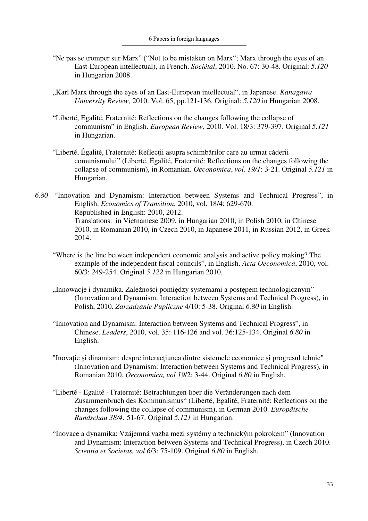- "Ne pas se tromper sur Marx" ("Not to be mistaken on Marx"; Marx through the eyes of an East-European intellectual), in French. *Sociétal*, 2010. No. 67: 30-48. Original: *5.120* in Hungarian 2008.
- "Karl Marx through the eyes of an East-European intellectual", in Japanese. *Kanagawa University Review,* 2010. Vol. 65, pp.121-136. Original: *5.120* in Hungarian 2008.
- "Liberté, Egalité, Fraternité: Reflections on the changes following the collapse of communism" in English. *European Review*, 2010. Vol. 18/3: 379-397. Original *5.121* in Hungarian.
- "Liberté, Égalité, Fraternité: Reflecţii asupra schimbărilor care au urmat căderii comunismului" (Liberté, Égalité, Fraternité: Reflections on the changes following the collapse of communism), in Romanian. *Oeconomica*, *vol. 19/1*: 3-21. Original *5.121* in Hungarian.
- *6.80* "Innovation and Dynamism: Interaction between Systems and Technical Progress", in English. *Economics of Transition*, 2010, vol. 18/4: 629-670. Republished in English: 2010, 2012. Translations: in Vietnamese 2009, in Hungarian 2010, in Polish 2010, in Chinese 2010, in Romanian 2010, in Czech 2010, in Japanese 2011, in Russian 2012, in Greek 2014.
	- "Where is the line between independent economic analysis and active policy making? The example of the independent fiscal councils", in English. *Acta Oeconomica*, 2010, vol. 60/3: 249-254. Original *5.122* in Hungarian 2010.
	- "Innowacje i dynamika. Zależności pomiędzy systemami a postępem technologicznym" (Innovation and Dynamism. Interaction between Systems and Technical Progress), in Polish, 2010. *Zarzadzanie Pupliczne* 4/10: 5-38. Original *6.80* in English.
	- "Innovation and Dynamism: Interaction between Systems and Technical Progress", in Chinese. *Leaders*, 2010, vol. 35: 116-126 and vol. 36:125-134. Original *6.80* in English.
	- "Inovație și dinamism: despre interacțiunea dintre sistemele economice și progresul tehnic" (Innovation and Dynamism: Interaction between Systems and Technical Progress), in Romanian 2010. *Oeconomica, vol 19*/2: 3-44. Original *6.80* in English.
	- "Liberté Egalité Fraternité: Betrachtungen über die Veränderungen nach dem Zusammenbruch des Kommunismus" (Liberté, Egalité, Fraternité: Reflections on the changes following the collapse of communism), in German 2010. *Europäische Rundschau 38/4:* 51-67. Original *5.121* in Hungarian.
	- "Inovace a dynamika: Vzájemná vazba mezi systémy a technickým pokrokem" (Innovation and Dynamism: Interaction between Systems and Technical Progress), in Czech 2010. *Scientia et Societas, vol 6*/3: 75-109. Original *6.80* in English.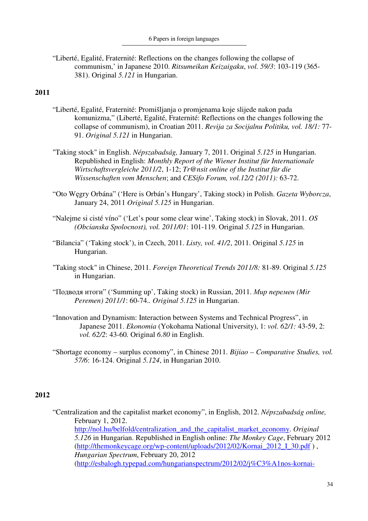"Liberté, Egalité, Fraternité: Reflections on the changes following the collapse of communism,' in Japanese 2010. *Ritsumeikan Keizaigaku*, *vol. 59/3*: 103-119 (365- 381). Original *5.121* in Hungarian.

## **2011**

- "Liberté, Egalité, Fraternité: Promišljanja o promjenama koje slijede nakon pada komunizma," (Liberté, Egalité, Fraternité: Reflections on the changes following the collapse of communism), in Croatian 2011. *Revija za Socijalnu Politiku, vol. 18/1:* 77- 91. *Original 5.121* in Hungarian.
- "Taking stock" in English. *Népszabadság,* January 7, 2011. Original *5.125* in Hungarian. Republished in English: *Monthly Report of the Wiener Institut für Internationale Wirtschaftsvergleiche 2011/2*, 1-12; *Tr@nsit online of the Institut für die Wissenschaften vom Menschen*; and *CESifo Forum, vol.12/2 (2011):* 63-72.
- "Oto Węgry Orbána" ('Here is Orbán's Hungary', Taking stock) in Polish. *Gazeta Wyborcza*, January 24, 2011 *Original 5.125* in Hungarian.
- "Nalejme si cisté víno" ('Let's pour some clear wine', Taking stock) in Slovak, 2011. *OS (Obcianska Spolocnost), vol. 2011/01*: 101-119. Original *5.125* in Hungarian.
- "Bilancia" ('Taking stock'), in Czech, 2011. *Listy, vol. 41/2*, 2011. Original *5.125* in Hungarian.
- "Taking stock" in Chinese, 2011. *Foreign Theoretical Trends 2011/8:* 81-89. Original *5.125* in Hungarian.
- "Подводя итоги" ('Summing up', Taking stock) in Russian, 2011. *Мир перемен (Mir Peremen) 2011/1*: 60-74.*. Original 5.125* in Hungarian.
- "Innovation and Dynamism: Interaction between Systems and Technical Progress", in Japanese 2011. *Ekonomia* (Yokohama National University), 1: *vol. 62/1:* 43-59, 2: *vol. 62/2*: 43-60*.* Original *6.80* in English.
- "Shortage economy surplus economy", in Chinese 2011. *Bijiao Comparative Studies, vol. 57/6*: 16-124. Original *5.124*, in Hungarian 2010.

## **2012**

"Centralization and the capitalist market economy", in English, 2012. *Népszabadság online,*  February 1, 2012. http://nol.hu/belfold/centralization\_and\_the\_capitalist\_market\_economy. *Original 5.126* in Hungarian. Republished in English online: *The Monkey Cage*, February 2012 (http://themonkeycage.org/wp-content/uploads/2012/02/Kornai\_2012\_I\_30.pdf ) , *Hungarian Spectrum*, February 20, 2012 (http://esbalogh.typepad.com/hungarianspectrum/2012/02/j%C3%A1nos-kornai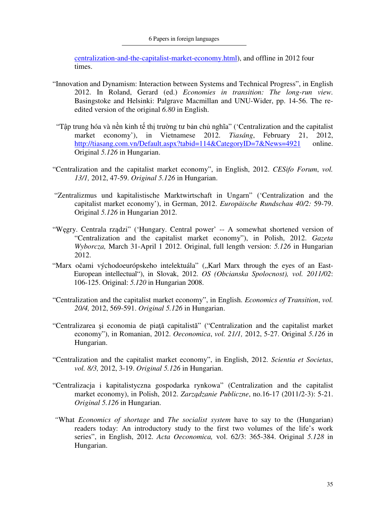centralization-and-the-capitalist-market-economy.html), and offline in 2012 four times.

- "Innovation and Dynamism: Interaction between Systems and Technical Progress", in English 2012. In Roland, Gerard (ed.) *Economies in transition: The long-run view.* Basingstoke and Helsinki: Palgrave Macmillan and UNU-Wider, pp. 14-56. The reedited version of the original *6.80* in English.
- "Tập trung hóa và nền kinh tế thị trường tư bản chủ nghĩa" ('Centralization and the capitalist market economy'), in Vietnamese 2012. *Tiasáng*, February 21, 2012, http://tiasang.com.vn/Default.aspx?tabid=114&CategoryID=7&News=4921 online. Original *5.126* in Hungarian.
- "Centralization and the capitalist market economy", in English, 2012. *CESifo Forum*, *vol. 13/1,* 2012, 47-59. *Original 5.126* in Hungarian.
- "Zentralizmus und kapitalistische Marktwirtschaft in Ungarn" ('Centralization and the capitalist market economy'), in German, 2012. *Europäische Rundschau 40/2:* 59-79. Original *5.126* in Hungarian 2012.
- "Węgry. Centrala rządzi" ('Hungary. Central power' -- A somewhat shortened version of "Centralization and the capitalist market economy"), in Polish, 2012. *Gazeta Wyborcza,* March 31-April 1 2012. Original, full length version: *5.126* in Hungarian 2012.
- "Marx očami východoeurópskeho intelektuála" ("Karl Marx through the eyes of an East-European intellectual"), in Slovak, 2012. *OS (Obcianska Spolocnost), vol. 2011/02*: 106-125. Original: *5.120* in Hungarian 2008.
- "Centralization and the capitalist market economy", in English. *Economics of Transition*, *vol. 20/4,* 2012, 569-591. *Original 5.126* in Hungarian.
- "Centralizarea şi economia de piaţă capitalistă" ("Centralization and the capitalist market economy"), in Romanian, 2012. *Oeconomica*, *vol. 21/1,* 2012, 5-27. Original *5.126* in Hungarian.
- "Centralization and the capitalist market economy", in English, 2012. *Scientia et Societas*, *vol. 8/3,* 2012, 3-19. *Original 5.126* in Hungarian.
- "Centralizacja i kapitalistyczna gospodarka rynkowa" (Centralization and the capitalist market economy), in Polish, 2012. *Zarządzanie Publiczne*, no.16-17 (2011/2-3): 5-21. *Original 5.126* in Hungarian.
- *"*What *Economics of shortage* and *The socialist system* have to say to the (Hungarian) readers today: An introductory study to the first two volumes of the life's work series", in English, 2012. *Acta Oeconomica,* vol. 62/3: 365-384. Original *5.128* in Hungarian.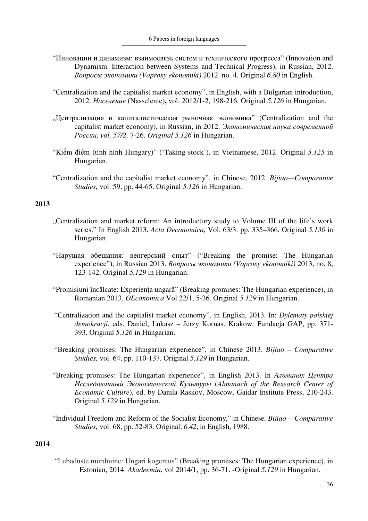- "Инновации и динамизм: взаимосвязь систем и технического прогресса" (Innovation and Dynamism. Interaction between Systems and Technical Progress), in Russian, 2012. *Вопросы экономики (Voprosy ekonomiki)* 2012. no. 4. Original *6.80* in English.
- "Centralization and the capitalist market economy", in English, with a Bulgarian introduction, 2012. *Нaceлeниe* (Nasselenie)**,** vol. 2012/1-2, 198-216. Original *5.126* in Hungarian.
- "Централизация и капиталистическая рыночная экономика" (Centralization and the capitalist market economy), in Russian, in 2012. *Экономическая наука современной России, vol. 57/2,* 7-26. *Original 5.126* in Hungarian.
- "Kiểm điểm (tình hình Hungary)" ('Taking stock'), in Vietnamese, 2012. Original *5.125* in Hungarian.
- "Centralization and the capitalist market economy", in Chinese, 2012. *Bijiao—Comparative Studies,* vol. 59, pp. 44-65. Original *5.126* in Hungarian.

- "Centralization and market reform: An introductory study to Volume III of the life's work series." In English 2013. *Acta Oeconomica,* Vol. 63/3: pp. 335–366. Original *5.130* in Hungarian.
- "Нарушая обещания: венгерский опыт" ("Breaking the promise: The Hungarian experience"), in Russian 2013. *Вопросы экономики (Voprosy ekonomiki)* 2013, no. 8, 123-142. Original *5.129* in Hungarian.
- "Promisiuni încălcate: Experienţa ungară" (Breaking promises: The Hungarian experience), in Romanian 2013. *OEconomica* Vol 22/1, 5-36. Original *5.129* in Hungarian.
- "Centralization and the capitalist market economy", in English, 2013. In: *Dylematy polskiej demokracji*, eds. Daniel, Lukasz – Jerzy Kornas. Krakow: Fundacja GAP, pp. 371- 393. Original *5.126* in Hungarian.
- "Breaking promises: The Hungarian experience", in Chinese 2013. *Bijiao Comparative Studies,* vol. 64, pp. 110-137. Original *5.129* in Hungarian.
- "Breaking promises: The Hungarian experience", in English 2013. In *Aльманах Центрa Исследованный Экономической Kультуры* (*Almanach of the Research Center of Economic Culture*), ed. by Danila Raskov, Moscow, Gaidar Institute Press, 210-243. Original *5.129* in Hungarian.
- "Individual Freedom and Reform of the Socialist Economy," in Chinese. *Bijiao Comparative Studies,* vol. 68, pp. 52-83. Original: *6.42*, in English, 1988.

# **2014**

"Lubaduste murdmine: Ungari kogemus" (Breaking promises: The Hungarian experience), in Estonian, 2014. *Akadeemia*, vol 2014/1, pp. 36-71. -Original *5.129* in Hungarian.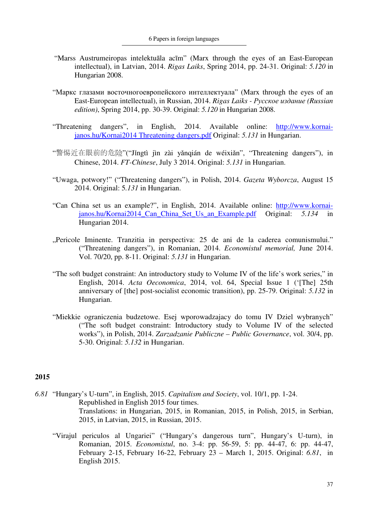- "Marss Austrumeiropas intelektuāla acīm" (Marx through the eyes of an East-European intellectual), in Latvian, 2014. *Rigas Laiks*, Spring 2014, pp. 24-31. Original: *5.120* in Hungarian 2008.
- "Маркс глазами восточногоевропейского интеллектуала" (Marx through the eyes of an East-European intellectual), in Russian, 2014. *Rigas Laiks - Русское издание (Russian edition)*, Spring 2014, pp. 30-39. Original: *5.120* in Hungarian 2008.
- "Threatening dangers", in English, 2014. Available online: http://www.kornaijanos.hu/Kornai2014 Threatening dangers.pdf Original: *5.131* in Hungarian.
- "警惕近在眼前的危险"("Jǐngtì jìn zài yǎnqián de wéixiǎn", "Threatening dangers"), in Chinese, 2014. *FT-Chinese*, July 3 2014. Original: *5.131* in Hungarian.
- "Uwaga, potwory!" ("Threatening dangers"), in Polish, 2014. *Gazeta Wyborcza*, August 15 2014. Original: 5*.131* in Hungarian.
- "Can China set us an example?", in English, 2014. Available online: http://www.kornaijanos.hu/Kornai2014\_Can\_China\_Set\_Us\_an\_Example.pdf Original: *5.134* in Hungarian 2014.
- "Pericole Iminente. Tranzitia in perspectiva: 25 de ani de la caderea comunismului." ("Threatening dangers"), in Romanian, 2014. *Economistul memorial,* June 2014. Vol. 70/20, pp. 8-11. Original: *5.131* in Hungarian.
- "The soft budget constraint: An introductory study to Volume IV of the life's work series," in English, 2014. *Acta Oeconomica*, 2014, vol. 64, Special Issue 1 ('[The] 25th anniversary of [the] post-socialist economic transition), pp. 25-79. Original: *5.132* in Hungarian.
- "Miekkie ograniczenia budzetowe. Esej wporowadzajacy do tomu IV Dziel wybranych" ("The soft budget constraint: Introductory study to Volume IV of the selected works"), in Polish, 2014. *Zarzadzanie Publiczne – Public Governance*, vol. 30/4, pp. 5-30. Original: *5.132* in Hungarian.

- *6.81* "Hungary's U-turn", in English, 2015. *Capitalism and Society*, vol. 10/1, pp. 1-24. Republished in English 2015 four times. Translations: in Hungarian, 2015, in Romanian, 2015, in Polish, 2015, in Serbian, 2015, in Latvian, 2015, in Russian, 2015.
	- "Virajul periculos al Ungariei" ("Hungary's dangerous turn", Hungary's U-turn), in Romanian, 2015. *Economistul*, no. 3-4: pp. 56-59, 5: pp. 44-47, 6: pp. 44-47, February 2-15, February 16-22, February 23 – March 1, 2015. Original: *6.81*, in English 2015.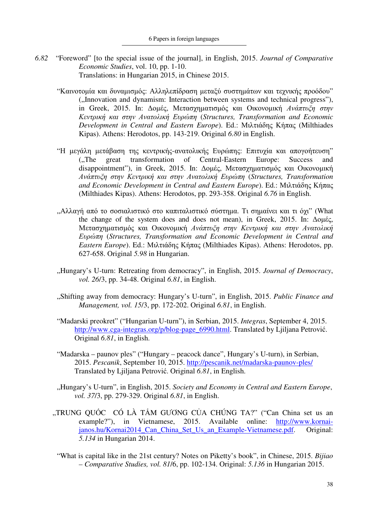- *6.82* "Foreword" [to the special issue of the journal], in English, 2015. *Journal of Comparative Economic Studies*, vol. 10, pp. 1-10. Translations: in Hungarian 2015, in Chinese 2015.
	- "Καινοτομία και δυναμισμός: Αλληλεπίδραση μεταξύ συστημάτων και τεχνικής προόδου" ("Innovation and dynamism: Interaction between systems and technical progress"), in Greek, 2015. In: ∆οµές, Μετασχηµατισµός και Οικονοµική *Ανάπτυξη στην Κεντρική και στην Ανατολική Ευρώπη* (*Structures, Transformation and Economic Development in Central and Eastern Europe*). Ed.: Μιλτιάδης Κήπας (Milthiades Kipas). Athens: Herodotos, pp. 143-219. Original *6.80* in English.
	- "Η µεγάλη µετάβαση της κεντρικής-ανατολικής Ευρώπης: Επιτυχία και απογοήτευση" ("The great transformation of Central-Eastern Europe: Success and disappointment"), in Greek, 2015. In: Δομές, Μετασχηματισμός και Οικονομική *Ανάπτυξη στην Κεντρική και στην Ανατολική Ευρώπη* (*Structures, Transformation and Economic Development in Central and Eastern Europe*). Ed.: Μιλτιάδης Κήπας (Milthiades Kipas). Athens: Herodotos, pp. 293-358. Original *6.76* in English.
	- "Αλλαγή από το σοσιαλιστικό στο καπιταλιστικό σύστηµα. Τι σηµαίνει και τι όχι" (What the change of the system does and does not mean), in Greek, 2015. In: ∆οµές, Μετασχηµατισµός και Οικονοµική *Ανάπτυξη στην Κεντρική και στην Ανατολική Ευρώπη* (*Structures, Transformation and Economic Development in Central and Eastern Europe*). Ed.: Μιλτιάδης Κήπας (Milthiades Kipas). Athens: Herodotos, pp. 627-658. Original *5.98* in Hungarian.
	- "Hungary's U-turn: Retreating from democracy", in English, 2015. *Journal of Democracy*, *vol. 26*/3, pp. 34-48. Original *6.81*, in English.
	- "Shifting away from democracy: Hungary's U-turn", in English, 2015. *Public Finance and Management, vol. 15*/3, pp. 172-202. Original *6.81*, in English.
	- "Madarski preokret" ("Hungarian U-turn"), in Serbian, 2015. *Integras*, September 4, 2015. http://www.cga-integras.org/p/blog-page\_6990.html. Translated by Ljiljana Petrović. Original *6.81*, in English.
	- "Madarska paunov ples" ("Hungary peacock dance", Hungary's U-turn), in Serbian, 2015. *Pescanik*, September 10, 2015. http://pescanik.net/madarska-paunov-ples/ Translated by Ljiljana Petrović. Original *6.81*, in English.
	- "Hungary's U-turn", in English, 2015. *Society and Economy in Central and Eastern Europe*, *vol. 37*/3, pp. 279-329. Original *6.81*, in English.
	- "TRUNG QUỐC CÓ LÀ TẤM GƯƠNG CỦA CHÚNG TA?" ("Can China set us an example?"), in Vietnamese, 2015. Available online: http://www.kornaijanos.hu/Kornai2014\_Can\_China\_Set\_Us\_an\_Example-Vietnamese.pdf. Original: *5.134* in Hungarian 2014.
		- "What is capital like in the 21st century? Notes on Piketty's book", in Chinese, 2015. *Bijiao – Comparative Studies, vol. 81*/6, pp. 102-134. Original: *5.136* in Hungarian 2015.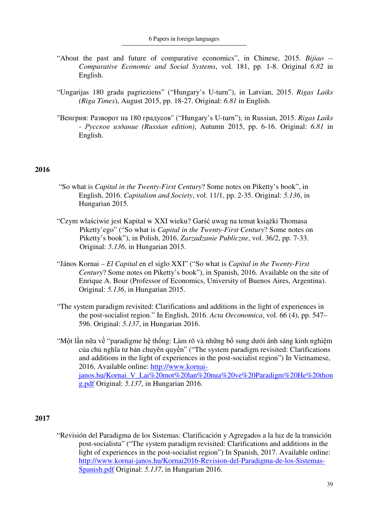- "About the past and future of comparative economics", in Chinese, 2015. *Bijiao -- Comparative Economic and Social Systems*, vol. 181, pp. 1-8. Original *6.82* in English.
- "Ungarijas 180 gradu pagrieziens" ("Hungary's U-turn"), in Latvian, 2015. *Rigas Laiks (Riga Times*), August 2015, pp. 18-27. Original: *6.81* in English.
- "Венгрия: Разворот на 180 градусов" ("Hungary's U-turn"), in Russian, 2015. *Rigas Laiks - Русское издание (Russian edition)*, Autumn 2015, pp. 6-16. Original: *6.81* in English.

- "So what is *Capital in the Twenty-First Century*? Some notes on Piketty's book", in English, 2016. *Capitalism and Society*, vol. 11/1, pp. 2-35. Original: *5.136*, in Hungarian 2015.
- "Czym wlaściwie jest Kapital w XXI wieku? Garść uwag na temat książki Thomasa Piketty'ego" ("So what is *Capital in the Twenty-First Century*? Some notes on Piketty's book"), in Polish, 2016. *Zarzadzanie Publiczne*, vol. 36/2, pp. 7-33. Original: *5.136*, in Hungarian 2015.
- "János Kornai *El Capital* en el siglo XXI" ("So what is *Capital in the Twenty-First Century*? Some notes on Piketty's book"), in Spanish, 2016. Available on the site of Enrique A. Bour (Professor of Economics, University of Buenos Aires, Argentina). Original: *5.136*, in Hungarian 2015.
- "The system paradigm revisited: Clarifications and additions in the light of experiences in the post-socialist region." In English, 2016. *Acta Oeconomica*, vol. 66 (4), pp. 547– 596. Original: *5.137*, in Hungarian 2016.
- "Một lần nữa về "paradigme hệ thống: Làm rõ và những bổ sung dưới ánh sáng kinh nghiệm của chủ nghĩa tư bản chuyên quyền" ("The system paradigm revisited: Clarifications and additions in the light of experiences in the post-socialist region") In Vietnamese, 2016. Available online: http://www.kornaijanos.hu/Kornai\_V\_Lai%20mot%20lan%20nua%20ve%20Paradigm%20He%20thon g.pdf Original: *5.137*, in Hungarian 2016.

# **2017**

"Revisión del Paradigma de los Sistemas: Clarificación y Agregados a la luz de la transición post-socialista" ("The system paradigm revisited: Clarifications and additions in the light of experiences in the post-socialist region") In Spanish, 2017. Available online: http://www.kornai-janos.hu/Kornai2016-Revision-del-Paradigma-de-los-Sistemas-Spanish.pdf Original: *5.137*, in Hungarian 2016.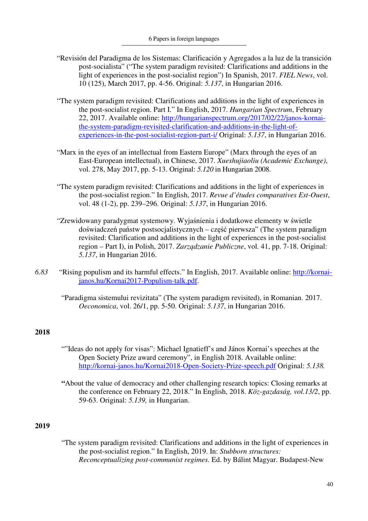- "Revisión del Paradigma de los Sistemas: Clarificación y Agregados a la luz de la transición post-socialista" ("The system paradigm revisited: Clarifications and additions in the light of experiences in the post-socialist region") In Spanish, 2017. *FIEL News*, vol. 10 (125), March 2017, pp. 4-56. Original: *5.137*, in Hungarian 2016.
- "The system paradigm revisited: Clarifications and additions in the light of experiences in the post-socialist region. Part I." In English, 2017. *Hungarian Spectrum*, February 22, 2017. Available online: http://hungarianspectrum.org/2017/02/22/janos-kornaithe-system-paradigm-revisited-clarification-and-additions-in-the-light-ofexperiences-in-the-post-socialist-region-part-i/ Original: *5.137*, in Hungarian 2016.
- "Marx in the eyes of an intellectual from Eastern Europe" (Marx through the eyes of an East-European intellectual), in Chinese, 2017. *Xueshujiaoliu (Academic Exchange)*, vol. 278, May 2017, pp. 5-13. Original: *5.120* in Hungarian 2008.
- "The system paradigm revisited: Clarifications and additions in the light of experiences in the post-socialist region." In English, 2017. *Revue d'études comparatives Est-Ouest*, vol. 48 (1-2), pp. 239–296. Original: *5.137*, in Hungarian 2016.
- "Zrewidowany paradygmat systemowy. Wyjaśnienia i dodatkowe elementy w świetle doświadczeń państw postsocjalistycznych – część pierwsza" (The system paradigm revisited: Clarification and additions in the light of experiences in the post-socialist region – Part I), in Polish, 2017. *Zarządzanie Publiczne*, vol. 41, pp. 7-18. Original: *5.137*, in Hungarian 2016.
- *6.83* "Rising populism and its harmful effects." In English, 2017. Available online: http://kornaijanos.hu/Kornai2017-Populism-talk.pdf.
	- "Paradigma sistemului revizitata" (The system paradigm revisited), in Romanian. 2017. *Oeconomica*, vol. 26/1, pp. 5-50. Original: *5.137*, in Hungarian 2016.

- ""Ideas do not apply for visas": Michael Ignatieff's and János Kornai's speeches at the Open Society Prize award ceremony", in English 2018. Available online: http://kornai-janos.hu/Kornai2018-Open-Society-Prize-speech.pdf Original: *5.138.*
- **"**About the value of democracy and other challenging research topics: Closing remarks at the conference on February 22, 2018." In English, 2018. *Köz-gazdaság, vol.13/2*, pp. 59-63. Original: *5.139,* in Hungarian.

## **2019**

"The system paradigm revisited: Clarifications and additions in the light of experiences in the post-socialist region." In English, 2019. In: *Stubborn structures: Reconceptualizing post-communist regimes.* Ed. by Bálint Magyar. Budapest-New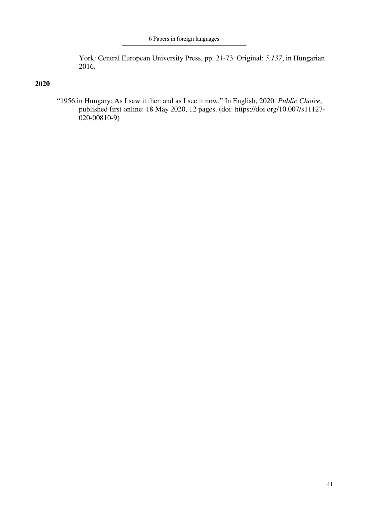York: Central European University Press, pp. 21-73. Original: *5.137*, in Hungarian 2016.

# **2020**

"1956 in Hungary: As I saw it then and as I see it now." In English, 2020. *Public Choice*, published first online: 18 May 2020, 12 pages. (doi: https://doi.org/10.007/s11127- 020-00810-9)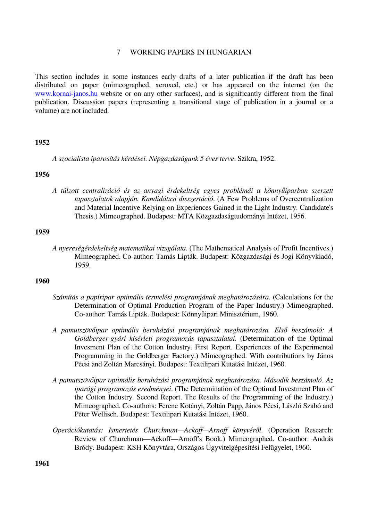## 7 WORKING PAPERS IN HUNGARIAN

This section includes in some instances early drafts of a later publication if the draft has been distributed on paper (mimeographed, xeroxed, etc.) or has appeared on the internet (on the www.kornai-janos.hu website or on any other surfaces), and is significantly different from the final publication. Discussion papers (representing a transitional stage of publication in a journal or a volume) are not included.

### **1952**

*A szocialista iparosítás kérdései. Népgazdaságunk 5 éves terve*. Szikra, 1952.

## **1956**

*A túlzott centralizáció és az anyagi érdekeltség egyes problémái a könnyűiparban szerzett tapasztalatok alapján. Kandidátusi disszertáció*. (A Few Problems of Overcentralization and Material Incentive Relying on Experiences Gained in the Light Industry. Candidate's Thesis.) Mimeographed. Budapest: MTA Közgazdaságtudományi Intézet, 1956.

### **1959**

*A nyereségérdekeltség matematikai vizsgálata*. (The Mathematical Analysis of Profit Incentives.) Mimeographed. Co-author: Tamás Lipták. Budapest: Közgazdasági és Jogi Könyvkiadó, 1959.

### **1960**

- *Számítás a papíripar optimális termelési programjának meghatározására*. (Calculations for the Determination of Optimal Production Program of the Paper Industry.) Mimeographed. Co-author: Tamás Lipták. Budapest: Könnyűipari Minisztérium, 1960.
- *A pamutszövőipar optimális beruházási programjának meghatározása. Első beszámoló: A Goldberger-gyári kísérleti programozás tapasztalatai*. (Determination of the Optimal Invesment Plan of the Cotton Industry. First Report. Experiences of the Experimental Programming in the Goldberger Factory.) Mimeographed. With contributions by János Pécsi and Zoltán Marcsányi. Budapest: Textilipari Kutatási Intézet, 1960.
- *A pamutszövőipar optimális beruházási programjának meghatározása. Második beszámoló. Az iparági programozás eredményei*. (The Determination of the Optimal Investment Plan of the Cotton Industry. Second Report. The Results of the Programming of the Industry.) Mimeographed. Co-authors: Ferenc Kotányi, Zoltán Papp, János Pécsi, László Szabó and Péter Wellisch. Budapest: Textilipari Kutatási Intézet, 1960.
- *Operációkutatás: Ismertetés Churchman—Ackoff—Arnoff könyvéről*. (Operation Research: Review of Churchman—Ackoff—Arnoff's Book.) Mimeographed. Co-author: András Bródy. Budapest: KSH Könyvtára, Országos Ügyvitelgépesítési Felügyelet, 1960.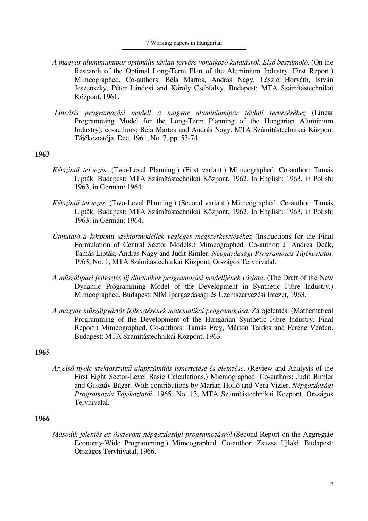#### 7 Working papers in Hungarian

- *A magyar aluminiumipar optimális távlati tervére vonatkozó kutatásról. Első beszámoló*. (On the Research of the Optimal Long-Term Plan of the Aluminium Industry. First Report.) Mimeographed. Co-authors: Béla Martos, András Nagy, László Horváth, István Jeszenszky, Péter Lándosi and Károly Csébfalvy. Budapest: MTA Számítástechnikai Központ, 1961.
- *Lineáris programozási modell a magyar aluminiumipar távlati tervezéséhez* (Linear Programming Model for the Long-Term Planning of the Hungarian Aluminium Industry), co-authors: Béla Martos and András Nagy. MTA Számítástechnikai Központ Tájékoztatója, Dec. 1961, No. 7, pp. 53-74.

#### **1963**

- *Kétszintű tervezés*. (Two-Level Planning.) (First variant.) Mimeographed. Co-author: Tamás Lipták. Budapest: MTA Számítástechnikai Központ, 1962. In English: 1963, in Polish: 1963, in German: 1964.
- *Kétszintű tervezés*. (Two-Level Planning.) (Second variant.) Mimeographed. Co-author: Tamás Lipták. Budapest: MTA Számítástechnikai Központ, 1962. In English: 1963, in Polish: 1963, in German: 1964.
- *Útmutató a központi szektormodellek végleges megszerkesztéséhez* (Instructions for the Final Formulation of Central Sector Models.) Mimeographed. Co-author: J. Andrea Deák, Tamás Lipták, András Nagy and Judit Rimler. *Népgazdasági Programozás Tájékoztatói,* 1963, No. 1, MTA Számítástechnikai Központ, Országos Tervhivatal.
- *A műszálipari fejlesztés új dinamikus programozási modelljének vázlata*. (The Draft of the New Dynamic Programming Model of the Development in Synthetic Fibre Industry.) Mimeographed. Budapest: NIM Ipargazdasági és Üzemszervezési Intézet, 1963.
- *A magyar műszálgyártás fejlesztésének matematikai programozása*. Zárójelentés. (Mathematical Programming of the Development of the Hungarian Synthetic Fibre Industry. Final Report.) Mimeographed. Co-authors: Tamás Frey, Márton Tardos and Ferenc Verden. Budapest: MTA Számítástechnikai Központ, 1963.

## **1965**

*Az első nyolc szektorszintű alapszámítás ismertetése és elemzése*. (Review and Analysis of the First Eight Sector-Level Basic Calculations.) Miemographed. Co-authors: Judit Rimler and Gusztáv Báger. With contributions by Marian Holló and Vera Vizler. *Népgazdasági Programozás Tájékoztatói*, 1965, No. 13, MTA Számítástechnikai Központ, Országos Tervhivatal.

# **1966**

*Második jelentés az összevont népgazdasági programozásról*.(Second Report on the Aggregate Economy-Wide Programming.) Mimeographed. Co-author: Zsuzsa Ujlaki. Budapest: Országos Tervhivatal, 1966.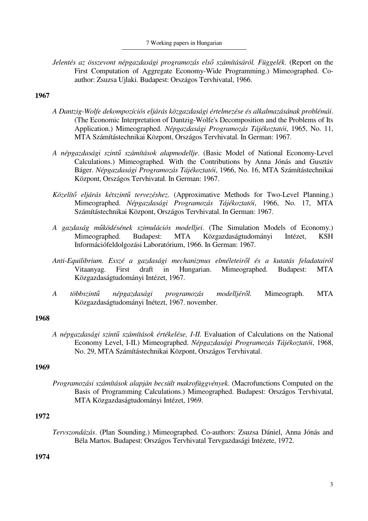*Jelentés az összevont népgazdasági programozás első számításáról. Függelék*. (Report on the First Computation of Aggregate Economy-Wide Programming.) Mimeographed. Coauthor: Zsuzsa Ujlaki. Budapest: Országos Tervhivatal, 1966.

## **1967**

- *A Dantzig-Wolfe dekompozíciós eljárás közgazdasági értelmezése és alkalmazásának problémái*. (The Economic Interpretation of Dantzig-Wolfe's Decomposition and the Problems of Its Application.) Mimeographed. *Népgazdasági Programozás Tájékoztatói*, 1965, No. 11, MTA Számítástechnikai Központ, Országos Tervhivatal. In German: 1967.
- *A népgazdasági szintű számítások alapmodellje*. (Basic Model of National Economy-Level Calculations.) Mimeographed. With the Contributions by Anna Jónás and Gusztáv Báger. *Népgazdasági Programozás Tájékoztatói*, 1966, No. 16, MTA Számítástechnikai Központ, Országos Tervhivatal. In German: 1967.
- *Közelítő eljárás kétszintű tervezéshez*. (Approximative Methods for Two-Level Planning.) Mimeographed. *Népgazdasági Programozás Tájékoztatói*, 1966, No. 17, MTA Számítástechnikai Központ, Országos Tervhivatal. In German: 1967.
- *A gazdaság működésének szimulációs modelljei*. (The Simulation Models of Economy.) Mimeographed. Budapest: MTA Közgazdaságtudományi Intézet, KSH Információfeldolgozási Laboratórium, 1966. In German: 1967.
- *Anti-Equilibrium. Esszé a gazdasági mechanizmus elméleteiről és a kutatás feladatairól* Vitaanyag. First draft in Hungarian. Mimeographed. Budapest: MTA Közgazdaságtudományi Intézet, 1967.
- *A többszintű népgazdasági programozás modelljéről.* Mimeograph. MTA Közgazdaságtudományi Inétezt, 1967. november.

## **1968**

*A népgazdasági szintű számítások értékelése, I-II.* Evaluation of Calculations on the National Economy Level, I-II.) Mimeographed. *Népgazdasági Programozás Tájékoztatói*, 1968, No. 29, MTA Számítástechnikai Központ, Országos Tervhivatal.

### **1969**

*Programozási számítások alapján becsült makrofüggvények*. (Macrofunctions Computed on the Basis of Programming Calculations.) Mimeographed. Budapest: Országos Tervhivatal, MTA Közgazdaságtudományi Intézet, 1969.

# **1972**

*Tervszondázás*. (Plan Sounding.) Mimeographed. Co-authors: Zsuzsa Dániel, Anna Jónás and Béla Martos. Budapest: Országos Tervhivatal Tervgazdasági Intézete, 1972.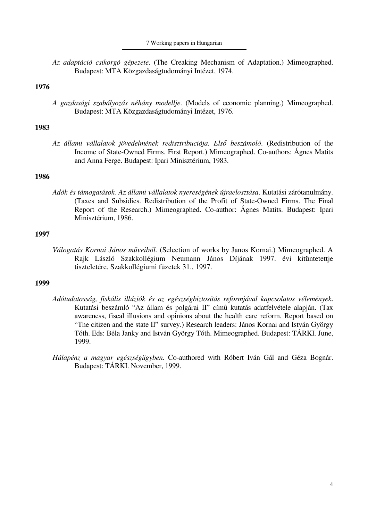7 Working papers in Hungarian

*Az adaptáció csikorgó gépezete*. (The Creaking Mechanism of Adaptation.) Mimeographed. Budapest: MTA Közgazdaságtudományi Intézet, 1974.

## **1976**

*A gazdasági szabályozás néhány modellje*. (Models of economic planning.) Mimeographed. Budapest: MTA Közgazdaságtudományi Intézet, 1976.

### **1983**

*Az állami vállalatok jövedelmének redisztribuciója. Első beszámoló*. (Redistribution of the Income of State-Owned Firms. First Report.) Mimeographed. Co-authors: Ágnes Matits and Anna Ferge. Budapest: Ipari Minisztérium, 1983.

### **1986**

*Adók és támogatások. Az állami vállalatok nyereségének újraelosztása*. Kutatási zárótanulmány. (Taxes and Subsidies. Redistribution of the Profit of State-Owned Firms. The Final Report of the Research.) Mimeographed. Co-author: Ágnes Matits. Budapest: Ipari Minisztérium, 1986.

## **1997**

*Válogatás Kornai János műveiből.* (Selection of works by Janos Kornai.) Mimeographed. A Rajk László Szakkollégium Neumann János Díjának 1997. évi kitüntetettje tiszteletére. Szakkollégiumi füzetek 31., 1997.

- *Adótudatosság, fiskális illúziók és az egészségbiztosítás reformjával kapcsolatos vélemények*. Kutatási beszámló "Az állam és polgárai II" címû kutatás adatfelvétele alapján. (Tax awareness, fiscal illusions and opinions about the health care reform. Report based on "The citizen and the state II" survey.) Research leaders: János Kornai and István György Tóth. Eds: Béla Janky and István György Tóth. Mimeographed. Budapest: TÁRKI. June, 1999.
- *Hálapénz a magyar egészségügyben.* Co-authored with Róbert Iván Gál and Géza Bognár. Budapest: TÁRKI. November, 1999.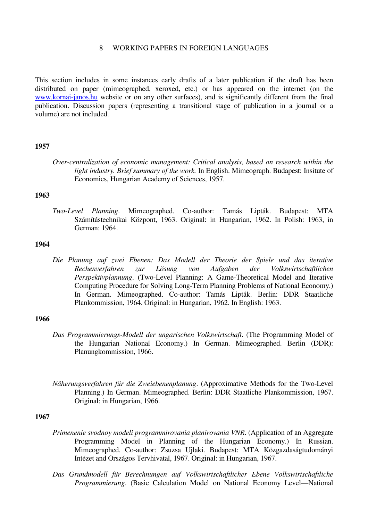## 8 WORKING PAPERS IN FOREIGN LANGUAGES

This section includes in some instances early drafts of a later publication if the draft has been distributed on paper (mimeographed, xeroxed, etc.) or has appeared on the internet (on the www.kornai-janos.hu website or on any other surfaces), and is significantly different from the final publication. Discussion papers (representing a transitional stage of publication in a journal or a volume) are not included.

### **1957**

*Over-centralization of economic management: Critical analysis, based on research within the light industry. Brief summary of the work.* In English. Mimeograph. Budapest: Insitute of Economics, Hungarian Academy of Sciences, 1957.

### **1963**

*Two-Level Planning*. Mimeographed. Co-author: Tamás Lipták. Budapest: MTA Számítástechnikai Központ, 1963. Original: in Hungarian, 1962. In Polish: 1963, in German: 1964.

## **1964**

*Die Planung auf zwei Ebenen: Das Modell der Theorie der Spiele und das iterative Rechenverfahren zur Lösung von Aufgaben der Volkswirtschaftlichen Perspektivplannung*. (Two-Level Planning: A Game-Theoretical Model and Iterative Computing Procedure for Solving Long-Term Planning Problems of National Economy.) In German. Mimeographed. Co-author: Tamás Lipták. Berlin: DDR Staatliche Plankommission, 1964. Original: in Hungarian, 1962. In English: 1963.

## **1966**

- *Das Programmierungs-Modell der ungarischen Volkswirtschaft*. (The Programming Model of the Hungarian National Economy.) In German. Mimeographed. Berlin (DDR): Planungkommission, 1966.
- *Näherungsverfahren für die Zweiebenenplanung*. (Approximative Methods for the Two-Level Planning.) In German. Mimeographed. Berlin: DDR Staatliche Plankommission, 1967. Original: in Hungarian, 1966.

- *Primenenie svodnoy modeli programmirovania planirovania VNR*. (Application of an Aggregate Programming Model in Planning of the Hungarian Economy.) In Russian. Mimeographed. Co-author: Zsuzsa Ujlaki. Budapest: MTA Közgazdaságtudományi Intézet and Országos Tervhivatal, 1967. Original: in Hungarian, 1967.
- *Das Grundmodell für Berechnungen auf Volkswirtschaftlicher Ebene Volkswirtschaftliche Programmierung*. (Basic Calculation Model on National Economy Level—National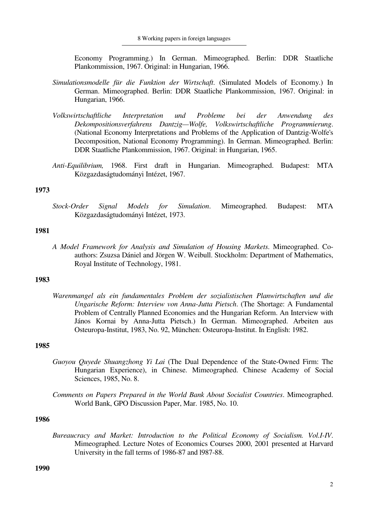Economy Programming.) In German. Mimeographed. Berlin: DDR Staatliche Plankommission, 1967. Original: in Hungarian, 1966.

- *Simulationsmodelle für die Funktion der Wirtschaft*. (Simulated Models of Economy.) In German. Mimeographed. Berlin: DDR Staatliche Plankommission, 1967. Original: in Hungarian, 1966.
- *Volkswirtschaftliche Interpretation und Probleme bei der Anwendung des Dekompositionsverfahrens Dantzig—Wolfe, Volkswirtschaftliche Programmierung*. (National Economy Interpretations and Problems of the Application of Dantzig-Wolfe's Decomposition, National Economy Programming). In German. Mimeographed. Berlin: DDR Staatliche Plankommission, 1967. Original: in Hungarian, 1965.
- *Anti-Equilibrium,* 1968. First draft in Hungarian. Mimeographed. Budapest: MTA Közgazdaságtudományi Intézet, 1967.

### **1973**

*Stock-Order Signal Models for Simulation*. Mimeographed. Budapest: MTA Közgazdaságtudományi Intézet, 1973.

#### **1981**

*A Model Framework for Analysis and Simulation of Housing Markets*. Mimeographed. Coauthors: Zsuzsa Dániel and Jörgen W. Weibull. Stockholm: Department of Mathematics, Royal Institute of Technology, 1981.

#### **1983**

*Warenmangel als ein fundamentales Problem der sozialistischen Planwirtschaften und die Ungarische Reform: Interview von Anna-Jutta Pietsch*. (The Shortage: A Fundamental Problem of Centrally Planned Economies and the Hungarian Reform. An Interview with János Kornai by Anna-Jutta Pietsch.) In German. Mimeographed. Arbeiten aus Osteuropa-Institut, 1983, No. 92, München: Osteuropa-Institut. In English: 1982.

#### **1985**

- *Guoyou Quyede Shuangzhong Yi Lai* (The Dual Dependence of the State-Owned Firm: The Hungarian Experience), in Chinese. Mimeographed. Chinese Academy of Social Sciences, 1985, No. 8.
- *Comments on Papers Prepared in the World Bank About Socialist Countries*. Mimeographed. World Bank, GPO Discussion Paper, Mar. 1985, No. 10.

## **1986**

*Bureaucracy and Market: Introduction to the Political Economy of Socialism. Vol.I-IV*. Mimeographed. Lecture Notes of Economics Courses 2000, 2001 presented at Harvard University in the fall terms of 1986-87 and l987-88.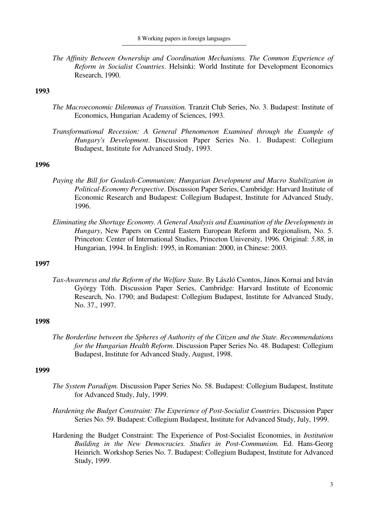*The Affinity Between Ownership and Coordination Mechanisms. The Common Experience of Reform in Socialist Countries*. Helsinki: World Institute for Development Economics Research, 1990.

## **1993**

- *The Macroeconomic Dilemmas of Transition.* Tranzit Club Series, No. 3. Budapest: Institute of Economics, Hungarian Academy of Sciences, 1993.
- *Transformational Recession: A General Phenomenon Examined through the Example of Hungary's Development*. Discussion Paper Series No. 1. Budapest: Collegium Budapest, Institute for Advanced Study, 1993.

### **1996**

- *Paying the Bill for Goulash-Communism: Hungarian Development and Macro Stabilization in Political-Economy Perspective*. Discussion Paper Series, Cambridge: Harvard Institute of Economic Research and Budapest: Collegium Budapest, Institute for Advanced Study, 1996.
- *Eliminating the Shortage Economy. A General Analysis and Examination of the Developments in Hungary*, New Papers on Central Eastern European Reform and Regionalism, No. 5. Princeton: Center of International Studies, Princeton University, 1996. Original: *5.88*, in Hungarian, 1994. In English: 1995, in Romanian: 2000, in Chinese: 2003.

## **1997**

*Tax-Awareness and the Reform of the Welfare State*. By László Csontos, János Kornai and István György Tóth. Discussion Paper Series, Cambridge: Harvard Institute of Economic Research, No. 1790; and Budapest: Collegium Budapest, Institute for Advanced Study, No. 37., 1997.

## **1998**

*The Borderline between the Spheres of Authority of the Citizen and the State. Recommendations for the Hungarian Health Reform*. Discussion Paper Series No. 48. Budapest: Collegium Budapest, Institute for Advanced Study, August, 1998.

- *The System Paradigm.* Discussion Paper Series No. 58. Budapest: Collegium Budapest, Institute for Advanced Study, July, 1999.
- *Hardening the Budget Constraint: The Experience of Post-Socialist Countries*. Discussion Paper Series No. 59. Budapest: Collegium Budapest, Institute for Advanced Study, July, 1999.
- Hardening the Budget Constraint: The Experience of Post-Socialist Economies, in *Institution Building in the New Democracies. Studies in Post-Communism.* Ed. Hans-Georg Heinrich. Workshop Series No. 7. Budapest: Collegium Budapest, Institute for Advanced Study, 1999.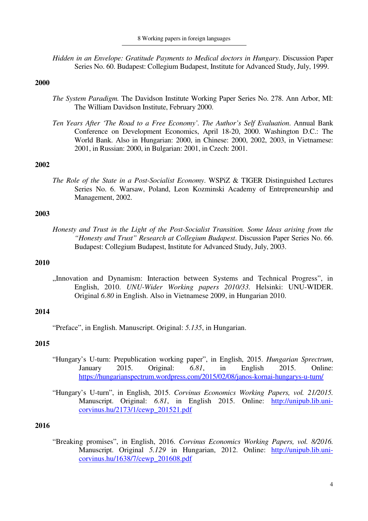*Hidden in an Envelope: Gratitude Payments to Medical doctors in Hungary*. Discussion Paper Series No. 60. Budapest: Collegium Budapest, Institute for Advanced Study, July, 1999.

## **2000**

- *The System Paradigm.* The Davidson Institute Working Paper Series No. 278. Ann Arbor, MI: The William Davidson Institute, February 2000.
- *Ten Years After 'The Road to a Free Economy'. The Author's Self Evaluation*. Annual Bank Conference on Development Economics, April 18-20, 2000. Washington D.C.: The World Bank. Also in Hungarian: 2000, in Chinese: 2000, 2002, 2003, in Vietnamese: 2001, in Russian: 2000, in Bulgarian: 2001, in Czech: 2001.

## **2002**

*The Role of the State in a Post-Socialist Economy*. WSPiZ & TIGER Distinguished Lectures Series No. 6. Warsaw, Poland, Leon Kozminski Academy of Entrepreneurship and Management, 2002.

### **2003**

*Honesty and Trust in the Light of the Post-Socialist Transition. Some Ideas arising from the "Honesty and Trust" Research at Collegium Budapest*. Discussion Paper Series No. 66. Budapest: Collegium Budapest, Institute for Advanced Study, July, 2003.

## **2010**

"Innovation and Dynamism: Interaction between Systems and Technical Progress", in English, 2010. *UNU-Wider Working papers 2010/33.* Helsinki: UNU-WIDER. Original *6.80* in English. Also in Vietnamese 2009, in Hungarian 2010.

### **2014**

"Preface", in English. Manuscript. Original: *5.135*, in Hungarian.

### **2015**

- "Hungary's U-turn: Prepublication working paper", in English, 2015. *Hungarian Sprectrum*, January 2015. Original: *6.81*, in English 2015. Online: https://hungarianspectrum.wordpress.com/2015/02/08/janos-kornai-hungarys-u-turn/
- "Hungary's U-turn", in English, 2015. *Corvinus Economics Working Papers, vol. 21/2015.* Manuscript. Original: *6.81*, in English 2015. Online: http://unipub.lib.unicorvinus.hu/2173/1/cewp\_201521.pdf

#### **2016**

"Breaking promises", in English, 2016. *Corvinus Economics Working Papers, vol. 8/2016.* Manuscript. Original *5.129* in Hungarian, 2012. Online: http://unipub.lib.unicorvinus.hu/1638/7/cewp\_201608.pdf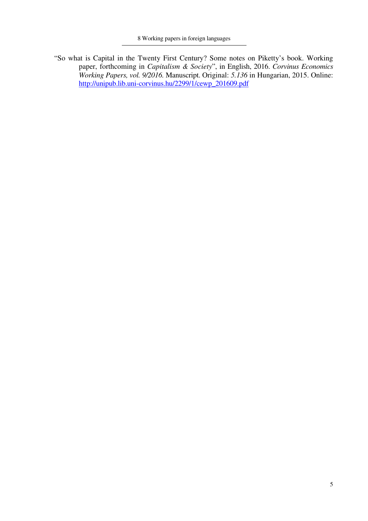"So what is Capital in the Twenty First Century? Some notes on Piketty's book. Working paper, forthcoming in *Capitalism & Society*", in English, 2016. *Corvinus Economics Working Papers, vol. 9/2016.* Manuscript. Original: *5.136* in Hungarian, 2015. Online: http://unipub.lib.uni-corvinus.hu/2299/1/cewp\_201609.pdf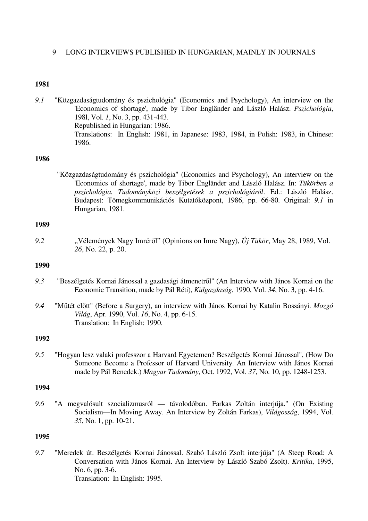## 9 LONG INTERVIEWS PUBLISHED IN HUNGARIAN, MAINLY IN JOURNALS

### **1981**

*9.1* "Közgazdaságtudomány és pszichológia" (Economics and Psychology), An interview on the 'Economics of shortage', made by Tibor Engländer and László Halász. *Pszichológia*, 198l, Vol. *1*, No. 3, pp. 431-443. Republished in Hungarian: 1986. Translations: In English: 1981, in Japanese: 1983, 1984, in Polish: 1983, in Chinese: 1986.

## **1986**

"Közgazdaságtudomány és pszichológia" (Economics and Psychology), An interview on the 'Economics of shortage', made by Tibor Engländer and László Halász. In: *Tükörben a pszichológia. Tudományközi beszélgetések a pszichológiáról*. Ed.: László Halász. Budapest: Tömegkommunikációs Kutatóközpont, 1986, pp. 66-80. Original: *9.1* in Hungarian, 1981.

### **1989**

*9.2* "Vélemények Nagy Imréről" (Opinions on Imre Nagy), *Új Tükör*, May 28, 1989, Vol. *26*, No. 22, p. 20.

## **1990**

- *9.3* "Beszélgetés Kornai Jánossal a gazdasági átmenetről" (An Interview with János Kornai on the Economic Transition, made by Pál Réti), *Külgazdaság*, 1990, Vol. *34*, No. 3, pp. 4-16.
- *9.4* "Műtét előtt" (Before a Surgery), an interview with János Kornai by Katalin Bossányi. *Mozgó Világ*, Apr. 1990, Vol. *16*, No. 4, pp. 6-15. Translation: In English: 1990.

### **1992**

*9.5* "Hogyan lesz valaki professzor a Harvard Egyetemen? Beszélgetés Kornai Jánossal", (How Do Someone Become a Professor of Harvard University. An Interview with János Kornai made by Pál Benedek.) *Magyar Tudomány*, Oct. 1992, Vol. *37*, No. 10, pp. 1248-1253.

### **1994**

*9.6* "A megvalósult szocializmusról — távolodóban. Farkas Zoltán interjúja." (On Existing Socialism—In Moving Away. An Interview by Zoltán Farkas), *Világosság*, 1994, Vol. *35*, No. 1, pp. 10-21.

## **1995**

*9.7* "Meredek út. Beszélgetés Kornai Jánossal. Szabó László Zsolt interjúja" (A Steep Road: A Conversation with János Kornai. An Interview by László Szabó Zsolt). *Kritika*, 1995, No. 6, pp. 3-6. Translation: In English: 1995.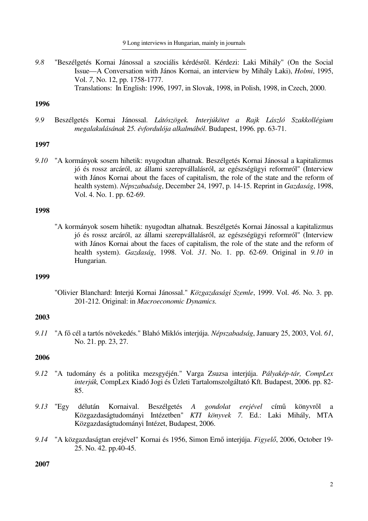9 Long interviews in Hungarian, mainly in journals

*9.8* "Beszélgetés Kornai Jánossal a szociális kérdésről. Kérdezi: Laki Mihály" (On the Social Issue—A Conversation with János Kornai, an interview by Mihály Laki), *Holmi*, 1995, Vol. *7*, No. 12, pp. 1758-1777. Translations: In English: 1996, 1997, in Slovak, 1998, in Polish, 1998, in Czech, 2000.

### **1996**

*9.9* Beszélgetés Kornai Jánossal. *Látószögek. Interjúkötet a Rajk László Szakkollégium megalakulásának 25. évfordulója alkalmából*. Budapest, 1996. pp. 63-71.

### **1997**

*9.10* "A kormányok sosem hihetik: nyugodtan alhatnak. Beszélgetés Kornai Jánossal a kapitalizmus jó és rossz arcáról, az állami szerepvállalásról, az egészségügyi reformról" (Interview with János Kornai about the faces of capitalism, the role of the state and the reform of health system). *Népszabadság*, December 24, 1997, p. 14-15. Reprint in *Gazdaság*, 1998, Vol. 4. No. 1. pp. 62-69.

#### **1998**

"A kormányok sosem hihetik: nyugodtan alhatnak. Beszélgetés Kornai Jánossal a kapitalizmus jó és rossz arcáról, az állami szerepvállalásról, az egészségügyi reformról" (Interview with János Kornai about the faces of capitalism, the role of the state and the reform of health system). *Gazdaság*, 1998. Vol. *31*. No. 1. pp. 62-69. Original in *9.10* in Hungarian.

#### **1999**

 "Olivier Blanchard: Interjú Kornai Jánossal." *Közgazdasági Szemle*, 1999. Vol. *46*. No. 3. pp. 201-212. Original: in *Macroeconomic Dynamics.* 

### **2003**

*9.11* "A fő cél a tartós növekedés." Blahó Miklós interjúja. *Népszabadság*, January 25, 2003, Vol. *61*, No. 21. pp. 23, 27.

## **2006**

- *9.12* "A tudomány és a politika mezsgyéjén." Varga Zsuzsa interjúja. *Pályakép-tár, CompLex interjúk,* CompLex Kiadó Jogi és Üzleti Tartalomszolgáltató Kft. Budapest, 2006. pp. 82- 85.
- *9.13* "Egy délután Kornaival. Beszélgetés *A gondolat erejével* című könyvről a Közgazdaságtudományi Intézetben" *KTI könyvek 7.* Ed.: Laki Mihály, MTA Közgazdaságtudományi Intézet, Budapest, 2006.
- *9.14* "A közgazdaságtan erejével" Kornai és 1956, Simon Ernő interjúja. *Figyelő*, 2006, October 19- 25. No. 42. pp.40-45.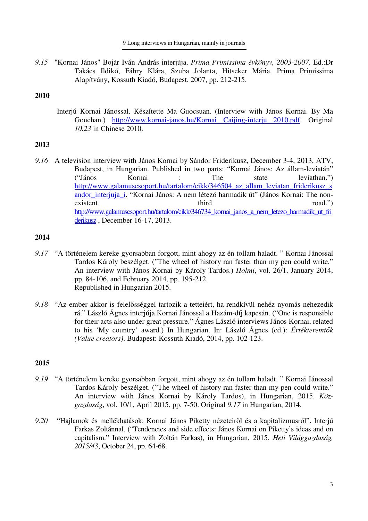*9.15* "Kornai János" Bojár Iván András interjúja. *Prima Primissima évkönyv, 2003-2007*. Ed.:Dr Takács Ildikó, Fábry Klára, Szuba Jolanta, Hitseker Mária. Prima Primissima Alapítvány, Kossuth Kiadó, Budapest, 2007, pp. 212-215.

## **2010**

Interjú Kornai Jánossal. Készítette Ma Guocsuan. (Interview with János Kornai. By Ma Gouchan.) http://www.kornai-janos.hu/Kornai Caijing-interju 2010.pdf. Original *10.23* in Chinese 2010.

## **2013**

*9.16* A television interview with János Kornai by Sándor Friderikusz, December 3-4, 2013, ATV, Budapest, in Hungarian. Published in two parts: "Kornai János: Az állam-leviatán" ("János Kornai : The state leviathan.") http://www.galamuscsoport.hu/tartalom/cikk/346504 az allam leviatan friderikusz s andor\_interjuja\_i. "Kornai János: A nem létező harmadik út" (János Kornai: The nonexistent third road." http://www.galamuscsoport.hu/tartalom/cikk/346734\_kornai\_janos\_a\_nem\_letezo\_harmadik\_ut\_fri derikusz , December 16-17, 2013.

## **2014**

- *9.17* "A történelem kereke gyorsabban forgott, mint ahogy az én tollam haladt. " Kornai Jánossal Tardos Károly beszélget. ("The wheel of history ran faster than my pen could write." An interview with János Kornai by Károly Tardos.) *Holmi*, vol. 26/1, January 2014, pp. 84-106, and February 2014, pp. 195-212. Republished in Hungarian 2015.
- *9.18* "Az ember akkor is felelősséggel tartozik a tetteiért, ha rendkívül nehéz nyomás nehezedik rá." László Ágnes interjúja Kornai Jánossal a Hazám-díj kapcsán. ("One is responsible for their acts also under great pressure." Ágnes László interviews János Kornai, related to his 'My country' award.) In Hungarian. In: László Ágnes (ed.): *Értékteremtők (Value creators)*. Budapest: Kossuth Kiadó, 2014, pp. 102-123.

- *9.19* "A történelem kereke gyorsabban forgott, mint ahogy az én tollam haladt. " Kornai Jánossal Tardos Károly beszélget. ("The wheel of history ran faster than my pen could write." An interview with János Kornai by Károly Tardos), in Hungarian, 2015. *Közgazdaság*, vol. 10/1, April 2015, pp. 7-50. Original *9.17* in Hungarian, 2014.
- *9.20* "Hajlamok és mellékhatások: Kornai János Piketty nézeteiről és a kapitalizmusról". Interjú Farkas Zoltánnal. ("Tendencies and side effects: János Kornai on Piketty's ideas and on capitalism." Interview with Zoltán Farkas), in Hungarian, 2015. *Heti Világgazdaság, 2015/43*, October 24, pp. 64-68.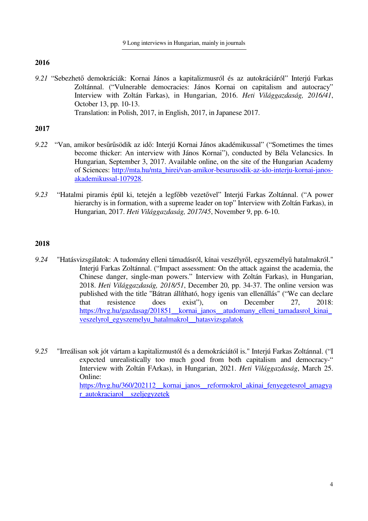*9.21* "Sebezhető demokráciák: Kornai János a kapitalizmusról és az autokráciáról" Interjú Farkas Zoltánnal. ("Vulnerable democracies: János Kornai on capitalism and autocracy" Interview with Zoltán Farkas), in Hungarian, 2016. *Heti Világgazdaság, 2016/41*, October 13, pp. 10-13. Translation: in Polish, 2017, in English, 2017, in Japanese 2017.

## **2017**

- *9.22* "Van, amikor besűrűsödik az idő: Interjú Kornai János akadémikussal" ("Sometimes the times become thicker: An interview with János Kornai"), conducted by Béla Velancsics. In Hungarian, September 3, 2017. Available online, on the site of the Hungarian Academy of Sciences: http://mta.hu/mta\_hirei/van-amikor-besurusodik-az-ido-interju-kornai-janosakademikussal-107928.
- *9.23* "Hatalmi piramis épül ki, tetején a legfőbb vezetővel" Interjú Farkas Zoltánnal. ("A power hierarchy is in formation, with a supreme leader on top" Interview with Zoltán Farkas), in Hungarian, 2017. *Heti Világgazdaság, 2017/45*, November 9, pp. 6-10.

- *9.24* "Hatásvizsgálatok: A tudomány elleni támadásról, kínai veszélyről, egyszemélyű hatalmakról." Interjú Farkas Zoltánnal. ("Impact assessment: On the attack against the academia, the Chinese danger, single-man powers." Interview with Zoltán Farkas), in Hungarian, 2018. *Heti Világgazdaság, 2018/51*, December 20, pp. 34-37. The online version was published with the title "Bátran állítható, hogy igenis van ellenállás" ("We can declare that resistence does exist"), on December 27, 2018: https://hvg.hu/gazdasag/201851\_\_kornai\_janos\_\_atudomany\_elleni\_tamadasrol\_kinai\_ veszelyrol\_egyszemelyu\_hatalmakrol\_\_hatasvizsgalatok
- *9.25* "Irreálisan sok jót vártam a kapitalizmustól és a demokráciától is." Interjú Farkas Zoltánnal. ("I expected unrealistically too much good from both capitalism and democracy-" Interview with Zoltán FArkas), in Hungarian, 2021. *Heti Világgazdaság*, March 25. Online: https://hvg.hu/360/202112 kornai\_janos reformokrol\_akinai\_fenyegetesrol\_amagya r\_autokraciarol\_\_szeljegyzetek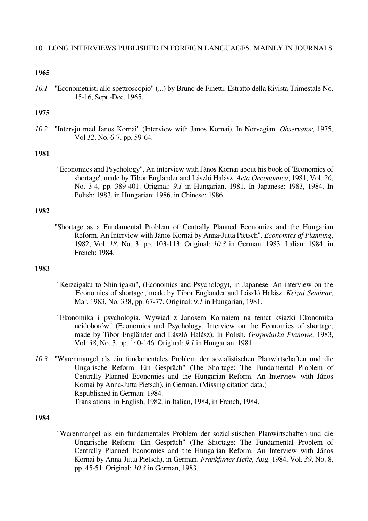*10.1* "Econometristi allo spettroscopio" (...) by Bruno de Finetti. Estratto della Rivista Trimestale No. 15-16, Sept.-Dec. 1965.

## **1975**

*10.2* "Intervju med Janos Kornai" (Interview with Janos Kornai). In Norvegian. *Observator*, 1975, Vol *12*, No. 6-7. pp. 59-64.

## **1981**

"Economics and Psychology", An interview with János Kornai about his book of 'Economics of shortage', made by Tibor Engländer and László Halász. *Acta Oeconomica*, 1981, Vol. *26*, No. 3-4, pp. 389-401. Original: *9.1* in Hungarian, 1981. In Japanese: 1983, 1984. In Polish: 1983, in Hungarian: 1986, in Chinese: 1986.

## **1982**

"Shortage as a Fundamental Problem of Centrally Planned Economies and the Hungarian Reform. An Interview with János Kornai by Anna-Jutta Pietsch", *Economics of Planning*, 1982, Vol. *18*, No. 3, pp. 103-113. Original: *10.3* in German, 1983. Italian: 1984, in French: 1984.

### **1983**

- "Keizaigaku to Shinrigaku", (Economics and Psychology), in Japanese. An interview on the 'Economics of shortage', made by Tibor Engländer and László Halász. *Keizai Seminar*, Mar. 1983, No. 338, pp. 67-77. Original: *9.1* in Hungarian, 1981.
- "Ekonomika i psychologia. Wywiad z Janosem Kornaiem na temat ksiazki Ekonomika neidoborów" (Economics and Psychology. Interview on the Economics of shortage, made by Tibor Engländer and László Halász). In Polish. *Gospodarka Planowe*, 1983, Vol. *38*, No. 3, pp. 140-146. Original: *9.1* in Hungarian, 1981.
- *10.3* "Warenmangel als ein fundamentales Problem der sozialistischen Planwirtschaften und die Ungarische Reform: Ein Gespräch" (The Shortage: The Fundamental Problem of Centrally Planned Economies and the Hungarian Reform. An Interview with János Kornai by Anna-Jutta Pietsch), in German. (Missing citation data.) Republished in German: 1984. Translations: in English, 1982, in Italian, 1984, in French, 1984.

## **1984**

"Warenmangel als ein fundamentales Problem der sozialistischen Planwirtschaften und die Ungarische Reform: Ein Gespräch" (The Shortage: The Fundamental Problem of Centrally Planned Economies and the Hungarian Reform. An Interview with János Kornai by Anna-Jutta Pietsch), in German. *Frankfurter Hefte*, Aug. 1984, Vol. *39*, No. 8, pp. 45-51. Original: *10.3* in German, 1983.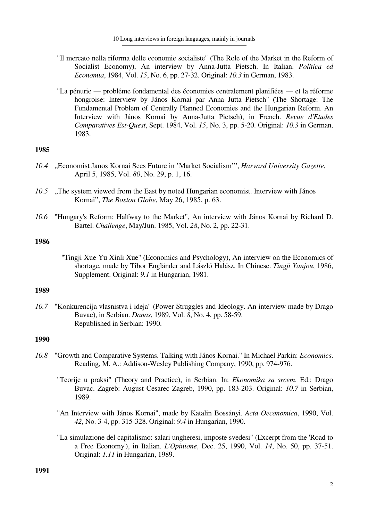- "Il mercato nella riforma delle economie socialiste" (The Role of the Market in the Reform of Socialist Economy), An interview by Anna-Jutta Pietsch. In Italian. *Politica ed Economia*, 1984, Vol. *15*, No. 6, pp. 27-32. Original: *10.3* in German, 1983.
- "La pénurie probléme fondamental des économies centralement planifiées et la réforme hongroise: Interview by János Kornai par Anna Jutta Pietsch" (The Shortage: The Fundamental Problem of Centrally Planned Economies and the Hungarian Reform. An Interview with János Kornai by Anna-Jutta Pietsch), in French. *Revue d'Etudes Comparatives Est-Quest*, Sept. 1984, Vol. *15*, No. 3, pp. 5-20. Original: *10.3* in German, 1983.

- *10.4* "Economist Janos Kornai Sees Future in 'Market Socialism'", *Harvard University Gazette*, April 5, 1985, Vol. *80*, No. 29, p. 1, 16.
- 10.5 "The system viewed from the East by noted Hungarian economist. Interview with János Kornai", *The Boston Globe*, May 26, 1985, p. 63.
- *10.6* "Hungary's Reform: Halfway to the Market", An interview with János Kornai by Richard D. Bartel. *Challenge*, May/Jun. 1985, Vol. *28*, No. 2, pp. 22-31.

## **1986**

"Tingji Xue Yu Xinli Xue" (Economics and Psychology), An interview on the Economics of shortage, made by Tibor Engländer and László Halász. In Chinese. *Tingji Yanjou*, 1986, Supplement. Original: *9.1* in Hungarian, 1981.

### **1989**

*10.7* "Konkurencija vlasnistva i ideja" (Power Struggles and Ideology. An interview made by Drago Buvac), in Serbian. *Danas*, 1989, Vol. *8*, No. 4, pp. 58-59. Republished in Serbian: 1990.

- *10.8* "Growth and Comparative Systems. Talking with János Kornai." In Michael Parkin: *Economics*. Reading, M. A.: Addison-Wesley Publishing Company, 1990, pp. 974-976.
	- "Teorije u praksi" (Theory and Practice), in Serbian. In: *Ekonomika sa srcem*. Ed.: Drago Buvac. Zagreb: August Cesarec Zagreb, 1990, pp. 183-203. Original: *10.7* in Serbian, 1989.
	- "An Interview with János Kornai", made by Katalin Bossányi. *Acta Oeconomica*, 1990, Vol. *42*, No. 3-4, pp. 315-328. Original: *9.4* in Hungarian, 1990.
	- "La simulazione del capitalismo: salari ungheresi, imposte svedesi" (Excerpt from the 'Road to a Free Economy'), in Italian. *L'Opinione*, Dec. 25, 1990, Vol. *14*, No. 50, pp. 37-51. Original: *1.11* in Hungarian, 1989.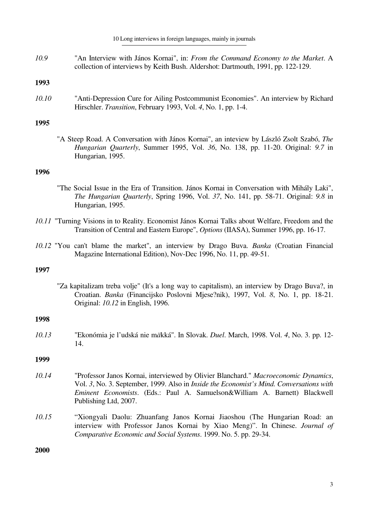#### 10 Long interviews in foreign languages, mainly in journals

*10.9* "An Interview with János Kornai", in: *From the Command Economy to the Market*. A collection of interviews by Keith Bush. Aldershot: Dartmouth, 1991, pp. 122-129.

# **1993**

*10.10* "Anti-Depression Cure for Ailing Postcommunist Economies". An interview by Richard Hirschler. *Transition*, February 1993, Vol. *4*, No. 1, pp. 1-4.

## **1995**

"A Steep Road. A Conversation with János Kornai", an inteview by László Zsolt Szabó, *The Hungarian Quarterly*, Summer 1995, Vol. *36*, No. 138, pp. 11-20. Original: *9.7* in Hungarian, 1995.

## **1996**

- "The Social Issue in the Era of Transition. János Kornai in Conversation with Mihály Laki", *The Hungarian Quarterly*, Spring 1996, Vol. *37*, No. 141, pp. 58-71. Original: *9.8* in Hungarian, 1995.
- *10.11* "Turning Visions in to Reality. Economist János Kornai Talks about Welfare, Freedom and the Transition of Central and Eastern Europe", *Options* (IIASA), Summer 1996, pp. 16-17.
- *10.12* "You can't blame the market", an interview by Drago Buva. *Banka* (Croatian Financial Magazine International Edition), Nov-Dec 1996, No. 11, pp. 49-51.

## **1997**

"Za kapitalizam treba volje" (It's a long way to capitalism), an interview by Drago Buva?, in Croatian. *Banka* (Financijsko Poslovni Mjese?nik), 1997, Vol. *8*, No. 1, pp. 18-21. Original: *10.12* in English, 1996.

## **1998**

*10.13* "Ekonómia je l'udská nie m*ä*kká". In Slovak. *Duel*. March, 1998. Vol. *4*, No. 3. pp. 12- 14.

## **1999**

- *10.14* "Professor Janos Kornai, interviewed by Olivier Blanchard." *Macroeconomic Dynamics*, Vol. *3*, No. 3. September, 1999. Also in *Inside the Economist's Mind. Conversations with Eminent Economists*. (Eds.: Paul A. Samuelson&William A. Barnett) Blackwell Publishing Ltd, 2007.
- *10.15* "Xiongyali Daolu: Zhuanfang Janos Kornai Jiaoshou (The Hungarian Road: an interview with Professor Janos Kornai by Xiao Meng)". In Chinese. *Journal of Comparative Economic and Social Systems*. 1999. No. 5. pp. 29-34.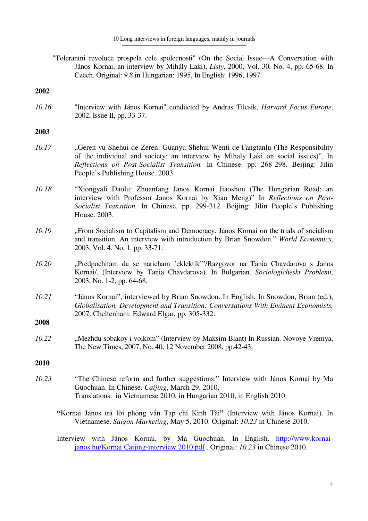"Tolerantni revoluce prospela cele spolecnosti" (On the Social Issue—A Conversation with János Kornai, an interview by Mihály Laki), *Listy*, 2000, Vol. 30, No. 4, pp. 65-68. In Czech. Original: *9.8* in Hungarian: 1995, In English: 1996, 1997.

### **2002**

*10.16* "Interview with János Kornai" conducted by Andras Tilcsik, *Harvard Focus Europe*, 2002, Issue II, pp. 33-37.

### **2003**

- *10.17* "Geren yu Shehui de Zeren: Guanyu Shehui Wenti de Fangtanlu (The Responsibility of the individual and society: an interview by Mihaly Laki on social issues)", In *Reflections on Post-Socialist Transition.* In Chinese. pp. 268-298. Beijing: Jilin People's Publishing House. 2003.
- *10.18* "Xiongyali Daolu: Zhuanfang Janos Kornai Jiaoshou (The Hungarian Road: an interview with Professor Janos Kornai by Xiao Meng)" In *Reflections on Post-Socialist Transition.* In Chinese. pp. 299-312. Beijing: Jilin People's Publishing House. 2003.
- *10.19* "From Socialism to Capitalism and Democracy. János Kornai on the trials of socialism and transition. An interview with introduction by Brian Snowdon." *World Economics*, 2003, Vol. 4. No. 1. pp. 33-71.
- *10.20* "Predpochitam da se naricham 'eklektik'"/Razgovor na Tania Chavdarova s Janos Kornai/, (Interview by Tania Chavdarova). In Bulgarian. *Sociologicheski Problemi*, 2003, No. 1-2, pp. 64-68.
- *10.21* "János Kornai", interviewed by Brian Snowdon. In English. In Snowdon, Brian (ed.), *Globalisation, Development and Transition: Conversations With Eminent Economists,* 2007. Cheltenham: Edward Elgar, pp. 305-332.

# **2008**

*10.22* "Mezhdu sobakoy i volkom" (Interview by Maksim Blant) In Russian. Novoye Vremya, The New Times, 2007, No. 40, 12 November 2008, pp.42-43.

- *10.23* "The Chinese reform and further suggestions." Interview with János Kornai by Ma Guochuan. In Chinese. *Caijing*, March 29, 2010. Translations: in Vietnamese 2010, in Hungarian 2010, in English 2010.
	- **"**Kornai János trả lời phỏng vấn Tạp chí Kinh Tài**"** (Interview with János Kornai). In Vietnamese. *Saigon Marketing*, May 5, 2010. Original: *10.23* in Chinese 2010.
	- Interview with János Kornai, by Ma Guochuan. In English. http://www.kornaijanos.hu/Kornai Caijing-interview 2010.pdf . Original: *10.23* in Chinese 2010.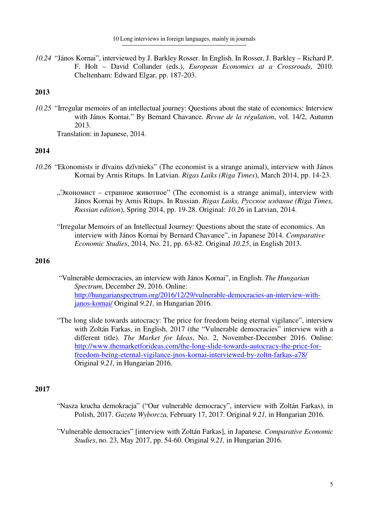*10.24* "János Kornai", interviewed by J. Barkley Rosser. In English. In Rosser, J. Barkley – Richard P. F. Holt – David Collander (eds.), *European Economics at a Crossroads*, 2010. Cheltenham: Edward Elgar, pp. 187-203.

## **2013**

*10.25* "Irregular memoirs of an intellectual journey: Questions about the state of economics: Interview with János Kornai." By Bernard Chavance. *Revue de la régulation*, vol. 14/2, Autumn 2013.

Translation: in Japanese, 2014.

## **2014**

- *10.26* "Ekonomists ir dīvains dzīvnieks" (The economist is a strange animal), interview with János Kornai by Arnis Ritups. In Latvian. *Rigas Laiks (Riga Times*), March 2014, pp. 14-23.
	- "Экономист странное животное" (The economist is a strange animal), interview with János Kornai by Arnis Ritups. In Russian. *Rigas Laiks, Русское издание (Riga Times, Russian edition*), Spring 2014, pp. 19-28. Original: *10.26* in Latvian, 2014.
	- "Irregular Memoirs of an Intellectual Journey: Questions about the state of economics. An interview with János Kornai by Bernard Chavance", in Japanese 2014. *Comparative Economic Studies*, 2014, No. 21, pp. 63-82. Original *10.25*, in English 2013.

## **2016**

- "Vulnerable democracies, an interview with János Kornai", in English. *The Hungarian Spectrum*, December 29, 2016. Online: http://hungarianspectrum.org/2016/12/29/vulnerable-democracies-an-interview-withjanos-kornai/ Original *9.21,* in Hungarian 2016*.*
- "The long slide towards autocracy: The price for freedom being eternal vigilance", interview with Zoltán Farkas, in English, 2017 (the "Vulnerable democracies" interview with a different title). *The Market for Ideas*, No. 2, November-December 2016. Online: http://www.themarketforideas.com/the-long-slide-towards-autocracy-the-price-forfreedom-being-eternal-vigilance-jnos-kornai-interviewed-by-zoltn-farkas-a78/ Original *9.21,* in Hungarian 2016*.*

- "Nasza krucha demokracja" ("Our vulnerable democracy", interview with Zoltán Farkas), in Polish, 2017. *Gazeta Wyborcza,* February 17, 2017. Original *9.21,* in Hungarian 2016*.*
- "Vulnerable democracies" [interview with Zoltán Farkas], in Japanese. *Comparative Economic Studies*, no. 23, May 2017, pp. 54-60. Original *9.21,* in Hungarian 2016*.*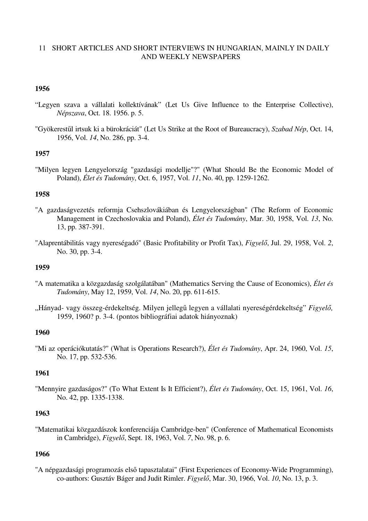## 11 SHORT ARTICLES AND SHORT INTERVIEWS IN HUNGARIAN, MAINLY IN DAILY AND WEEKLY NEWSPAPERS

## **1956**

- "Legyen szava a vállalati kollektívának" (Let Us Give Influence to the Enterprise Collective), *Népszava*, Oct. 18. 1956. p. 5.
- "Gyökerestűl irtsuk ki a bürokráciát" (Let Us Strike at the Root of Bureaucracy), *Szabad Nép*, Oct. 14, 1956, Vol. *14*, No. 286, pp. 3-4.

## **1957**

"Milyen legyen Lengyelország "gazdasági modellje"?" (What Should Be the Economic Model of Poland), *Élet és Tudomány*, Oct. 6, 1957, Vol. *11*, No. 40, pp. 1259-1262.

### **1958**

- "A gazdaságvezetés reformja Csehszlovákiában és Lengyelországban" (The Reform of Economic Management in Czechoslovakia and Poland), *Élet és Tudomány*, Mar. 30, 1958, Vol. *13*, No. 13, pp. 387-391.
- "Alaprentábilitás vagy nyereségadó" (Basic Profitability or Profit Tax), *Figyelő*, Jul. 29, 1958, Vol. *2*, No. 30, pp. 3-4.

### **1959**

- "A matematika a közgazdaság szolgálatában" (Mathematics Serving the Cause of Economics), *Élet és Tudomány*, May 12, 1959, Vol. *14*, No. 20, pp. 611-615.
- "Hányad- vagy összeg-érdekeltség. Milyen jellegű legyen a vállalati nyereségérdekeltség" *Figyelő,*  1959, 1960? p. 3-4. (pontos bibliográfiai adatok hiányoznak)

## **1960**

"Mi az operációkutatás?" (What is Operations Research?), *Élet és Tudomány*, Apr. 24, 1960, Vol. *15*, No. 17, pp. 532-536.

## **1961**

"Mennyire gazdaságos?" (To What Extent Is It Efficient?), *Élet és Tudomány*, Oct. 15, 1961, Vol. *16*, No. 42, pp. 1335-1338.

### **1963**

"Matematikai közgazdászok konferenciája Cambridge-ben" (Conference of Mathematical Economists in Cambridge), *Figyelő*, Sept. 18, 1963, Vol. *7*, No. 98, p. 6.

## **1966**

"A népgazdasági programozás első tapasztalatai" (First Experiences of Economy-Wide Programming), co-authors: Gusztáv Báger and Judit Rimler. *Figyelő*, Mar. 30, 1966, Vol. *10*, No. 13, p. 3.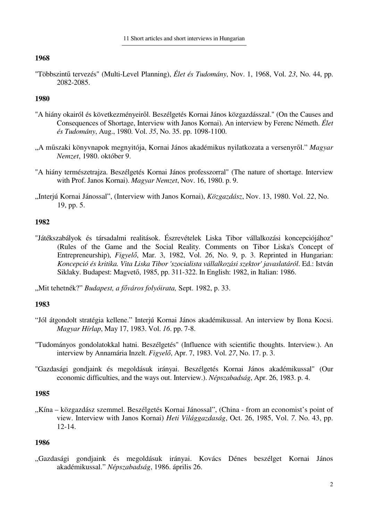"Többszintű tervezés" (Multi-Level Planning), *Élet és Tudomány*, Nov. 1, 1968, Vol. *23*, No. 44, pp. 2082-2085.

# **1980**

- "A hiány okairól és következményeiről. Beszélgetés Kornai János közgazdásszal." (On the Causes and Consequences of Shortage, Interview with Janos Kornai). An interview by Ferenc Németh. *Élet és Tudomány*, Aug., 1980. Vol. *35*, No. 35. pp. 1098-1100.
- "A műszaki könyvnapok megnyitója, Kornai János akadémikus nyilatkozata a versenyről." *Magyar Nemzet*, 1980. október 9.
- "A hiány természetrajza. Beszélgetés Kornai János professzorral" (The nature of shortage. Interview with Prof. Janos Kornai). *Magyar Nemzet*, Nov. 16, 1980. p. 9.
- "Interjú Kornai Jánossal", (Interview with Janos Kornai), *Közgazdász*, Nov. 13, 1980. Vol. *22*, No. 19, pp. 5.

## **1982**

"Játékszabályok és társadalmi realitások. Észrevételek Liska Tibor vállalkozási koncepciójához" (Rules of the Game and the Social Reality. Comments on Tibor Liska's Concept of Entrepreneurship), *Figyelő*, Mar. 3, 1982, Vol. *26*, No. 9, p. 3. Reprinted in Hungarian: *Koncepció és kritika. Vita Liska Tibor 'szocialista vállalkozási szektor' javaslatáról*. Ed.: István Siklaky. Budapest: Magvető, 1985, pp. 311-322. In English: 1982, in Italian: 1986.

"Mit tehetnék?" *Budapest, a főváros folyóirata,* Sept. 1982, p. 33.

## **1983**

- "Jól átgondolt stratégia kellene." Interjú Kornai János akadémikussal. An interview by Ilona Kocsi. *Magyar Hírlap*, May 17, 1983. Vol. *16*. pp. 7-8.
- "Tudományos gondolatokkal hatni. Beszélgetés" (Influence with scientific thoughts. Interview.). An interview by Annamária Inzelt. *Figyelő*, Apr. 7, 1983. Vol. *27*, No. 17. p. 3.
- "Gazdasági gondjaink és megoldásuk irányai. Beszélgetés Kornai János akadémikussal" (Our economic difficulties, and the ways out. Interview.). *Népszabadság*, Apr. 26, 1983. p. 4.

## **1985**

"Kína – közgazdász szemmel. Beszélgetés Kornai Jánossal", (China - from an economist's point of view. Interview with Janos Kornai) *Heti Világgazdaság*, Oct. 26, 1985, Vol. *7*. No. 43, pp. 12-14.

## **1986**

"Gazdasági gondjaink és megoldásuk irányai. Kovács Dénes beszélget Kornai János akadémikussal." *Népszabadság*, 1986. április 26.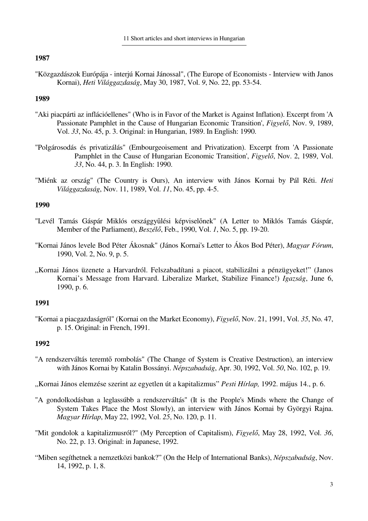"Közgazdászok Európája - interjú Kornai Jánossal", (The Europe of Economists - Interview with Janos Kornai), *Heti Világgazdaság*, May 30, 1987, Vol. *9*, No. 22, pp. 53-54.

### **1989**

- "Aki piacpárti az inflációellenes" (Who is in Favor of the Market is Against Inflation). Excerpt from 'A Passionate Pamphlet in the Cause of Hungarian Economic Transition', *Figyelő*, Nov. 9, 1989, Vol. *33*, No. 45, p. 3. Original: in Hungarian, 1989. In English: 1990.
- "Polgárosodás és privatizálás" (Embourgeoisement and Privatization). Excerpt from 'A Passionate Pamphlet in the Cause of Hungarian Economic Transition', *Figyelő*, Nov. 2, 1989, Vol. *33*, No. 44, p. 3. In English: 1990.
- "Miénk az ország" (The Country is Ours), An interview with János Kornai by Pál Réti. *Heti Világgazdaság*, Nov. 11, 1989, Vol. *11*, No. 45, pp. 4-5.

## **1990**

- "Levél Tamás Gáspár Miklós országgyűlési képviselőnek" (A Letter to Miklós Tamás Gáspár, Member of the Parliament), *Beszélő*, Feb., 1990, Vol. *1*, No. 5, pp. 19-20.
- "Kornai János levele Bod Péter Ákosnak" (János Kornai's Letter to Ákos Bod Péter), *Magyar Fórum*, 1990, Vol. 2, No. 9, p. 5.
- "Kornai János üzenete a Harvardról. Felszabadítani a piacot, stabilizálni a pénzügyeket!" (Janos Kornai's Message from Harvard. Liberalize Market, Stabilize Finance!) *Igazság*, June 6, 1990, p. 6.

### **1991**

"Kornai a piacgazdaságról" (Kornai on the Market Economy), *Figyelő*, Nov. 21, 1991, Vol. *35*, No. 47, p. 15. Original: in French, 1991.

- "A rendszerváltás teremtő rombolás" (The Change of System is Creative Destruction), an interview with János Kornai by Katalin Bossányi. *Népszabadság*, Apr. 30, 1992, Vol. *50*, No. 102, p. 19.
- "Kornai János elemzése szerint az egyetlen út a kapitalizmus" Pesti Hírlap, 1992. május 14., p. 6.
- "A gondolkodásban a leglassúbb a rendszerváltás" (It is the People's Minds where the Change of System Takes Place the Most Slowly), an interview with János Kornai by Györgyi Rajna. *Magyar Hírlap*, May 22, 1992, Vol. *25*, No. 120, p. 11.
- "Mit gondolok a kapitalizmusról?" (My Perception of Capitalism), *Figyelő*, May 28, 1992, Vol. *36*, No. 22, p. 13. Original: in Japanese, 1992.
- "Miben segíthetnek a nemzetközi bankok?" (On the Help of International Banks), *Népszabadság*, Nov. 14, 1992, p. 1, 8.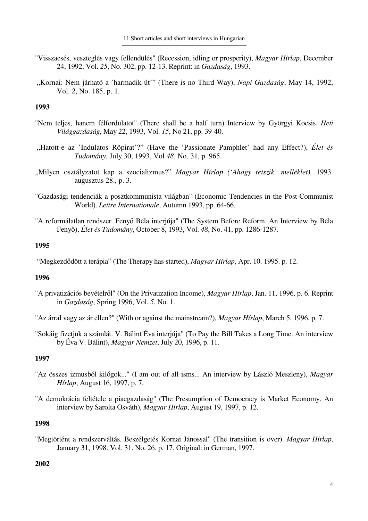- "Visszaesés, veszteglés vagy fellendülés" (Recession, idling or prosperity), *Magyar Hírlap*, December 24, 1992, Vol. *25*, No. 302, pp. 12-13. Reprint: in *Gazdaság*, 1993.
- "Kornai: Nem járható a 'harmadik út'" (There is no Third Way), *Napi Gazdaság*, May 14, 1992, Vol. *2*, No. 185, p. 1.

- "Nem teljes, hanem félfordulatot" (There shall be a half turn) Interview by Györgyi Kocsis. *Heti Világgazdaság*, May 22, 1993, Vol. *15*, No 21, pp. 39-40.
- "Hatott-e az 'Indulatos Röpirat'?" (Have the 'Passionate Pamphlet' had any Effect?), *Élet és Tudomány*, July 30, 1993, Vol *48*, No. 31, p. 965.
- "Milyen osztályzatot kap a szocializmus?" *Magyar Hírlap ('Ahogy tetszik' melléklet),* 1993. augusztus 28., p. 3.
- "Gazdasági tendenciák a posztkommunista világban" (Economic Tendencies in the Post-Communist World). *Lettre Internationale*, Autumn 1993, pp. 64-66.
- "A reformálatlan rendszer. Fenyő Béla interjúja" (The System Before Reform. An Interview by Béla Fenyő), *Élet és Tudomány*, October 8, 1993, Vol. *48*, No. 41, pp. 1286-1287.

### **1995**

"Megkezdődött a terápia" (The Therapy has started), *Magyar Hírlap*, Apr. 10. 1995. p. 12.

#### **1996**

"A privatizációs bevételről" (On the Privatization Income), *Magyar Hírlap*, Jan. 11, 1996, p. 6. Reprint in *Gazdaság*, Spring 1996, Vol. *5*, No. 1.

"Az árral vagy az ár ellen?" (With or against the mainstream?), *Magyar Hírlap*, March 5, 1996, p. 7.

"Sokáig fizetjük a számlát. V. Bálint Éva interjúja" (To Pay the Bill Takes a Long Time. An interview by Éva V. Bálint), *Magyar Nemzet*, July 20, 1996, p. 11.

## **1997**

- "Az összes izmusból kilógok..." (I am out of all isms... An interview by László Meszleny), *Magyar Hírlap*, August 16, 1997, p. 7.
- "A demokrácia feltétele a piacgazdaság" (The Presumption of Democracy is Market Economy. An interview by Sarolta Osváth), *Magyar Hírlap*, August 19, 1997, p. 12.

#### **1998**

"Megtörtént a rendszerváltás. Beszélgetés Kornai Jánossal" (The transition is over). *Magyar Hírlap*, January 31, 1998. Vol. 31. No. 26. p. 17. Original: in German, 1997.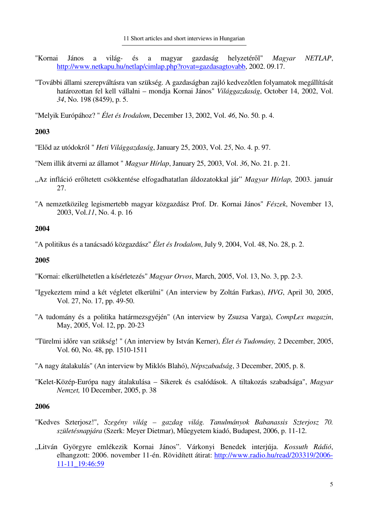- "Kornai János a világ- és a magyar gazdaság helyzetéről" *Magyar NETLAP*, http://www.netkapu.hu/netlap/cimlap.php?rovat=gazdasagtovabb, 2002. 09.17.
- "További állami szerepváltásra van szükség. A gazdaságban zajló kedvezőtlen folyamatok megállítását határozottan fel kell vállalni – mondja Kornai János" *Világgazdaság*, October 14, 2002, Vol. *34*, No. 198 (8459), p. 5.

"Melyik Európához? " *Élet és Irodalom*, December 13, 2002, Vol. *46*, No. 50. p. 4.

## **2003**

"Előd az utódokról " *Heti Világgazdaság*, January 25, 2003, Vol. *25*, No. 4. p. 97.

"Nem illik átverni az államot " *Magyar Hírlap*, January 25, 2003, Vol. *36*, No. 21. p. 21.

- "Az infláció erőltetett csökkentése elfogadhatatlan áldozatokkal jár" *Magyar Hírlap,* 2003. január 27.
- "A nemzetközileg legismertebb magyar közgazdász Prof. Dr. Kornai János" *Fészek*, November 13, 2003, Vol.*11*, No. 4. p. 16

## **2004**

"A politikus és a tanácsadó közgazdász" *Élet és Irodalom*, July 9, 2004, Vol. 48, No. 28, p. 2.

## **2005**

- "Kornai: elkerülhetetlen a kísérletezés" *Magyar Orvos*, March, 2005, Vol. 13, No. 3, pp. 2-3.
- "Igyekeztem mind a két végletet elkerülni" (An interview by Zoltán Farkas), *HVG*, April 30, 2005, Vol. 27, No. 17, pp. 49-50.
- "A tudomány és a politika határmezsgyéjén" (An interview by Zsuzsa Varga), *CompLex magazin*, May, 2005, Vol. 12, pp. 20-23
- "Türelmi időre van szükség! " (An interview by István Kerner), *Élet és Tudomány,* 2 December, 2005, Vol. 60, No. 48, pp. 1510-1511
- "A nagy átalakulás" (An interview by Miklós Blahó), *Népszabadság*, 3 December, 2005, p. 8.
- "Kelet-Közép-Európa nagy átalakulása Sikerek és csalódások. A tiltakozás szabadsága", *Magyar Nemzet,* 10 December, 2005, p. 38

- "Kedves Szterjosz!", *Szegény világ gazdag világ. Tanulmányok Babanassis Szterjosz 70. születésnapjára* (Szerk: Meyer Dietmar), Műegyetem kiadó, Budapest, 2006, p. 11-12.
- "Litván Györgyre emlékezik Kornai János". Várkonyi Benedek interjúja. *Kossuth Rádió*, elhangzott: 2006. november 11-én. Rövidített átirat: http://www.radio.hu/read/203319/2006- 11-11\_19:46:59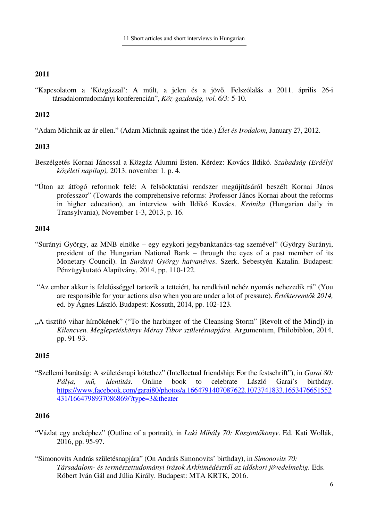"Kapcsolatom a 'Közgázzal': A múlt, a jelen és a jövő. Felszólalás a 2011. április 26-i társadalomtudományi konferencián", *Köz-gazdaság, vol. 6/3:* 5-10.

# **2012**

"Adam Michnik az ár ellen." (Adam Michnik against the tide.) *Élet és Irodalom*, January 27, 2012.

# **2013**

- Beszélgetés Kornai Jánossal a Közgáz Alumni Esten. Kérdez: Kovács Ildikó. *Szabadság (Erdélyi közéleti napilap),* 2013. november 1. p. 4.
- "Úton az átfogó reformok felé: A felsőoktatási rendszer megújításáról beszélt Kornai János professzor" (Towards the comprehensive reforms: Professor János Kornai about the reforms in higher education), an interview with Ildikó Kovács. *Krónika* (Hungarian daily in Transylvania), November 1-3, 2013, p. 16.

# **2014**

- "Surányi György, az MNB elnöke egy egykori jegybanktanács-tag szemével" (György Surányi, president of the Hungarian National Bank – through the eyes of a past member of its Monetary Council). In *Surányi György hatvanéves*. Szerk. Sebestyén Katalin. Budapest: Pénzügykutató Alapítvány, 2014, pp. 110-122.
- "Az ember akkor is felelősséggel tartozik a tetteiért, ha rendkívül nehéz nyomás nehezedik rá" (You are responsible for your actions also when you are under a lot of pressure). *Értékteremtők 2014,*  ed. by Ágnes László. Budapest: Kossuth, 2014, pp. 102-123.
- "A tisztító vihar hírnökének" ("To the harbinger of the Cleansing Storm" [Revolt of the Mind]) in *Kilencven. Meglepetéskönyv Méray Tibor születésnapjára.* Argumentum, Philobiblon, 2014, pp. 91-93.

# **2015**

"Szellemi barátság: A születésnapi kötethez" (Intellectual friendship: For the festschrift"), in *Garai 80: Pálya, mű, identitás*. Online book to celebrate László Garai's birthday. https://www.facebook.com/garai80/photos/a.1664791407087622.1073741833.1653476651552 431/1664798937086869/?type=3&theater

- "Vázlat egy arcképhez" (Outline of a portrait), in *Laki Mihály 70: Köszöntőkönyv*. Ed. Kati Wollák, 2016, pp. 95-97.
- "Simonovits András születésnapjára" (On András Simonovits' birthday), in *Simonovits 70: Társadalom- és természettudományi írások Arkhimédésztől az időskori jövedelmekig.* Eds. Róbert Iván Gál and Júlia Király. Budapest: MTA KRTK, 2016.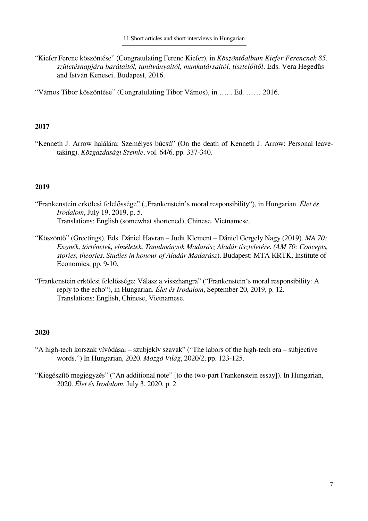"Kiefer Ferenc köszöntése" (Congratulating Ferenc Kiefer), in *Köszöntőalbum Kiefer Ferencnek 85. születésnapjára barátaitól, tanítványaitól, munkatársaitól, tisztelőitől*. Eds. Vera Hegedűs and István Kenesei. Budapest, 2016.

"Vámos Tibor köszöntése" (Congratulating Tibor Vámos), in …. . Ed. …… 2016.

## **2017**

"Kenneth J. Arrow halálára: Személyes búcsú" (On the death of Kenneth J. Arrow: Personal leavetaking). *Közgazdasági Szemle*, vol. 64/6, pp. 337-340.

## **2019**

- "Frankenstein erkölcsi felelőssége" ("Frankenstein's moral responsibility"), in Hungarian. Élet és *Irodalom*, July 19, 2019, p. 5. Translations: English (somewhat shortened), Chinese, Vietnamese.
- "Köszöntő" (Greetings). Eds. Dániel Havran Judit Klement Dániel Gergely Nagy (2019). *MA 70: Eszmék, történetek, elméletek. Tanulmányok Madarász Aladár tiszteletére. (AM 70: Concepts, stories, theories. Studies in honour of Aladár Madarász*). Budapest: MTA KRTK, Institute of Economics, pp. 9-10.
- "Frankenstein erkölcsi felelőssége: Válasz a visszhangra" ("Frankenstein's moral responsibility: A reply to the echo"), in Hungarian. *Élet és Irodalom*, September 20, 2019, p. 12. Translations: English, Chinese, Vietnamese.

- "A high-tech korszak vívódásai szubjekív szavak" ("The labors of the high-tech era subjective words.") In Hungarian, 2020. *Mozgó Világ*, 2020/2, pp. 123-125.
- "Kiegészítő megjegyzés" ("An additional note" [to the two-part Frankenstein essay]). In Hungarian, 2020. *Élet és Irodalom*, July 3, 2020, p. 2.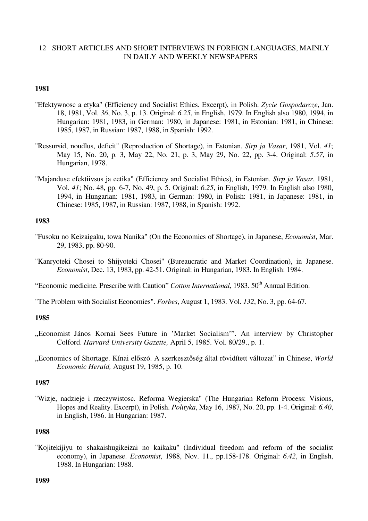## 12 SHORT ARTICLES AND SHORT INTERVIEWS IN FOREIGN LANGUAGES, MAINLY IN DAILY AND WEEKLY NEWSPAPERS

### **1981**

- "Efektywnosc a etyka" (Efficiency and Socialist Ethics. Excerpt), in Polish. *Zycie Gospodarcze*, Jan. 18, 1981, Vol. *36*, No. 3, p. 13. Original: *6.25*, in English, 1979. In English also 1980, 1994, in Hungarian: 1981, 1983, in German: 1980, in Japanese: 1981, in Estonian: 1981, in Chinese: 1985, 1987, in Russian: 1987, 1988, in Spanish: 1992.
- "Ressursid, noudlus, deficit" (Reproduction of Shortage), in Estonian. *Sirp ja Vasar*, 1981, Vol. *41*; May 15, No. 20, p. 3, May 22, No. 21, p. 3, May 29, No. 22, pp. 3-4. Original: *5.57*, in Hungarian, 1978.
- "Majanduse efektiivsus ja eetika" (Efficiency and Socialist Ethics), in Estonian. *Sirp ja Vasar*, 1981, Vol. *41*; No. 48, pp. 6-7, No. 49, p. 5. Original: *6.25*, in English, 1979. In English also 1980, 1994, in Hungarian: 1981, 1983, in German: 1980, in Polish: 1981, in Japanese: 1981, in Chinese: 1985, 1987, in Russian: 1987, 1988, in Spanish: 1992.

### **1983**

- "Fusoku no Keizaigaku, towa Nanika" (On the Economics of Shortage), in Japanese, *Economist*, Mar. 29, 1983, pp. 80-90.
- "Kanryoteki Chosei to Shijyoteki Chosei" (Bureaucratic and Market Coordination), in Japanese. *Economist*, Dec. 13, 1983, pp. 42-51. Original: in Hungarian, 1983. In English: 1984.

"Economic medicine. Prescribe with Caution" *Cotton International*, 1983. 50<sup>th</sup> Annual Edition.

"The Problem with Socialist Economies". *Forbes*, August 1, 1983. Vol. *132*, No. 3, pp. 64-67.

#### **1985**

- "Economist János Kornai Sees Future in 'Market Socialism'". An interview by Christopher Colford. *Harvard University Gazette,* April 5, 1985. Vol. 80/29., p. 1.
- "Economics of Shortage. Kínai előszó. A szerkesztőség által rövidített változat" in Chinese, *World Economic Herald,* August 19, 1985, p. 10.

### **1987**

"Wizje, nadzieje i rzeczywistosc. Reforma Wegierska" (The Hungarian Reform Process: Visions, Hopes and Reality. Excerpt), in Polish. *Polityka*, May 16, 1987, No. 20, pp. 1-4. Original: *6.40*, in English, 1986. In Hungarian: 1987.

#### **1988**

"Kojitekijiyu to shakaishugikeizai no kaikaku" (Individual freedom and reform of the socialist economy), in Japanese. *Economist*, 1988, Nov. 11., pp.158-178. Original: *6.42*, in English, 1988. In Hungarian: 1988.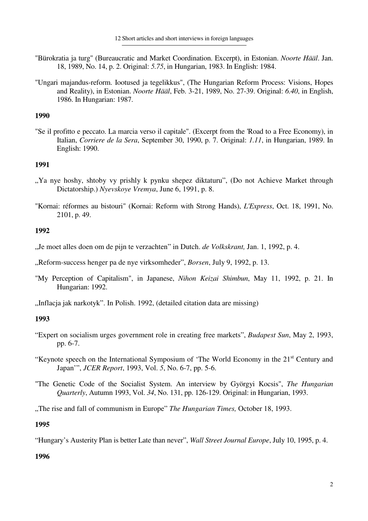- "Bürokratia ja turg" (Bureaucratic and Market Coordination. Excerpt), in Estonian. *Noorte Hääl*. Jan. 18, 1989, No. 14, p. 2. Original: *5.75*, in Hungarian, 1983. In English: 1984.
- "Ungari majandus-reform. Iootused ja tegelikkus", (The Hungarian Reform Process: Visions, Hopes and Reality), in Estonian. *Noorte Hääl*, Feb. 3-21, 1989, No. 27-39. Original: *6.40*, in English, 1986. In Hungarian: 1987.

"Se il profitto e peccato. La marcia verso il capitale". (Excerpt from the 'Road to a Free Economy), in Italian, *Corriere de la Sera*, September 30, 1990, p. 7. Original: *1.11*, in Hungarian, 1989. In English: 1990.

## **1991**

- ". Ya nye hoshy, shtoby vy prishly k pynku shepez diktaturu", (Do not Achieve Market through Dictatorship.) *Nyevskoye Vremya*, June 6, 1991, p. 8.
- "Kornai: réformes au bistouri" (Kornai: Reform with Strong Hands), *L'Express*, Oct. 18, 1991, No. 2101, p. 49.

## **1992**

"Je moet alles doen om de pijn te verzachten" in Dutch. *de Volkskrant,* Jan. 1, 1992, p. 4.

"Reform-success henger pa de nye virksomheder", *Borsen*, July 9, 1992, p. 13.

"My Perception of Capitalism", in Japanese, *Nihon Keizai Shimbun*, May 11, 1992, p. 21. In Hungarian: 1992.

"Inflacja jak narkotyk". In Polish. 1992, (detailed citation data are missing)

## **1993**

- "Expert on socialism urges government role in creating free markets", *Budapest Sun*, May 2, 1993, pp. 6-7.
- "Keynote speech on the International Symposium of 'The World Economy in the 21<sup>st</sup> Century and Japan'", *JCER Report*, 1993, Vol. *5*, No. 6-7, pp. 5-6.
- "The Genetic Code of the Socialist System. An interview by Györgyi Kocsis", *The Hungarian Quarterly*, Autumn 1993, Vol. *34*, No. 131, pp. 126-129. Original: in Hungarian, 1993.

"The rise and fall of communism in Europe" *The Hungarian Times,* October 18, 1993.

## **1995**

"Hungary's Austerity Plan is better Late than never", *Wall Street Journal Europe*, July 10, 1995, p. 4.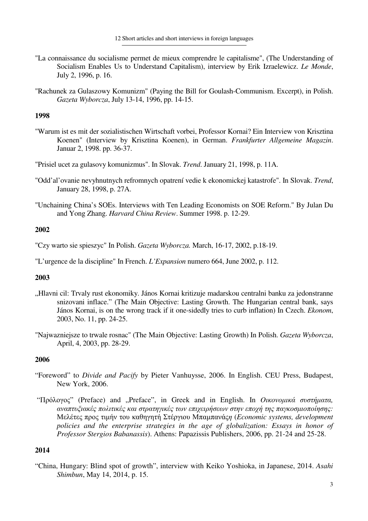- "La connaissance du socialisme permet de mieux comprendre le capitalisme", (The Understanding of Socialism Enables Us to Understand Capitalism), interview by Erik Izraelewicz. *Le Monde*, July 2, 1996, p. 16.
- "Rachunek za Gulaszowy Komunizm" (Paying the Bill for Goulash-Communism. Excerpt), in Polish. *Gazeta Wyborcza*, July 13-14, 1996, pp. 14-15.

"Warum ist es mit der sozialistischen Wirtschaft vorbei, Professor Kornai? Ein Interview von Krisztina Koenen" (Interview by Krisztina Koenen), in German. *Frankfurter Allgemeine Magazin*. Januar 2, 1998. pp. 36-37.

"Prisiel ucet za gulasovy komunizmus". In Slovak. *Trend*. January 21, 1998, p. 11A.

- "Odd'al'ovanie nevyhnutnych refromnych opatrení vedie k ekonomickej katastrofe". In Slovak. *Trend*, January 28, 1998, p. 27A.
- "Unchaining China's SOEs. Interviews with Ten Leading Economists on SOE Reform." By Julan Du and Yong Zhang. *Harvard China Review*. Summer 1998. p. 12-29.

## **2002**

"Czy warto sie spieszyc" In Polish. *Gazeta Wyborcza.* March, 16-17, 2002, p.18-19.

"L'urgence de la discipline" In French. *L'Expansion* numero 664, June 2002, p. 112.

## **2003**

- "Hlavni cil: Trvaly rust ekonomiky. János Kornai kritizuje madarskou centralni banku za jedonstranne snizovani inflace." (The Main Objective: Lasting Growth. The Hungarian central bank, says János Kornai, is on the wrong track if it one-sidedly tries to curb inflation) In Czech. *Ekonom*, 2003, No. 11, pp. 24-25.
- "Najwazniejsze to trwale rosnac" (The Main Objective: Lasting Growth) In Polish. *Gazeta Wyborcza*, April, 4, 2003, pp. 28-29.

## **2006**

- "Foreword" to *Divide and Pacify* by Pieter Vanhuysse, 2006. In English. CEU Press, Budapest, New York, 2006.
- "Πρόλογος" (Preface) and "Preface", in Greek and in English. In *Οικονομικά συστήματα*, *αναπτυξιακές πολιτικές και στρατηγικές των επιχειρήσεων στην εποχή της παγκοσµιοποίησης:*  Μελέτες προς τιµήν του καθηγητή Στέργιου Μπαµπανάς*η* (*Economic systems, development policies and the enterprise strategies in the age of globalization: Essays in honor of Professor Stergios Babanassis*). Athens: Papazissis Publishers, 2006, pp. 21-24 and 25-28.

## **2014**

"China, Hungary: Blind spot of growth", interview with Keiko Yoshioka, in Japanese, 2014. *Asahi Shimbun*, May 14, 2014, p. 15.